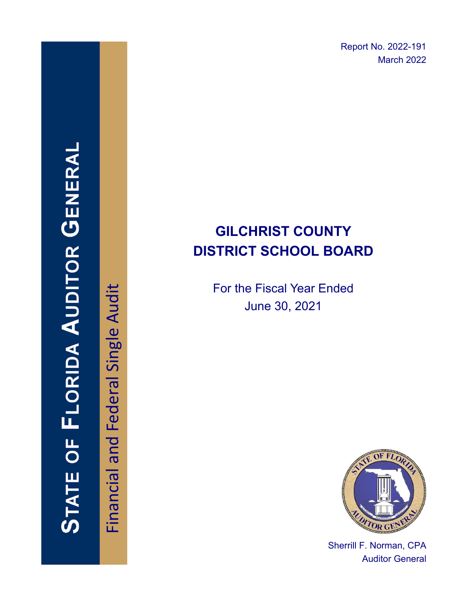Report No. 2022-191 March 2022

# STATE OF FLORIDA AUDITOR GENERAI

Financial and Federal Single Audit Financial and Federal Single Audit

# **GILCHRIST COUNTY DISTRICT SCHOOL BOARD**

For the Fiscal Year Ended June 30, 2021



Sherrill F. Norman, CPA Auditor General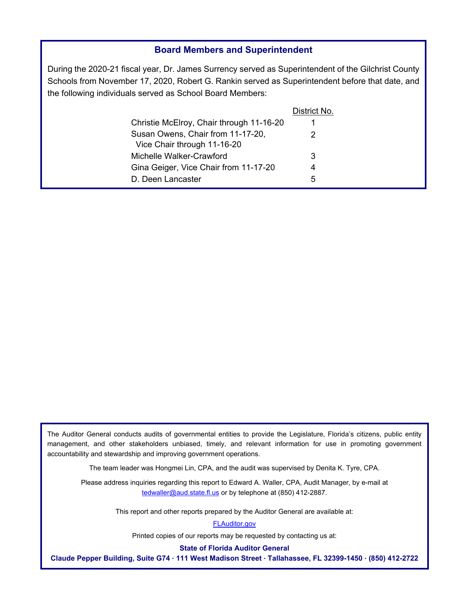### **Board Members and Superintendent**

During the 2020-21 fiscal year, Dr. James Surrency served as Superintendent of the Gilchrist County Schools from November 17, 2020, Robert G. Rankin served as Superintendent before that date, and the following individuals served as School Board Members:

|                                          | District No. |
|------------------------------------------|--------------|
| Christie McElroy, Chair through 11-16-20 |              |
| Susan Owens, Chair from 11-17-20,        | 2            |
| Vice Chair through 11-16-20              |              |
| Michelle Walker-Crawford                 | 3            |
| Gina Geiger, Vice Chair from 11-17-20    | 4            |
| D. Deen Lancaster                        | 5            |

The Auditor General conducts audits of governmental entities to provide the Legislature, Florida's citizens, public entity management, and other stakeholders unbiased, timely, and relevant information for use in promoting government accountability and stewardship and improving government operations.

The team leader was Hongmei Lin, CPA, and the audit was supervised by Denita K. Tyre, CPA.

Please address inquiries regarding this report to Edward A. Waller, CPA, Audit Manager, by e-mail at tedwaller@aud.state.fl.us or by telephone at (850) 412-2887.

This report and other reports prepared by the Auditor General are available at:

[FLAuditor.gov](http://flauditor.gov/)

Printed copies of our reports may be requested by contacting us at:

**State of Florida Auditor General** 

**Claude Pepper Building, Suite G74 · 111 West Madison Street · Tallahassee, FL 32399-1450 · (850) 412-2722**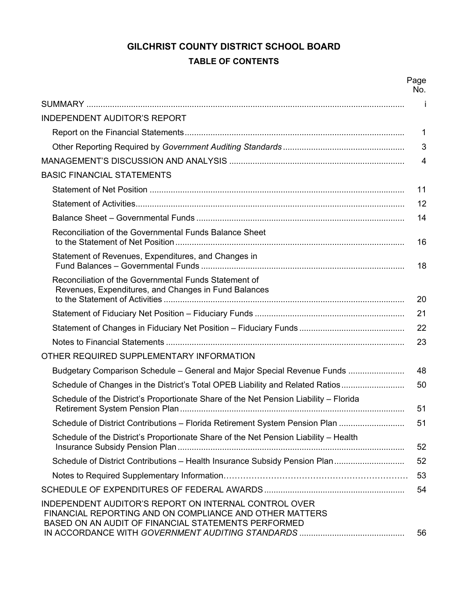# **GILCHRIST COUNTY DISTRICT SCHOOL BOARD TABLE OF CONTENTS**

|                                                                                                                                                                         | Page<br>No.    |
|-------------------------------------------------------------------------------------------------------------------------------------------------------------------------|----------------|
|                                                                                                                                                                         | Ť              |
| <b>INDEPENDENT AUDITOR'S REPORT</b>                                                                                                                                     |                |
|                                                                                                                                                                         | 1              |
|                                                                                                                                                                         | 3              |
|                                                                                                                                                                         | $\overline{4}$ |
| <b>BASIC FINANCIAL STATEMENTS</b>                                                                                                                                       |                |
|                                                                                                                                                                         | 11             |
|                                                                                                                                                                         | 12             |
|                                                                                                                                                                         | 14             |
| Reconciliation of the Governmental Funds Balance Sheet                                                                                                                  | 16             |
| Statement of Revenues, Expenditures, and Changes in                                                                                                                     | 18             |
| Reconciliation of the Governmental Funds Statement of<br>Revenues, Expenditures, and Changes in Fund Balances                                                           | 20             |
|                                                                                                                                                                         | 21             |
|                                                                                                                                                                         | 22             |
|                                                                                                                                                                         | 23             |
| OTHER REQUIRED SUPPLEMENTARY INFORMATION                                                                                                                                |                |
| Budgetary Comparison Schedule – General and Major Special Revenue Funds                                                                                                 | 48             |
| Schedule of Changes in the District's Total OPEB Liability and Related Ratios                                                                                           | 50             |
| Schedule of the District's Proportionate Share of the Net Pension Liability – Florida                                                                                   | 51             |
| Schedule of District Contributions - Florida Retirement System Pension Plan                                                                                             | 51             |
| Schedule of the District's Proportionate Share of the Net Pension Liability - Health                                                                                    | 52             |
| Schedule of District Contributions - Health Insurance Subsidy Pension Plan                                                                                              | 52             |
|                                                                                                                                                                         | 53             |
|                                                                                                                                                                         | 54             |
| INDEPENDENT AUDITOR'S REPORT ON INTERNAL CONTROL OVER<br>FINANCIAL REPORTING AND ON COMPLIANCE AND OTHER MATTERS<br>BASED ON AN AUDIT OF FINANCIAL STATEMENTS PERFORMED | 56             |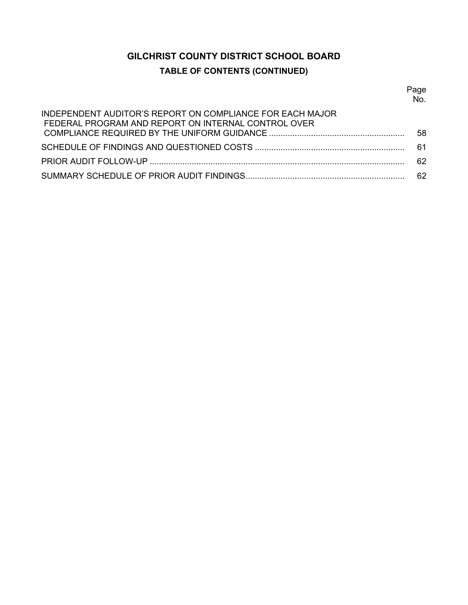# **GILCHRIST COUNTY DISTRICT SCHOOL BOARD**

# **TABLE OF CONTENTS (CONTINUED)**

Page No.

| INDEPENDENT AUDITOR'S REPORT ON COMPLIANCE FOR EACH MAJOR<br>FEDERAL PROGRAM AND REPORT ON INTERNAL CONTROL OVER |     |
|------------------------------------------------------------------------------------------------------------------|-----|
|                                                                                                                  | 58. |
|                                                                                                                  |     |
|                                                                                                                  | -62 |
|                                                                                                                  | -62 |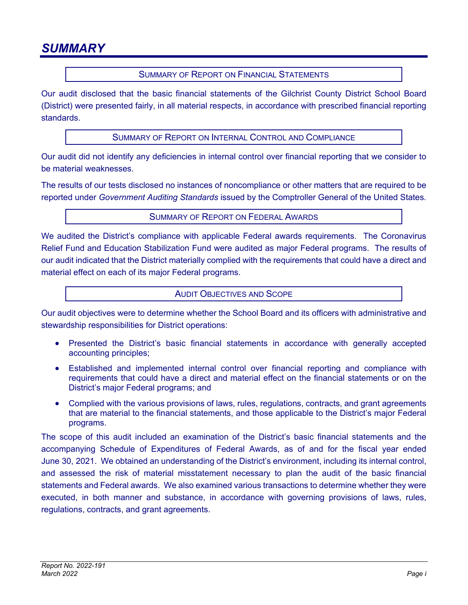### SUMMARY OF REPORT ON FINANCIAL STATEMENTS

<span id="page-4-0"></span>Our audit disclosed that the basic financial statements of the Gilchrist County District School Board (District) were presented fairly, in all material respects, in accordance with prescribed financial reporting standards.

SUMMARY OF REPORT ON INTERNAL CONTROL AND COMPLIANCE

Our audit did not identify any deficiencies in internal control over financial reporting that we consider to be material weaknesses.

The results of our tests disclosed no instances of noncompliance or other matters that are required to be reported under *Government Auditing Standards* issued by the Comptroller General of the United States*.* 

SUMMARY OF REPORT ON FEDERAL AWARDS

We audited the District's compliance with applicable Federal awards requirements. The Coronavirus Relief Fund and Education Stabilization Fund were audited as major Federal programs. The results of our audit indicated that the District materially complied with the requirements that could have a direct and material effect on each of its major Federal programs.

### AUDIT OBJECTIVES AND SCOPE

Our audit objectives were to determine whether the School Board and its officers with administrative and stewardship responsibilities for District operations:

- Presented the District's basic financial statements in accordance with generally accepted accounting principles;
- Established and implemented internal control over financial reporting and compliance with requirements that could have a direct and material effect on the financial statements or on the District's major Federal programs; and
- Complied with the various provisions of laws, rules, regulations, contracts, and grant agreements that are material to the financial statements, and those applicable to the District's major Federal programs.

The scope of this audit included an examination of the District's basic financial statements and the accompanying Schedule of Expenditures of Federal Awards, as of and for the fiscal year ended June 30, 2021. We obtained an understanding of the District's environment, including its internal control, and assessed the risk of material misstatement necessary to plan the audit of the basic financial statements and Federal awards. We also examined various transactions to determine whether they were executed, in both manner and substance, in accordance with governing provisions of laws, rules, regulations, contracts, and grant agreements.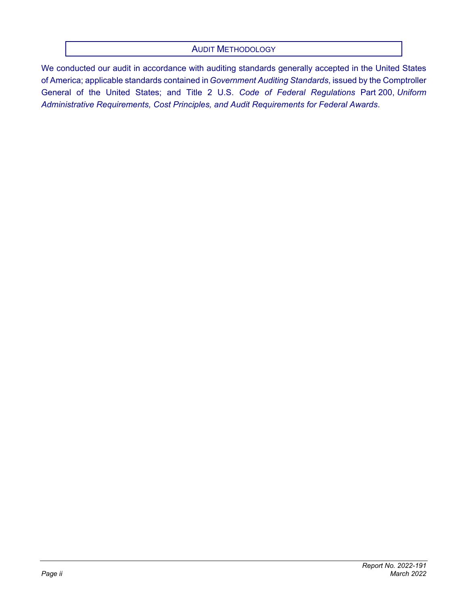### AUDIT METHODOLOGY

We conducted our audit in accordance with auditing standards generally accepted in the United States of America; applicable standards contained in *Government Auditing Standards*, issued by the Comptroller General of the United States; and Title 2 U.S. *Code of Federal Regulations* Part 200, *Uniform Administrative Requirements, Cost Principles, and Audit Requirements for Federal Awards*.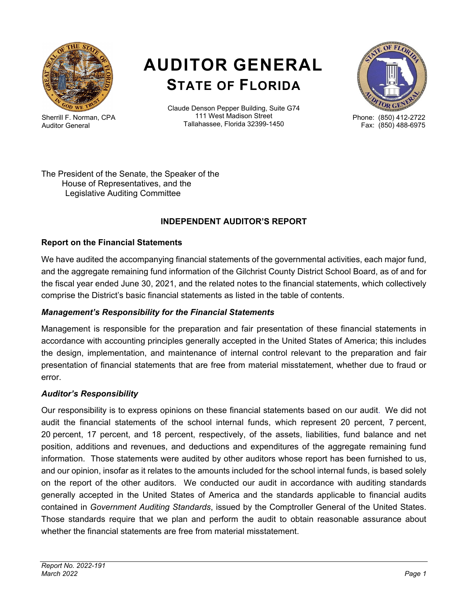<span id="page-6-0"></span>

Sherrill F. Norman, CPA Auditor General

# **AUDITOR GENERAL STATE OF FLORIDA**

Claude Denson Pepper Building, Suite G74 111 West Madison Street Tallahassee, Florida 32399-1450



Phone: (850) 412-2722 Fax: (850) 488-6975

The President of the Senate, the Speaker of the House of Representatives, and the Legislative Auditing Committee

### **INDEPENDENT AUDITOR'S REPORT**

### **Report on the Financial Statements**

We have audited the accompanying financial statements of the governmental activities, each major fund, and the aggregate remaining fund information of the Gilchrist County District School Board, as of and for the fiscal year ended June 30, 2021, and the related notes to the financial statements, which collectively comprise the District's basic financial statements as listed in the table of contents.

### *Management's Responsibility for the Financial Statements*

Management is responsible for the preparation and fair presentation of these financial statements in accordance with accounting principles generally accepted in the United States of America; this includes the design, implementation, and maintenance of internal control relevant to the preparation and fair presentation of financial statements that are free from material misstatement, whether due to fraud or error.

### *Auditor's Responsibility*

Our responsibility is to express opinions on these financial statements based on our audit. We did not audit the financial statements of the school internal funds, which represent 20 percent, 7 percent, 20 percent, 17 percent, and 18 percent, respectively, of the assets, liabilities, fund balance and net position, additions and revenues, and deductions and expenditures of the aggregate remaining fund information. Those statements were audited by other auditors whose report has been furnished to us, and our opinion, insofar as it relates to the amounts included for the school internal funds, is based solely on the report of the other auditors. We conducted our audit in accordance with auditing standards generally accepted in the United States of America and the standards applicable to financial audits contained in *Government Auditing Standards*, issued by the Comptroller General of the United States. Those standards require that we plan and perform the audit to obtain reasonable assurance about whether the financial statements are free from material misstatement.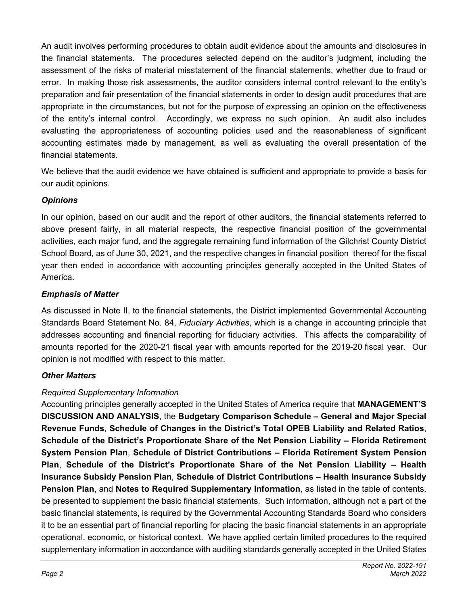An audit involves performing procedures to obtain audit evidence about the amounts and disclosures in the financial statements. The procedures selected depend on the auditor's judgment, including the assessment of the risks of material misstatement of the financial statements, whether due to fraud or error. In making those risk assessments, the auditor considers internal control relevant to the entity's preparation and fair presentation of the financial statements in order to design audit procedures that are appropriate in the circumstances, but not for the purpose of expressing an opinion on the effectiveness of the entity's internal control. Accordingly, we express no such opinion. An audit also includes evaluating the appropriateness of accounting policies used and the reasonableness of significant accounting estimates made by management, as well as evaluating the overall presentation of the financial statements.

We believe that the audit evidence we have obtained is sufficient and appropriate to provide a basis for our audit opinions.

### *Opinions*

In our opinion, based on our audit and the report of other auditors, the financial statements referred to above present fairly, in all material respects, the respective financial position of the governmental activities, each major fund, and the aggregate remaining fund information of the Gilchrist County District School Board, as of June 30, 2021, and the respective changes in financial position thereof for the fiscal year then ended in accordance with accounting principles generally accepted in the United States of America.

### *Emphasis of Matter*

As discussed in Note II. to the financial statements, the District implemented Governmental Accounting Standards Board Statement No. 84, *Fiduciary Activities*, which is a change in accounting principle that addresses accounting and financial reporting for fiduciary activities. This affects the comparability of amounts reported for the 2020-21 fiscal year with amounts reported for the 2019-20 fiscal year. Our opinion is not modified with respect to this matter.

### *Other Matters*

### *Required Supplementary Information*

Accounting principles generally accepted in the United States of America require that **MANAGEMENT'S DISCUSSION AND ANALYSIS**, the **Budgetary Comparison Schedule – General and Major Special Revenue Funds**, **Schedule of Changes in the District's Total OPEB Liability and Related Ratios**, **Schedule of the District's Proportionate Share of the Net Pension Liability – Florida Retirement System Pension Plan**, **Schedule of District Contributions – Florida Retirement System Pension Plan**, **Schedule of the District's Proportionate Share of the Net Pension Liability – Health Insurance Subsidy Pension Plan**, **Schedule of District Contributions – Health Insurance Subsidy Pension Plan**, and **Notes to Required Supplementary Information**, as listed in the table of contents, be presented to supplement the basic financial statements. Such information, although not a part of the basic financial statements, is required by the Governmental Accounting Standards Board who considers it to be an essential part of financial reporting for placing the basic financial statements in an appropriate operational, economic, or historical context. We have applied certain limited procedures to the required supplementary information in accordance with auditing standards generally accepted in the United States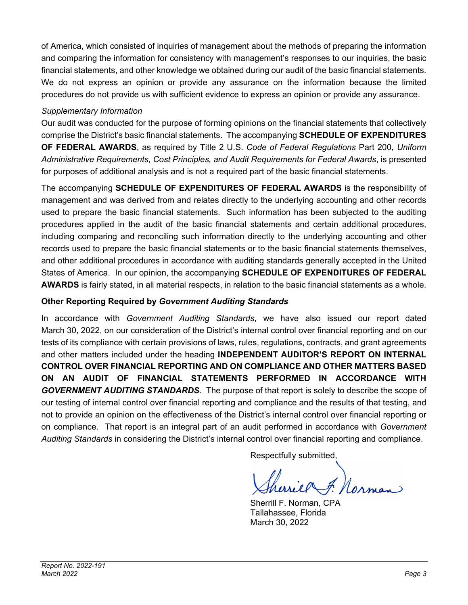<span id="page-8-0"></span>of America, which consisted of inquiries of management about the methods of preparing the information and comparing the information for consistency with management's responses to our inquiries, the basic financial statements, and other knowledge we obtained during our audit of the basic financial statements. We do not express an opinion or provide any assurance on the information because the limited procedures do not provide us with sufficient evidence to express an opinion or provide any assurance.

### *Supplementary Information*

Our audit was conducted for the purpose of forming opinions on the financial statements that collectively comprise the District's basic financial statements. The accompanying **SCHEDULE OF EXPENDITURES OF FEDERAL AWARDS**, as required by Title 2 U.S. *Code of Federal Regulations* Part 200, *Uniform Administrative Requirements, Cost Principles, and Audit Requirements for Federal Awards*, is presented for purposes of additional analysis and is not a required part of the basic financial statements.

The accompanying **SCHEDULE OF EXPENDITURES OF FEDERAL AWARDS** is the responsibility of management and was derived from and relates directly to the underlying accounting and other records used to prepare the basic financial statements. Such information has been subjected to the auditing procedures applied in the audit of the basic financial statements and certain additional procedures, including comparing and reconciling such information directly to the underlying accounting and other records used to prepare the basic financial statements or to the basic financial statements themselves, and other additional procedures in accordance with auditing standards generally accepted in the United States of America. In our opinion, the accompanying **SCHEDULE OF EXPENDITURES OF FEDERAL AWARDS** is fairly stated, in all material respects, in relation to the basic financial statements as a whole.

### **Other Reporting Required by** *Government Auditing Standards*

In accordance with *Government Auditing Standards*, we have also issued our report dated March 30, 2022, on our consideration of the District's internal control over financial reporting and on our tests of its compliance with certain provisions of laws, rules, regulations, contracts, and grant agreements and other matters included under the heading **INDEPENDENT AUDITOR'S REPORT ON INTERNAL CONTROL OVER FINANCIAL REPORTING AND ON COMPLIANCE AND OTHER MATTERS BASED ON AN AUDIT OF FINANCIAL STATEMENTS PERFORMED IN ACCORDANCE WITH**  *GOVERNMENT AUDITING STANDARDS*. The purpose of that report is solely to describe the scope of our testing of internal control over financial reporting and compliance and the results of that testing, and not to provide an opinion on the effectiveness of the District's internal control over financial reporting or on compliance. That report is an integral part of an audit performed in accordance with *Government Auditing Standards* in considering the District's internal control over financial reporting and compliance.

Respectfully submitted,

Sherrill F. Norman, CPA Tallahassee, Florida March 30, 2022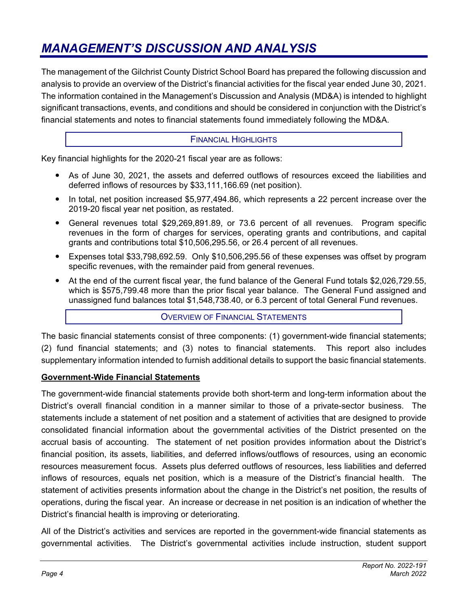# <span id="page-9-0"></span>*MANAGEMENT'S DISCUSSION AND ANALYSIS*

The management of the Gilchrist County District School Board has prepared the following discussion and analysis to provide an overview of the District's financial activities for the fiscal year ended June 30, 2021. The information contained in the Management's Discussion and Analysis (MD&A) is intended to highlight significant transactions, events, and conditions and should be considered in conjunction with the District's financial statements and notes to financial statements found immediately following the MD&A.

### FINANCIAL HIGHLIGHTS

Key financial highlights for the 2020-21 fiscal year are as follows:

- As of June 30, 2021, the assets and deferred outflows of resources exceed the liabilities and deferred inflows of resources by \$33,111,166.69 (net position).
- In total, net position increased \$5,977,494.86, which represents a 22 percent increase over the 2019-20 fiscal year net position, as restated.
- General revenues total \$29,269,891.89, or 73.6 percent of all revenues. Program specific revenues in the form of charges for services, operating grants and contributions, and capital grants and contributions total \$10,506,295.56, or 26.4 percent of all revenues.
- Expenses total \$33,798,692.59. Only \$10,506,295.56 of these expenses was offset by program specific revenues, with the remainder paid from general revenues.
- At the end of the current fiscal year, the fund balance of the General Fund totals \$2,026,729.55, which is \$575,799.48 more than the prior fiscal year balance. The General Fund assigned and unassigned fund balances total \$1,548,738.40, or 6.3 percent of total General Fund revenues.

### OVERVIEW OF FINANCIAL STATEMENTS

The basic financial statements consist of three components: (1) government-wide financial statements; (2) fund financial statements; and (3) notes to financial statements. This report also includes supplementary information intended to furnish additional details to support the basic financial statements.

### **Government-Wide Financial Statements**

The government-wide financial statements provide both short-term and long-term information about the District's overall financial condition in a manner similar to those of a private-sector business. The statements include a statement of net position and a statement of activities that are designed to provide consolidated financial information about the governmental activities of the District presented on the accrual basis of accounting. The statement of net position provides information about the District's financial position, its assets, liabilities, and deferred inflows/outflows of resources, using an economic resources measurement focus. Assets plus deferred outflows of resources, less liabilities and deferred inflows of resources, equals net position, which is a measure of the District's financial health. The statement of activities presents information about the change in the District's net position, the results of operations, during the fiscal year. An increase or decrease in net position is an indication of whether the District's financial health is improving or deteriorating.

All of the District's activities and services are reported in the government-wide financial statements as governmental activities. The District's governmental activities include instruction, student support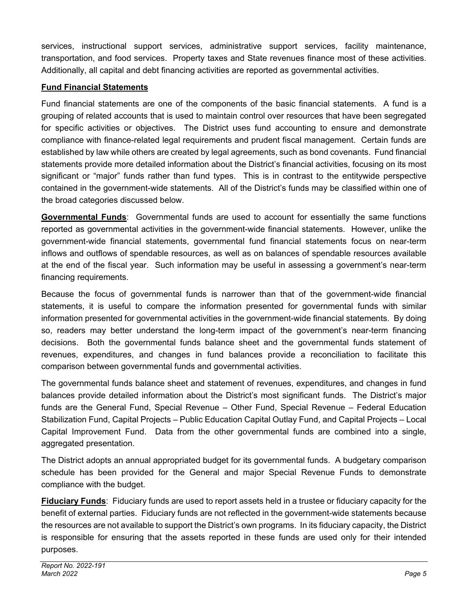services, instructional support services, administrative support services, facility maintenance, transportation, and food services. Property taxes and State revenues finance most of these activities. Additionally, all capital and debt financing activities are reported as governmental activities.

### **Fund Financial Statements**

Fund financial statements are one of the components of the basic financial statements. A fund is a grouping of related accounts that is used to maintain control over resources that have been segregated for specific activities or objectives. The District uses fund accounting to ensure and demonstrate compliance with finance-related legal requirements and prudent fiscal management. Certain funds are established by law while others are created by legal agreements, such as bond covenants. Fund financial statements provide more detailed information about the District's financial activities, focusing on its most significant or "major" funds rather than fund types. This is in contrast to the entitywide perspective contained in the government-wide statements. All of the District's funds may be classified within one of the broad categories discussed below.

**Governmental Funds**: Governmental funds are used to account for essentially the same functions reported as governmental activities in the government-wide financial statements. However, unlike the government-wide financial statements, governmental fund financial statements focus on near-term inflows and outflows of spendable resources, as well as on balances of spendable resources available at the end of the fiscal year. Such information may be useful in assessing a government's near-term financing requirements.

Because the focus of governmental funds is narrower than that of the government-wide financial statements, it is useful to compare the information presented for governmental funds with similar information presented for governmental activities in the government-wide financial statements. By doing so, readers may better understand the long-term impact of the government's near-term financing decisions. Both the governmental funds balance sheet and the governmental funds statement of revenues, expenditures, and changes in fund balances provide a reconciliation to facilitate this comparison between governmental funds and governmental activities.

The governmental funds balance sheet and statement of revenues, expenditures, and changes in fund balances provide detailed information about the District's most significant funds. The District's major funds are the General Fund, Special Revenue – Other Fund, Special Revenue – Federal Education Stabilization Fund, Capital Projects – Public Education Capital Outlay Fund, and Capital Projects – Local Capital Improvement Fund. Data from the other governmental funds are combined into a single, aggregated presentation.

The District adopts an annual appropriated budget for its governmental funds. A budgetary comparison schedule has been provided for the General and major Special Revenue Funds to demonstrate compliance with the budget.

**Fiduciary Funds**: Fiduciary funds are used to report assets held in a trustee or fiduciary capacity for the benefit of external parties. Fiduciary funds are not reflected in the government-wide statements because the resources are not available to support the District's own programs. In its fiduciary capacity, the District is responsible for ensuring that the assets reported in these funds are used only for their intended purposes.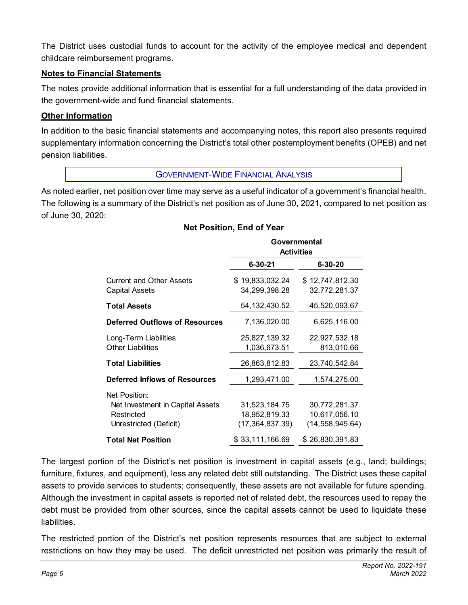The District uses custodial funds to account for the activity of the employee medical and dependent childcare reimbursement programs.

### **Notes to Financial Statements**

The notes provide additional information that is essential for a full understanding of the data provided in the government-wide and fund financial statements.

### **Other Information**

In addition to the basic financial statements and accompanying notes, this report also presents required supplementary information concerning the District's total other postemployment benefits (OPEB) and net pension liabilities.

GOVERNMENT-WIDE FINANCIAL ANALYSIS

As noted earlier, net position over time may serve as a useful indicator of a government's financial health. The following is a summary of the District's net position as of June 30, 2021, compared to net position as of June 30, 2020:

### **Net Position, End of Year**

|                                                                                           | Governmental<br><b>Activities</b>                 |                                                     |  |  |  |  |
|-------------------------------------------------------------------------------------------|---------------------------------------------------|-----------------------------------------------------|--|--|--|--|
|                                                                                           | $6 - 30 - 21$                                     | 6-30-20                                             |  |  |  |  |
| <b>Current and Other Assets</b><br><b>Capital Assets</b>                                  | \$19,833,032.24<br>34,299,398.28                  | \$12,747,812.30<br>32,772,281.37                    |  |  |  |  |
| <b>Total Assets</b>                                                                       | 54, 132, 430.52                                   | 45,520,093.67                                       |  |  |  |  |
| <b>Deferred Outflows of Resources</b>                                                     | 7,136,020.00                                      | 6,625,116.00                                        |  |  |  |  |
| Long-Term Liabilities<br><b>Other Liabilities</b>                                         | 25,827,139.32<br>1,036,673.51                     | 22,927,532.18<br>813,010.66                         |  |  |  |  |
| <b>Total Liabilities</b>                                                                  | 26,863,812.83                                     | 23,740,542.84                                       |  |  |  |  |
| <b>Deferred Inflows of Resources</b>                                                      | 1,293,471.00                                      | 1,574,275.00                                        |  |  |  |  |
| Net Position:<br>Net Investment in Capital Assets<br>Restricted<br>Unrestricted (Deficit) | 31,523,184.75<br>18,952,819.33<br>(17,364,837.39) | 30,772,281.37<br>10,617,056.10<br>(14, 558, 945.64) |  |  |  |  |
| <b>Total Net Position</b>                                                                 | \$26,830,391.83<br>\$33,111,166.69                |                                                     |  |  |  |  |

The largest portion of the District's net position is investment in capital assets (e.g., land; buildings; furniture, fixtures, and equipment), less any related debt still outstanding. The District uses these capital assets to provide services to students; consequently, these assets are not available for future spending. Although the investment in capital assets is reported net of related debt, the resources used to repay the debt must be provided from other sources, since the capital assets cannot be used to liquidate these liabilities.

The restricted portion of the District's net position represents resources that are subject to external restrictions on how they may be used. The deficit unrestricted net position was primarily the result of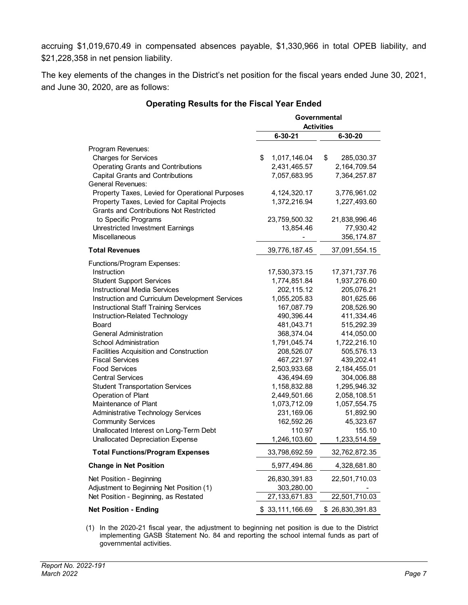accruing \$1,019,670.49 in compensated absences payable, \$1,330,966 in total OPEB liability, and \$21,228,358 in net pension liability.

The key elements of the changes in the District's net position for the fiscal years ended June 30, 2021, and June 30, 2020, are as follows:

|                                                 | Governmental             |                  |  |  |
|-------------------------------------------------|--------------------------|------------------|--|--|
|                                                 | <b>Activities</b>        |                  |  |  |
|                                                 | $6 - 30 - 21$            | $6 - 30 - 20$    |  |  |
| Program Revenues:                               |                          |                  |  |  |
| <b>Charges for Services</b>                     | \$<br>1,017,146.04       | \$<br>285,030.37 |  |  |
| <b>Operating Grants and Contributions</b>       | 2,431,465.57             | 2,164,709.54     |  |  |
| <b>Capital Grants and Contributions</b>         | 7,057,683.95             | 7,364,257.87     |  |  |
| <b>General Revenues:</b>                        |                          |                  |  |  |
| Property Taxes, Levied for Operational Purposes | 4, 124, 320. 17          | 3,776,961.02     |  |  |
| Property Taxes, Levied for Capital Projects     | 1,372,216.94             | 1,227,493.60     |  |  |
| <b>Grants and Contributions Not Restricted</b>  |                          |                  |  |  |
| to Specific Programs                            | 23,759,500.32            | 21,838,996.46    |  |  |
| Unrestricted Investment Earnings                | 13,854.46                | 77,930.42        |  |  |
| Miscellaneous                                   |                          | 356,174.87       |  |  |
|                                                 |                          |                  |  |  |
| <b>Total Revenues</b>                           | 39,776,187.45            | 37,091,554.15    |  |  |
| Functions/Program Expenses:                     |                          |                  |  |  |
| Instruction                                     | 17,530,373.15            | 17,371,737.76    |  |  |
| <b>Student Support Services</b>                 | 1,774,851.84             | 1,937,276.60     |  |  |
| <b>Instructional Media Services</b>             | 202,115.12               | 205,076.21       |  |  |
| Instruction and Curriculum Development Services | 1,055,205.83             | 801,625.66       |  |  |
| <b>Instructional Staff Training Services</b>    | 167,087.79               | 208,526.90       |  |  |
| Instruction-Related Technology                  | 490,396.44               | 411,334.46       |  |  |
| Board                                           | 481,043.71               | 515,292.39       |  |  |
| <b>General Administration</b>                   | 368,374.04               | 414,050.00       |  |  |
| <b>School Administration</b>                    | 1,791,045.74             | 1,722,216.10     |  |  |
| <b>Facilities Acquisition and Construction</b>  | 208,526.07<br>505,576.13 |                  |  |  |
| <b>Fiscal Services</b>                          | 467,221.97               | 439,202.41       |  |  |
| <b>Food Services</b>                            | 2,503,933.68             | 2,184,455.01     |  |  |
| <b>Central Services</b>                         | 436,494.69               | 304,006.88       |  |  |
| <b>Student Transportation Services</b>          | 1,158,832.88             | 1,295,946.32     |  |  |
| Operation of Plant                              | 2,449,501.66             | 2,058,108.51     |  |  |
| Maintenance of Plant                            | 1,073,712.09             | 1,057,554.75     |  |  |
| Administrative Technology Services              | 231,169.06               | 51,892.90        |  |  |
| <b>Community Services</b>                       | 162,592.26               | 45,323.67        |  |  |
| Unallocated Interest on Long-Term Debt          | 110.97                   | 155.10           |  |  |
| <b>Unallocated Depreciation Expense</b>         | 1,246,103.60             | 1,233,514.59     |  |  |
| <b>Total Functions/Program Expenses</b>         | 33,798,692.59            | 32,762,872.35    |  |  |
| <b>Change in Net Position</b>                   | 5,977,494.86             | 4,328,681.80     |  |  |
| Net Position - Beginning                        | 26,830,391.83            | 22,501,710.03    |  |  |
| Adjustment to Beginning Net Position (1)        | 303,280.00               |                  |  |  |
| Net Position - Beginning, as Restated           | 27, 133, 671.83          | 22,501,710.03    |  |  |
| <b>Net Position - Ending</b>                    | \$33,111,166.69          | \$26,830,391.83  |  |  |

### **Operating Results for the Fiscal Year Ended**

(1) In the 2020-21 fiscal year, the adjustment to beginning net position is due to the District implementing GASB Statement No. 84 and reporting the school internal funds as part of governmental activities.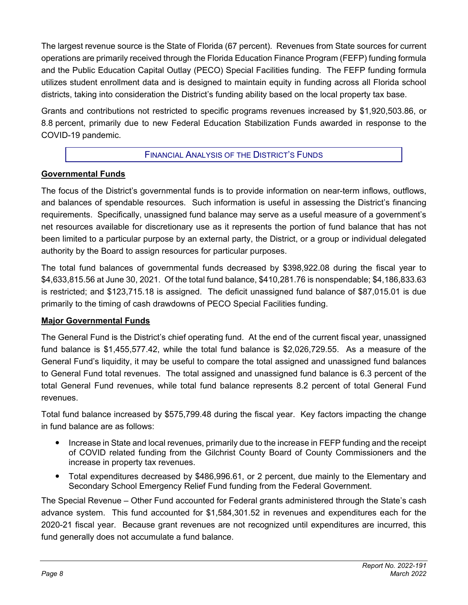The largest revenue source is the State of Florida (67 percent). Revenues from State sources for current operations are primarily received through the Florida Education Finance Program (FEFP) funding formula and the Public Education Capital Outlay (PECO) Special Facilities funding. The FEFP funding formula utilizes student enrollment data and is designed to maintain equity in funding across all Florida school districts, taking into consideration the District's funding ability based on the local property tax base.

Grants and contributions not restricted to specific programs revenues increased by \$1,920,503.86, or 8.8 percent, primarily due to new Federal Education Stabilization Funds awarded in response to the COVID-19 pandemic.

### FINANCIAL ANALYSIS OF THE DISTRICT'S FUNDS

### **Governmental Funds**

The focus of the District's governmental funds is to provide information on near-term inflows, outflows, and balances of spendable resources. Such information is useful in assessing the District's financing requirements. Specifically, unassigned fund balance may serve as a useful measure of a government's net resources available for discretionary use as it represents the portion of fund balance that has not been limited to a particular purpose by an external party, the District, or a group or individual delegated authority by the Board to assign resources for particular purposes.

The total fund balances of governmental funds decreased by \$398,922.08 during the fiscal year to \$4,633,815.56 at June 30, 2021. Of the total fund balance, \$410,281.76 is nonspendable; \$4,186,833.63 is restricted; and \$123,715.18 is assigned. The deficit unassigned fund balance of \$87,015.01 is due primarily to the timing of cash drawdowns of PECO Special Facilities funding.

### **Major Governmental Funds**

The General Fund is the District's chief operating fund. At the end of the current fiscal year, unassigned fund balance is \$1,455,577.42, while the total fund balance is \$2,026,729.55. As a measure of the General Fund's liquidity, it may be useful to compare the total assigned and unassigned fund balances to General Fund total revenues. The total assigned and unassigned fund balance is 6.3 percent of the total General Fund revenues, while total fund balance represents 8.2 percent of total General Fund revenues.

Total fund balance increased by \$575,799.48 during the fiscal year. Key factors impacting the change in fund balance are as follows:

- Increase in State and local revenues, primarily due to the increase in FEFP funding and the receipt of COVID related funding from the Gilchrist County Board of County Commissioners and the increase in property tax revenues.
- Total expenditures decreased by \$486,996.61, or 2 percent, due mainly to the Elementary and Secondary School Emergency Relief Fund funding from the Federal Government.

The Special Revenue – Other Fund accounted for Federal grants administered through the State's cash advance system. This fund accounted for \$1,584,301.52 in revenues and expenditures each for the 2020-21 fiscal year. Because grant revenues are not recognized until expenditures are incurred, this fund generally does not accumulate a fund balance.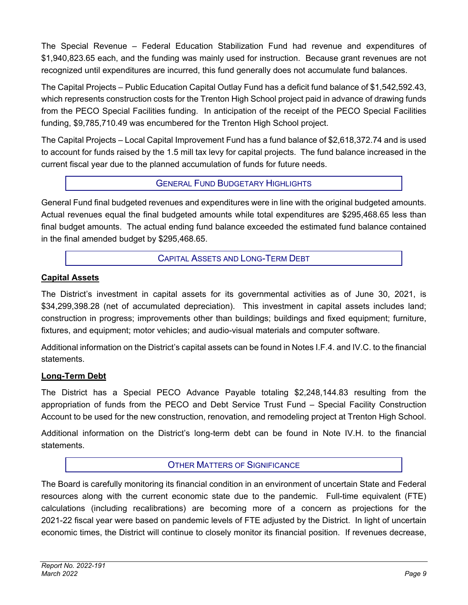The Special Revenue – Federal Education Stabilization Fund had revenue and expenditures of \$1,940,823.65 each, and the funding was mainly used for instruction. Because grant revenues are not recognized until expenditures are incurred, this fund generally does not accumulate fund balances.

The Capital Projects – Public Education Capital Outlay Fund has a deficit fund balance of \$1,542,592.43, which represents construction costs for the Trenton High School project paid in advance of drawing funds from the PECO Special Facilities funding. In anticipation of the receipt of the PECO Special Facilities funding, \$9,785,710.49 was encumbered for the Trenton High School project.

The Capital Projects – Local Capital Improvement Fund has a fund balance of \$2,618,372.74 and is used to account for funds raised by the 1.5 mill tax levy for capital projects. The fund balance increased in the current fiscal year due to the planned accumulation of funds for future needs.

GENERAL FUND BUDGETARY HIGHLIGHTS

General Fund final budgeted revenues and expenditures were in line with the original budgeted amounts. Actual revenues equal the final budgeted amounts while total expenditures are \$295,468.65 less than final budget amounts. The actual ending fund balance exceeded the estimated fund balance contained in the final amended budget by \$295,468.65.

CAPITAL ASSETS AND LONG-TERM DEBT

### **Capital Assets**

The District's investment in capital assets for its governmental activities as of June 30, 2021, is \$34,299,398.28 (net of accumulated depreciation). This investment in capital assets includes land; construction in progress; improvements other than buildings; buildings and fixed equipment; furniture, fixtures, and equipment; motor vehicles; and audio-visual materials and computer software.

Additional information on the District's capital assets can be found in Notes I.F.4. and IV.C. to the financial statements.

### **Long-Term Debt**

The District has a Special PECO Advance Payable totaling \$2,248,144.83 resulting from the appropriation of funds from the PECO and Debt Service Trust Fund – Special Facility Construction Account to be used for the new construction, renovation, and remodeling project at Trenton High School.

Additional information on the District's long-term debt can be found in Note IV.H. to the financial statements.

### OTHER MATTERS OF SIGNIFICANCE

The Board is carefully monitoring its financial condition in an environment of uncertain State and Federal resources along with the current economic state due to the pandemic. Full-time equivalent (FTE) calculations (including recalibrations) are becoming more of a concern as projections for the 2021-22 fiscal year were based on pandemic levels of FTE adjusted by the District. In light of uncertain economic times, the District will continue to closely monitor its financial position. If revenues decrease,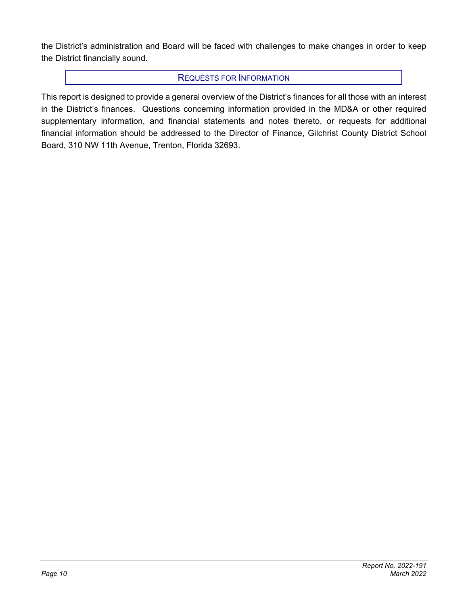the District's administration and Board will be faced with challenges to make changes in order to keep the District financially sound.

### REQUESTS FOR INFORMATION

This report is designed to provide a general overview of the District's finances for all those with an interest in the District's finances. Questions concerning information provided in the MD&A or other required supplementary information, and financial statements and notes thereto, or requests for additional financial information should be addressed to the Director of Finance, Gilchrist County District School Board, 310 NW 11th Avenue, Trenton, Florida 32693.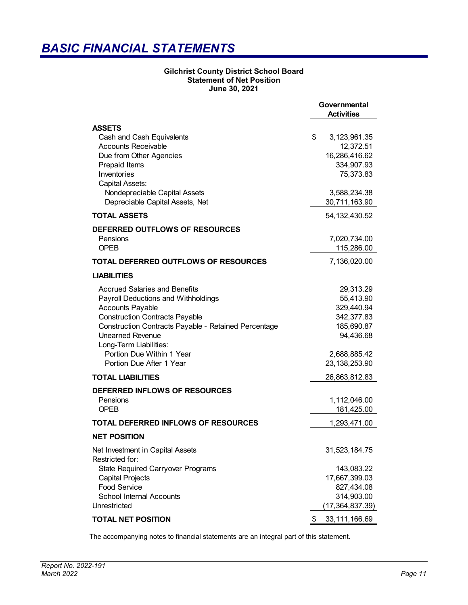# <span id="page-16-0"></span>*BASIC FINANCIAL STATEMENTS*

### **Gilchrist County District School Board Statement of Net Position June 30, 2021**

|                                                                                 | Governmental<br><b>Activities</b> |
|---------------------------------------------------------------------------------|-----------------------------------|
| <b>ASSETS</b>                                                                   |                                   |
| Cash and Cash Equivalents                                                       | \$<br>3, 123, 961. 35             |
| <b>Accounts Receivable</b>                                                      | 12,372.51                         |
| Due from Other Agencies                                                         | 16,286,416.62                     |
| Prepaid Items                                                                   | 334,907.93                        |
| Inventories                                                                     | 75,373.83                         |
| Capital Assets:<br>Nondepreciable Capital Assets                                | 3,588,234.38                      |
| Depreciable Capital Assets, Net                                                 | 30,711,163.90                     |
| <b>TOTAL ASSETS</b>                                                             | 54, 132, 430. 52                  |
| DEFERRED OUTFLOWS OF RESOURCES                                                  |                                   |
| Pensions                                                                        | 7,020,734.00                      |
| <b>OPEB</b>                                                                     | 115,286.00                        |
| TOTAL DEFERRED OUTFLOWS OF RESOURCES                                            | 7,136,020.00                      |
| <b>LIABILITIES</b>                                                              |                                   |
| <b>Accrued Salaries and Benefits</b>                                            | 29,313.29                         |
| Payroll Deductions and Withholdings                                             | 55,413.90                         |
| <b>Accounts Payable</b>                                                         | 329,440.94                        |
| <b>Construction Contracts Payable</b>                                           | 342,377.83                        |
| Construction Contracts Payable - Retained Percentage<br><b>Unearned Revenue</b> | 185,690.87<br>94,436.68           |
| Long-Term Liabilities:                                                          |                                   |
| Portion Due Within 1 Year                                                       | 2,688,885.42                      |
| Portion Due After 1 Year                                                        | 23, 138, 253. 90                  |
| <b>TOTAL LIABILITIES</b>                                                        | 26,863,812.83                     |
| DEFERRED INFLOWS OF RESOURCES                                                   |                                   |
| Pensions                                                                        | 1,112,046.00                      |
| <b>OPEB</b>                                                                     | 181,425.00                        |
| <b>TOTAL DEFERRED INFLOWS OF RESOURCES</b>                                      | 1,293,471.00                      |
| <b>NET POSITION</b>                                                             |                                   |
| Net Investment in Capital Assets<br>Restricted for:                             | 31,523,184.75                     |
| <b>State Required Carryover Programs</b>                                        | 143,083.22                        |
| <b>Capital Projects</b>                                                         | 17,667,399.03                     |
| <b>Food Service</b>                                                             | 827,434.08                        |
| <b>School Internal Accounts</b>                                                 | 314,903.00                        |
| Unrestricted                                                                    | (17, 364, 837.39)                 |
| <b>TOTAL NET POSITION</b>                                                       | \$<br>33, 111, 166.69             |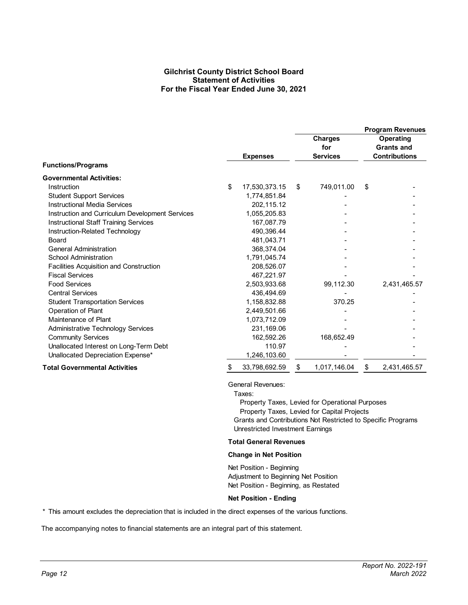### **Gilchrist County District School Board Statement of Activities For the Fiscal Year Ended June 30, 2021**

<span id="page-17-0"></span>

|                                                 |                     |                                          |    | <b>Program Revenues</b>                                       |  |  |
|-------------------------------------------------|---------------------|------------------------------------------|----|---------------------------------------------------------------|--|--|
|                                                 | <b>Expenses</b>     | <b>Charges</b><br>for<br><b>Services</b> |    | <b>Operating</b><br><b>Grants and</b><br><b>Contributions</b> |  |  |
| <b>Functions/Programs</b>                       |                     |                                          |    |                                                               |  |  |
| <b>Governmental Activities:</b>                 |                     |                                          |    |                                                               |  |  |
| Instruction                                     | \$<br>17,530,373.15 | \$<br>749,011.00                         | \$ |                                                               |  |  |
| <b>Student Support Services</b>                 | 1,774,851.84        |                                          |    |                                                               |  |  |
| <b>Instructional Media Services</b>             | 202,115.12          |                                          |    |                                                               |  |  |
| Instruction and Curriculum Development Services | 1,055,205.83        |                                          |    |                                                               |  |  |
| <b>Instructional Staff Training Services</b>    | 167,087.79          |                                          |    |                                                               |  |  |
| Instruction-Related Technology                  | 490.396.44          |                                          |    |                                                               |  |  |
| Board                                           | 481,043.71          |                                          |    |                                                               |  |  |
| <b>General Administration</b>                   | 368,374.04          |                                          |    |                                                               |  |  |
| <b>School Administration</b>                    | 1,791,045.74        |                                          |    |                                                               |  |  |
| <b>Facilities Acquisition and Construction</b>  | 208,526.07          |                                          |    |                                                               |  |  |
| <b>Fiscal Services</b>                          | 467,221.97          |                                          |    |                                                               |  |  |
| <b>Food Services</b>                            | 2,503,933.68        | 99,112.30                                |    | 2,431,465.57                                                  |  |  |
| <b>Central Services</b>                         | 436.494.69          |                                          |    |                                                               |  |  |
| <b>Student Transportation Services</b>          | 1,158,832.88        | 370.25                                   |    |                                                               |  |  |
| Operation of Plant                              | 2,449,501.66        |                                          |    |                                                               |  |  |
| Maintenance of Plant                            | 1,073,712.09        |                                          |    |                                                               |  |  |
| Administrative Technology Services              | 231,169.06          |                                          |    |                                                               |  |  |
| <b>Community Services</b>                       | 162,592.26          | 168,652.49                               |    |                                                               |  |  |
| Unallocated Interest on Long-Term Debt          | 110.97              |                                          |    |                                                               |  |  |
| Unallocated Depreciation Expense*               | 1,246,103.60        |                                          |    |                                                               |  |  |
| <b>Total Governmental Activities</b>            | \$<br>33,798,692.59 | \$<br>1,017,146.04                       | \$ | 2,431,465.57                                                  |  |  |

General Revenues:

Taxes:

 Property Taxes, Levied for Operational Purposes Property Taxes, Levied for Capital Projects Grants and Contributions Not Restricted to Specific Programs Unrestricted Investment Earnings

### **Total General Revenues**

### **Change in Net Position**

Net Position - Beginning Adjustment to Beginning Net Position Net Position - Beginning, as Restated

### **Net Position - Ending**

\* This amount excludes the depreciation that is included in the direct expenses of the various functions.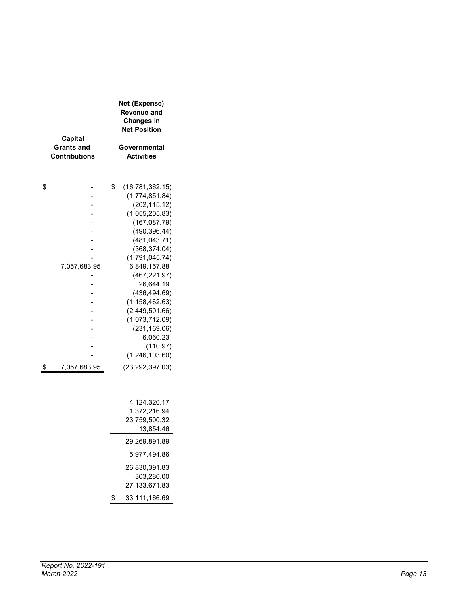|                      | Net (Expense)     |                     |  |  |  |  |
|----------------------|-------------------|---------------------|--|--|--|--|
|                      |                   | <b>Revenue and</b>  |  |  |  |  |
|                      |                   | <b>Changes in</b>   |  |  |  |  |
|                      |                   | <b>Net Position</b> |  |  |  |  |
| <b>Capital</b>       |                   |                     |  |  |  |  |
| <b>Grants and</b>    | Governmental      |                     |  |  |  |  |
| <b>Contributions</b> | <b>Activities</b> |                     |  |  |  |  |
|                      |                   |                     |  |  |  |  |
| \$                   | \$                | (16,781,362.15)     |  |  |  |  |
|                      |                   | (1,774,851.84)      |  |  |  |  |
|                      |                   | (202, 115.12)       |  |  |  |  |
|                      |                   | (1,055,205.83)      |  |  |  |  |
|                      | (167, 087.79)     |                     |  |  |  |  |
|                      | (490, 396.44)     |                     |  |  |  |  |
|                      | (481, 043.71)     |                     |  |  |  |  |
|                      |                   | (368, 374.04)       |  |  |  |  |
|                      | (1,791,045.74)    |                     |  |  |  |  |
| 7,057,683.95         | 6,849,157.88      |                     |  |  |  |  |
|                      |                   | (467, 221.97)       |  |  |  |  |
|                      |                   | 26.644.19           |  |  |  |  |
|                      |                   | (436, 494.69)       |  |  |  |  |
|                      |                   | (1, 158, 462.63)    |  |  |  |  |
|                      |                   | (2,449,501.66)      |  |  |  |  |
|                      |                   | (1,073,712.09)      |  |  |  |  |
|                      |                   | (231, 169.06)       |  |  |  |  |
|                      |                   | 6,060.23            |  |  |  |  |
|                      |                   | (110.97)            |  |  |  |  |
|                      |                   | (1, 246, 103.60)    |  |  |  |  |
| \$<br>7,057,683.95   |                   | (23, 292, 397.03)   |  |  |  |  |

| 4.124.320.17        |
|---------------------|
| 1,372,216.94        |
| 23,759,500.32       |
| 13.854.46           |
| 29,269,891.89       |
| 5.977.494.86        |
| 26.830.391.83       |
| 303,280.00          |
| 27,133,671.83       |
| \$<br>33,111,166.69 |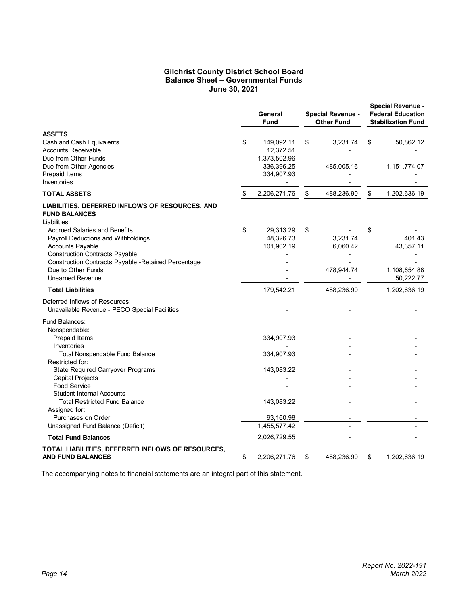### **Gilchrist County District School Board Balance Sheet – Governmental Funds June 30, 2021**

<span id="page-19-0"></span>

|                                                                                                                                                                                 | General<br><b>Fund</b>                                                    |               | <b>Special Revenue -</b><br><b>Other Fund</b> |    | Special Revenue -<br><b>Federal Education</b><br><b>Stabilization Fund</b> |  |
|---------------------------------------------------------------------------------------------------------------------------------------------------------------------------------|---------------------------------------------------------------------------|---------------|-----------------------------------------------|----|----------------------------------------------------------------------------|--|
| <b>ASSETS</b><br>Cash and Cash Equivalents<br><b>Accounts Receivable</b><br>Due from Other Funds<br>Due from Other Agencies<br>Prepaid Items<br>Inventories                     | \$<br>149,092.11<br>12,372.51<br>1,373,502.96<br>336,396.25<br>334,907.93 | \$            | 3,231.74<br>485,005.16                        | \$ | 50,862.12<br>1,151,774.07                                                  |  |
| <b>TOTAL ASSETS</b>                                                                                                                                                             | \$<br>2,206,271.76                                                        | $\sqrt[6]{2}$ | 488,236.90                                    | \$ | 1,202,636.19                                                               |  |
| LIABILITIES, DEFERRED INFLOWS OF RESOURCES, AND<br><b>FUND BALANCES</b><br>Liabilities:<br><b>Accrued Salaries and Benefits</b><br>Payroll Deductions and Withholdings          | \$<br>29,313.29<br>48,326.73                                              | \$            | 3,231.74                                      | \$ | 401.43                                                                     |  |
| <b>Accounts Payable</b><br><b>Construction Contracts Payable</b><br><b>Construction Contracts Payable -Retained Percentage</b><br>Due to Other Funds<br><b>Unearned Revenue</b> | 101,902.19                                                                |               | 6,060.42<br>478,944.74                        |    | 43,357.11<br>1,108,654.88<br>50,222.77                                     |  |
| <b>Total Liabilities</b>                                                                                                                                                        | 179,542.21                                                                |               | 488,236.90                                    |    | 1,202,636.19                                                               |  |
| Deferred Inflows of Resources:<br>Unavailable Revenue - PECO Special Facilities                                                                                                 |                                                                           |               |                                               |    |                                                                            |  |
| Fund Balances:<br>Nonspendable:<br>Prepaid Items<br>Inventories<br><b>Total Nonspendable Fund Balance</b>                                                                       | 334,907.93<br>334,907.93                                                  |               |                                               |    |                                                                            |  |
| Restricted for:<br>State Required Carryover Programs<br><b>Capital Projects</b><br><b>Food Service</b><br><b>Student Internal Accounts</b>                                      | 143,083.22                                                                |               |                                               |    |                                                                            |  |
| <b>Total Restricted Fund Balance</b><br>Assigned for:<br>Purchases on Order<br>Unassigned Fund Balance (Deficit)                                                                | 143,083.22<br>93,160.98<br>1,455,577.42                                   |               | $\overline{a}$                                |    |                                                                            |  |
| <b>Total Fund Balances</b>                                                                                                                                                      | 2,026,729.55                                                              |               |                                               |    |                                                                            |  |
| TOTAL LIABILITIES, DEFERRED INFLOWS OF RESOURCES,<br><b>AND FUND BALANCES</b>                                                                                                   | \$<br>2,206,271.76                                                        | \$            | 488,236.90                                    | \$ | 1,202,636.19                                                               |  |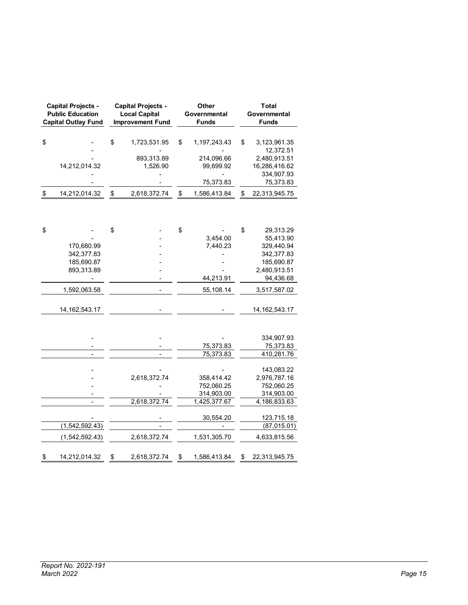| <b>Capital Projects -</b><br><b>Public Education</b><br><b>Capital Outlay Fund</b> | <b>Capital Projects -</b><br><b>Local Capital</b><br><b>Improvement Fund</b> |      | Other<br>Governmental<br><b>Funds</b> |    | <b>Total</b><br>Governmental<br><b>Funds</b> |
|------------------------------------------------------------------------------------|------------------------------------------------------------------------------|------|---------------------------------------|----|----------------------------------------------|
| \$                                                                                 | \$<br>1,723,531.95                                                           | \$   | 1, 197, 243. 43                       | \$ | 3,123,961.35                                 |
|                                                                                    |                                                                              |      |                                       |    | 12,372.51                                    |
|                                                                                    | 893,313.89                                                                   |      | 214,096.66                            |    | 2,480,913.51                                 |
| 14,212,014.32                                                                      | 1,526.90                                                                     |      | 99,699.92                             |    | 16,286,416.62                                |
|                                                                                    |                                                                              |      |                                       |    | 334,907.93                                   |
|                                                                                    |                                                                              |      | 75,373.83                             |    | 75,373.83                                    |
| \$<br>14,212,014.32                                                                | \$<br>2,618,372.74                                                           | $\,$ | 1,586,413.84                          |    | 22,313,945.75                                |
| \$                                                                                 | \$                                                                           | \$   |                                       | \$ | 29,313.29                                    |
|                                                                                    |                                                                              |      | 3,454.00                              |    | 55,413.90                                    |
| 170,680.99                                                                         |                                                                              |      | 7,440.23                              |    | 329,440.94                                   |
| 342,377.83                                                                         |                                                                              |      |                                       |    | 342,377.83                                   |
| 185,690.87                                                                         |                                                                              |      |                                       |    | 185,690.87                                   |
| 893,313.89                                                                         |                                                                              |      |                                       |    | 2,480,913.51                                 |
|                                                                                    |                                                                              |      | 44,213.91                             |    | 94,436.68                                    |
| 1,592,063.58                                                                       |                                                                              |      | 55, 108.14                            |    | 3,517,587.02                                 |
| 14,162,543.17                                                                      |                                                                              |      |                                       |    | 14, 162, 543. 17                             |
|                                                                                    |                                                                              |      |                                       |    | 334,907.93                                   |
|                                                                                    |                                                                              |      | 75,373.83                             |    | 75,373.83                                    |
|                                                                                    |                                                                              |      | 75,373.83                             |    | 410,281.76                                   |
|                                                                                    |                                                                              |      |                                       |    | 143,083.22                                   |
|                                                                                    | 2,618,372.74                                                                 |      | 358,414.42                            |    | 2,976,787.16                                 |
|                                                                                    |                                                                              |      | 752,060.25                            |    | 752,060.25                                   |
|                                                                                    |                                                                              |      | 314,903.00                            |    | 314,903.00                                   |
|                                                                                    | 2,618,372.74                                                                 |      | 1,425,377.67                          |    | 4,186,833.63                                 |
|                                                                                    |                                                                              |      | 30,554.20                             |    | 123,715.18                                   |
| (1, 542, 592.43)                                                                   |                                                                              |      |                                       |    | (87,015.01)                                  |
| (1,542,592.43)                                                                     | 2,618,372.74                                                                 |      | 1,531,305.70                          |    | 4,633,815.56                                 |
| \$<br>14,212,014.32                                                                | \$<br>2,618,372.74                                                           | \$   | 1,586,413.84                          | \$ | 22,313,945.75                                |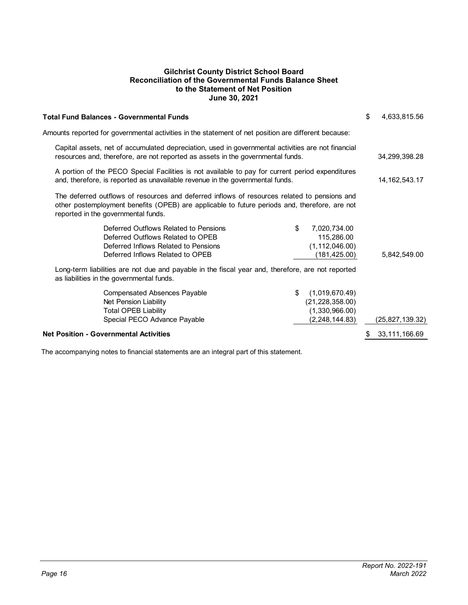### **Gilchrist County District School Board Reconciliation of the Governmental Funds Balance Sheet to the Statement of Net Position June 30, 2021**

<span id="page-21-0"></span>

| <b>Total Fund Balances - Governmental Funds</b>                                                                                                                                                                                      | \$<br>4,633,815.56                                                              |                   |
|--------------------------------------------------------------------------------------------------------------------------------------------------------------------------------------------------------------------------------------|---------------------------------------------------------------------------------|-------------------|
| Amounts reported for governmental activities in the statement of net position are different because:                                                                                                                                 |                                                                                 |                   |
| Capital assets, net of accumulated depreciation, used in governmental activities are not financial<br>resources and, therefore, are not reported as assets in the governmental funds.                                                | 34,299,398.28                                                                   |                   |
| A portion of the PECO Special Facilities is not available to pay for current period expenditures<br>and, therefore, is reported as unavailable revenue in the governmental funds.                                                    |                                                                                 | 14, 162, 543. 17  |
| The deferred outflows of resources and deferred inflows of resources related to pensions and<br>other postemployment benefits (OPEB) are applicable to future periods and, therefore, are not<br>reported in the governmental funds. |                                                                                 |                   |
| Deferred Outflows Related to Pensions<br>Deferred Outflows Related to OPEB<br>Deferred Inflows Related to Pensions<br>Deferred Inflows Related to OPEB                                                                               | \$<br>7,020,734.00<br>115,286.00<br>(1, 112, 046.00)<br>(181,425.00)            | 5,842,549.00      |
| Long-term liabilities are not due and payable in the fiscal year and, therefore, are not reported<br>as liabilities in the governmental funds.                                                                                       |                                                                                 |                   |
| <b>Compensated Absences Payable</b><br>Net Pension Liability<br><b>Total OPEB Liability</b><br>Special PECO Advance Payable                                                                                                          | \$<br>(1,019,670.49)<br>(21, 228, 358.00)<br>(1,330,966.00)<br>(2, 248, 144.83) | (25, 827, 139.32) |
| <b>Net Position - Governmental Activities</b>                                                                                                                                                                                        |                                                                                 | 33,111,166.69     |
|                                                                                                                                                                                                                                      |                                                                                 |                   |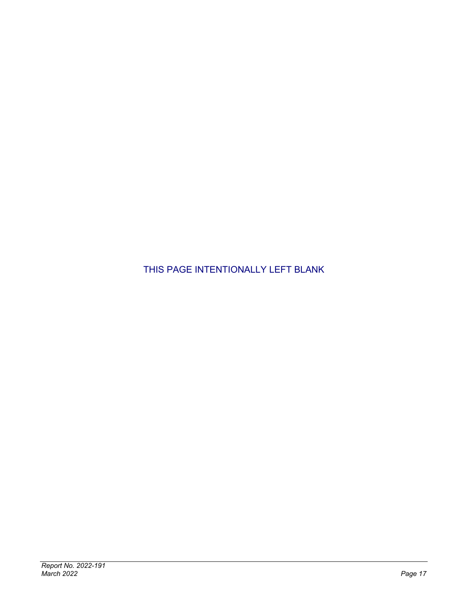THIS PAGE INTENTIONALLY LEFT BLANK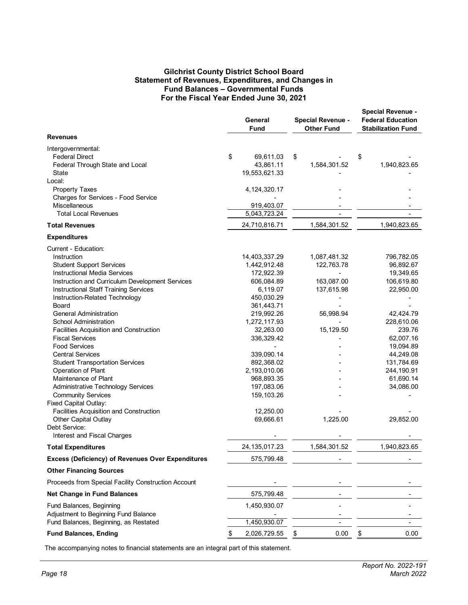### **Gilchrist County District School Board Statement of Revenues, Expenditures, and Changes in Fund Balances – Governmental Funds For the Fiscal Year Ended June 30, 2021**

<span id="page-23-0"></span>

|                                                          | General<br><b>Fund</b> | <b>Special Revenue -</b><br><b>Other Fund</b> |              | <b>Special Revenue -</b><br><b>Federal Education</b><br><b>Stabilization Fund</b> |              |
|----------------------------------------------------------|------------------------|-----------------------------------------------|--------------|-----------------------------------------------------------------------------------|--------------|
| <b>Revenues</b>                                          |                        |                                               |              |                                                                                   |              |
| Intergovernmental:                                       |                        |                                               |              |                                                                                   |              |
| <b>Federal Direct</b>                                    | \$<br>69,611.03        | \$                                            |              | \$                                                                                |              |
| Federal Through State and Local                          | 43,861.11              |                                               | 1,584,301.52 |                                                                                   | 1,940,823.65 |
| State                                                    | 19,553,621.33          |                                               |              |                                                                                   |              |
| Local:                                                   |                        |                                               |              |                                                                                   |              |
| <b>Property Taxes</b>                                    | 4, 124, 320. 17        |                                               |              |                                                                                   |              |
| Charges for Services - Food Service                      |                        |                                               |              |                                                                                   |              |
| Miscellaneous                                            | 919,403.07             |                                               |              |                                                                                   |              |
| <b>Total Local Revenues</b>                              | 5,043,723.24           |                                               |              |                                                                                   |              |
| <b>Total Revenues</b>                                    | 24,710,816.71          |                                               | 1,584,301.52 |                                                                                   | 1,940,823.65 |
| <b>Expenditures</b>                                      |                        |                                               |              |                                                                                   |              |
| Current - Education:                                     |                        |                                               |              |                                                                                   |              |
| Instruction                                              | 14,403,337.29          |                                               | 1,087,481.32 |                                                                                   | 796,782.05   |
| <b>Student Support Services</b>                          | 1,442,912.48           |                                               | 122,763.78   |                                                                                   | 96,892.67    |
| Instructional Media Services                             | 172,922.39             |                                               |              |                                                                                   | 19,349.65    |
| Instruction and Curriculum Development Services          | 606,084.89             |                                               | 163,087.00   |                                                                                   | 106,619.80   |
| <b>Instructional Staff Training Services</b>             | 6,119.07               |                                               | 137,615.98   |                                                                                   | 22,950.00    |
| Instruction-Related Technology                           | 450,030.29             |                                               |              |                                                                                   |              |
| Board                                                    | 361,443.71             |                                               |              |                                                                                   |              |
| <b>General Administration</b>                            | 219,992.26             |                                               | 56,998.94    |                                                                                   | 42,424.79    |
| School Administration                                    | 1,272,117.93           |                                               |              |                                                                                   | 228,610.06   |
| Facilities Acquisition and Construction                  | 32,263.00              |                                               | 15,129.50    |                                                                                   | 239.76       |
| <b>Fiscal Services</b>                                   | 336,329.42             |                                               |              |                                                                                   | 62,007.16    |
| <b>Food Services</b>                                     |                        |                                               |              |                                                                                   | 19,094.89    |
| <b>Central Services</b>                                  | 339,090.14             |                                               |              |                                                                                   | 44,249.08    |
| <b>Student Transportation Services</b>                   | 892,368.02             |                                               |              |                                                                                   | 131,784.69   |
| Operation of Plant                                       | 2,193,010.06           |                                               |              |                                                                                   | 244,190.91   |
| Maintenance of Plant                                     | 968,893.35             |                                               |              |                                                                                   | 61,690.14    |
| Administrative Technology Services                       | 197,083.06             |                                               |              |                                                                                   | 34,086.00    |
| <b>Community Services</b>                                | 159,103.26             |                                               |              |                                                                                   |              |
| Fixed Capital Outlay:                                    |                        |                                               |              |                                                                                   |              |
| Facilities Acquisition and Construction                  | 12,250.00              |                                               |              |                                                                                   |              |
| Other Capital Outlay                                     | 69,666.61              |                                               | 1,225.00     |                                                                                   | 29,852.00    |
| Debt Service:                                            |                        |                                               |              |                                                                                   |              |
| Interest and Fiscal Charges                              |                        |                                               |              |                                                                                   |              |
| <b>Total Expenditures</b>                                | 24, 135, 017. 23       |                                               | 1,584,301.52 |                                                                                   | 1,940,823.65 |
| <b>Excess (Deficiency) of Revenues Over Expenditures</b> | 575,799.48             |                                               |              |                                                                                   |              |
| <b>Other Financing Sources</b>                           |                        |                                               |              |                                                                                   |              |
| Proceeds from Special Facility Construction Account      |                        |                                               |              |                                                                                   |              |
| <b>Net Change in Fund Balances</b>                       | 575,799.48             |                                               |              |                                                                                   |              |
| Fund Balances, Beginning                                 | 1,450,930.07           |                                               |              |                                                                                   |              |
| Adjustment to Beginning Fund Balance                     |                        |                                               |              |                                                                                   |              |
| Fund Balances, Beginning, as Restated                    | 1,450,930.07           |                                               |              |                                                                                   |              |
| <b>Fund Balances, Ending</b>                             | 2,026,729.55           | \$                                            | 0.00         | \$                                                                                | 0.00         |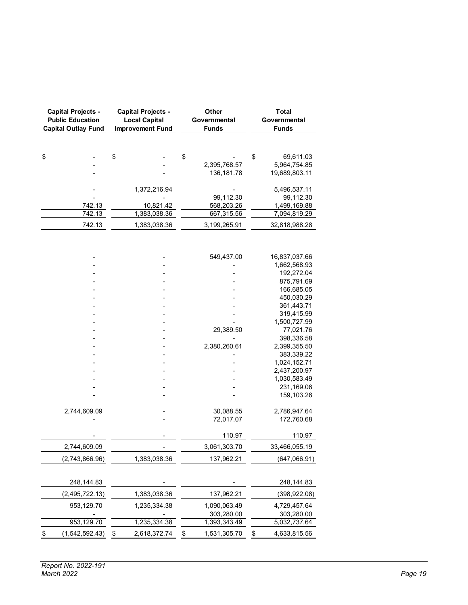| <b>Capital Projects -</b><br><b>Public Education</b><br><b>Capital Outlay Fund</b> | <b>Capital Projects -</b><br><b>Local Capital</b><br><b>Improvement Fund</b> | Other<br>Governmental<br><b>Funds</b> |    | <b>Total</b><br>Governmental<br><b>Funds</b> |
|------------------------------------------------------------------------------------|------------------------------------------------------------------------------|---------------------------------------|----|----------------------------------------------|
| \$                                                                                 | \$                                                                           | \$                                    | \$ |                                              |
|                                                                                    |                                                                              | 2,395,768.57                          |    | 69,611.03<br>5,964,754.85                    |
|                                                                                    |                                                                              | 136, 181. 78                          |    | 19,689,803.11                                |
|                                                                                    |                                                                              |                                       |    |                                              |
|                                                                                    | 1,372,216.94                                                                 |                                       |    | 5,496,537.11                                 |
|                                                                                    |                                                                              | 99,112.30                             |    | 99,112.30                                    |
| 742.13                                                                             | 10,821.42                                                                    | 568,203.26                            |    | 1,499,169.88                                 |
| 742.13                                                                             | 1,383,038.36                                                                 | 667,315.56                            |    | 7,094,819.29                                 |
| 742.13                                                                             | 1,383,038.36                                                                 | 3,199,265.91                          |    | 32,818,988.28                                |
|                                                                                    |                                                                              |                                       |    |                                              |
|                                                                                    |                                                                              | 549,437.00                            |    | 16,837,037.66                                |
|                                                                                    |                                                                              |                                       |    | 1,662,568.93                                 |
|                                                                                    |                                                                              |                                       |    | 192,272.04                                   |
|                                                                                    |                                                                              |                                       |    | 875,791.69                                   |
|                                                                                    |                                                                              |                                       |    | 166,685.05<br>450,030.29                     |
|                                                                                    |                                                                              |                                       |    | 361,443.71                                   |
|                                                                                    |                                                                              |                                       |    | 319,415.99                                   |
|                                                                                    |                                                                              |                                       |    | 1,500,727.99                                 |
|                                                                                    |                                                                              | 29,389.50                             |    | 77,021.76                                    |
|                                                                                    |                                                                              |                                       |    | 398,336.58                                   |
|                                                                                    |                                                                              | 2,380,260.61                          |    | 2,399,355.50                                 |
|                                                                                    |                                                                              |                                       |    | 383,339.22                                   |
|                                                                                    |                                                                              |                                       |    | 1,024,152.71                                 |
|                                                                                    |                                                                              |                                       |    | 2,437,200.97                                 |
|                                                                                    |                                                                              |                                       |    | 1,030,583.49                                 |
|                                                                                    |                                                                              |                                       |    | 231,169.06                                   |
|                                                                                    |                                                                              |                                       |    | 159,103.26                                   |
| 2,744,609.09                                                                       |                                                                              | 30,088.55                             |    | 2,786,947.64                                 |
|                                                                                    |                                                                              | 72,017.07                             |    | 172,760.68                                   |
|                                                                                    |                                                                              | 110.97                                |    | 110.97                                       |
| 2,744,609.09                                                                       |                                                                              | 3,061,303.70                          |    | 33,466,055.19                                |
| (2,743,866.96)                                                                     | 1,383,038.36                                                                 | 137,962.21                            |    | (647,066.91)                                 |
|                                                                                    |                                                                              |                                       |    |                                              |
| 248, 144.83                                                                        |                                                                              |                                       |    | 248, 144.83                                  |
| (2,495,722.13)                                                                     | 1,383,038.36                                                                 | 137,962.21                            |    | (398, 922.08)                                |
| 953, 129.70                                                                        | 1,235,334.38                                                                 | 1,090,063.49                          |    | 4,729,457.64                                 |
|                                                                                    |                                                                              | 303,280.00                            |    | 303,280.00                                   |
| 953, 129.70                                                                        | 1,235,334.38                                                                 | 1,393,343.49                          |    | 5,032,737.64                                 |
| \$<br>(1,542,592.43)                                                               | 2,618,372.74<br>\$                                                           | \$<br>1,531,305.70                    | \$ | 4,633,815.56                                 |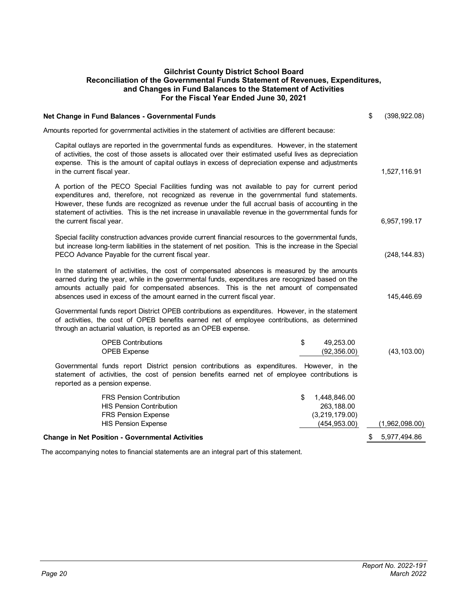### <span id="page-25-0"></span>**Gilchrist County District School Board Reconciliation of the Governmental Funds Statement of Revenues, Expenditures, and Changes in Fund Balances to the Statement of Activities For the Fiscal Year Ended June 30, 2021**

| Net Change in Fund Balances - Governmental Funds                                                                                                                                                                                                                                                                                                                                                                                      | \$<br>(398, 922.08) |
|---------------------------------------------------------------------------------------------------------------------------------------------------------------------------------------------------------------------------------------------------------------------------------------------------------------------------------------------------------------------------------------------------------------------------------------|---------------------|
| Amounts reported for governmental activities in the statement of activities are different because:                                                                                                                                                                                                                                                                                                                                    |                     |
| Capital outlays are reported in the governmental funds as expenditures. However, in the statement<br>of activities, the cost of those assets is allocated over their estimated useful lives as depreciation<br>expense. This is the amount of capital outlays in excess of depreciation expense and adjustments<br>in the current fiscal year.                                                                                        | 1,527,116.91        |
| A portion of the PECO Special Facilities funding was not available to pay for current period<br>expenditures and, therefore, not recognized as revenue in the governmental fund statements.<br>However, these funds are recognized as revenue under the full accrual basis of accounting in the<br>statement of activities. This is the net increase in unavailable revenue in the governmental funds for<br>the current fiscal year. | 6,957,199.17        |
| Special facility construction advances provide current financial resources to the governmental funds,<br>but increase long-term liabilities in the statement of net position. This is the increase in the Special<br>PECO Advance Payable for the current fiscal year.                                                                                                                                                                | (248, 144.83)       |
| In the statement of activities, the cost of compensated absences is measured by the amounts<br>earned during the year, while in the governmental funds, expenditures are recognized based on the<br>amounts actually paid for compensated absences. This is the net amount of compensated<br>absences used in excess of the amount earned in the current fiscal year.                                                                 | 145,446.69          |
| Governmental funds report District OPEB contributions as expenditures. However, in the statement<br>of activities, the cost of OPEB benefits earned net of employee contributions, as determined<br>through an actuarial valuation, is reported as an OPEB expense.                                                                                                                                                                   |                     |
| \$<br><b>OPEB Contributions</b><br>49,253.00<br><b>OPEB Expense</b><br>(92, 356.00)                                                                                                                                                                                                                                                                                                                                                   | (43, 103.00)        |
| Governmental funds report District pension contributions as expenditures. However, in the<br>statement of activities, the cost of pension benefits earned net of employee contributions is<br>reported as a pension expense.                                                                                                                                                                                                          |                     |
| <b>FRS Pension Contribution</b><br>1,448,846.00<br>\$<br>263,188.00<br><b>HIS Pension Contribution</b><br>(3,219,179.00)<br>FRS Pension Expense<br><b>HIS Pension Expense</b><br>(454, 953.00)                                                                                                                                                                                                                                        | (1,962,098.00)      |
| <b>Change in Net Position - Governmental Activities</b>                                                                                                                                                                                                                                                                                                                                                                               | \$<br>5,977,494.86  |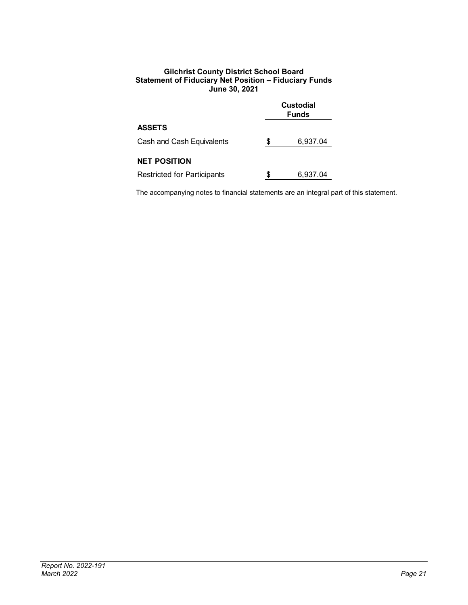### <span id="page-26-0"></span>**Gilchrist County District School Board Statement of Fiduciary Net Position – Fiduciary Funds June 30, 2021**

|                                    | <b>Custodial</b><br><b>Funds</b> |          |  |  |
|------------------------------------|----------------------------------|----------|--|--|
| <b>ASSETS</b>                      |                                  |          |  |  |
| Cash and Cash Equivalents          | S                                | 6,937.04 |  |  |
| <b>NET POSITION</b>                |                                  |          |  |  |
| <b>Restricted for Participants</b> | \$                               | 6,937.04 |  |  |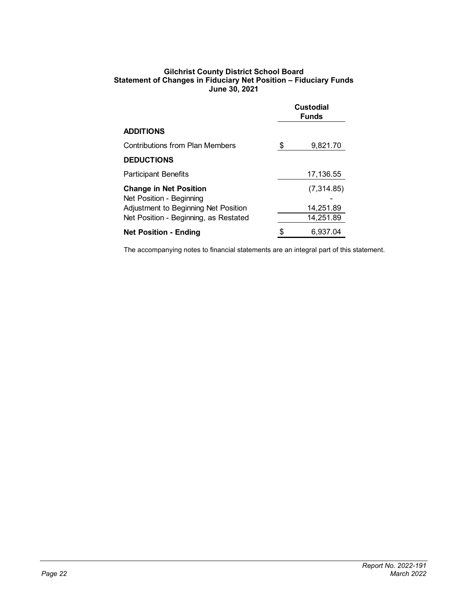### <span id="page-27-0"></span>**Gilchrist County District School Board Statement of Changes in Fiduciary Net Position – Fiduciary Funds June 30, 2021**

|                                                                                                                                            |   | <b>Custodial</b><br><b>Funds</b>     |
|--------------------------------------------------------------------------------------------------------------------------------------------|---|--------------------------------------|
| <b>ADDITIONS</b>                                                                                                                           |   |                                      |
| <b>Contributions from Plan Members</b>                                                                                                     | S | 9,821.70                             |
| <b>DEDUCTIONS</b>                                                                                                                          |   |                                      |
| <b>Participant Benefits</b>                                                                                                                |   | 17,136.55                            |
| <b>Change in Net Position</b><br>Net Position - Beginning<br>Adjustment to Beginning Net Position<br>Net Position - Beginning, as Restated |   | (7,314.85)<br>14,251.89<br>14,251.89 |
| <b>Net Position - Ending</b>                                                                                                               |   | 6.937.04                             |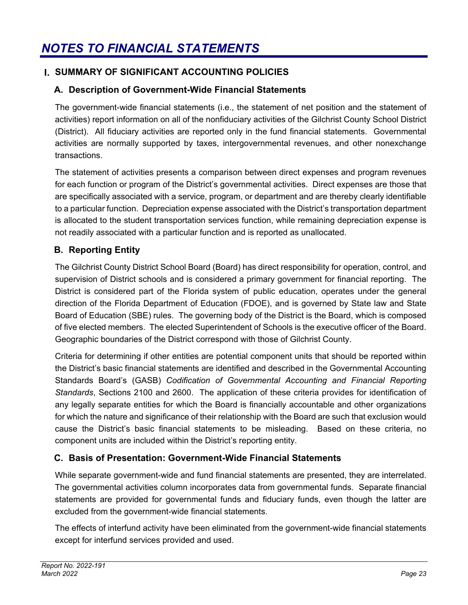### <span id="page-28-0"></span> **SUMMARY OF SIGNIFICANT ACCOUNTING POLICIES**

### **A. Description of Government-Wide Financial Statements**

The government-wide financial statements (i.e., the statement of net position and the statement of activities) report information on all of the nonfiduciary activities of the Gilchrist County School District (District). All fiduciary activities are reported only in the fund financial statements. Governmental activities are normally supported by taxes, intergovernmental revenues, and other nonexchange transactions.

The statement of activities presents a comparison between direct expenses and program revenues for each function or program of the District's governmental activities. Direct expenses are those that are specifically associated with a service, program, or department and are thereby clearly identifiable to a particular function. Depreciation expense associated with the District's transportation department is allocated to the student transportation services function, while remaining depreciation expense is not readily associated with a particular function and is reported as unallocated.

### **B. Reporting Entity**

The Gilchrist County District School Board (Board) has direct responsibility for operation, control, and supervision of District schools and is considered a primary government for financial reporting. The District is considered part of the Florida system of public education, operates under the general direction of the Florida Department of Education (FDOE), and is governed by State law and State Board of Education (SBE) rules. The governing body of the District is the Board, which is composed of five elected members. The elected Superintendent of Schools is the executive officer of the Board. Geographic boundaries of the District correspond with those of Gilchrist County.

Criteria for determining if other entities are potential component units that should be reported within the District's basic financial statements are identified and described in the Governmental Accounting Standards Board's (GASB) *Codification of Governmental Accounting and Financial Reporting Standards*, Sections 2100 and 2600. The application of these criteria provides for identification of any legally separate entities for which the Board is financially accountable and other organizations for which the nature and significance of their relationship with the Board are such that exclusion would cause the District's basic financial statements to be misleading. Based on these criteria, no component units are included within the District's reporting entity.

### **C. Basis of Presentation: Government-Wide Financial Statements**

While separate government-wide and fund financial statements are presented, they are interrelated. The governmental activities column incorporates data from governmental funds. Separate financial statements are provided for governmental funds and fiduciary funds, even though the latter are excluded from the government-wide financial statements.

The effects of interfund activity have been eliminated from the government-wide financial statements except for interfund services provided and used.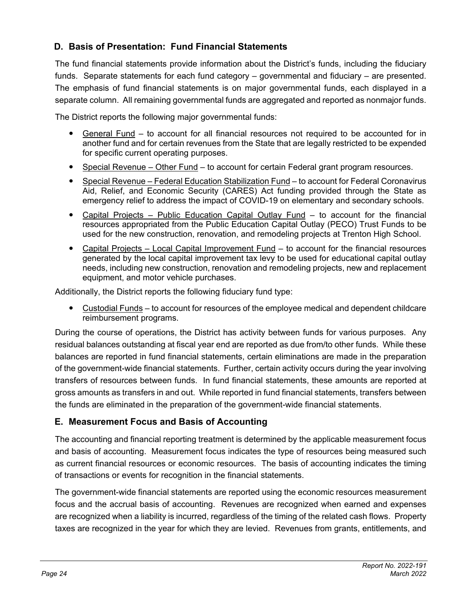# **D. Basis of Presentation: Fund Financial Statements**

The fund financial statements provide information about the District's funds, including the fiduciary funds. Separate statements for each fund category – governmental and fiduciary – are presented. The emphasis of fund financial statements is on major governmental funds, each displayed in a separate column. All remaining governmental funds are aggregated and reported as nonmajor funds.

The District reports the following major governmental funds:

- General Fund to account for all financial resources not required to be accounted for in another fund and for certain revenues from the State that are legally restricted to be expended for specific current operating purposes.
- Special Revenue Other Fund to account for certain Federal grant program resources.
- Special Revenue Federal Education Stabilization Fund to account for Federal Coronavirus Aid, Relief, and Economic Security (CARES) Act funding provided through the State as emergency relief to address the impact of COVID-19 on elementary and secondary schools.
- Capital Projects Public Education Capital Outlay Fund to account for the financial resources appropriated from the Public Education Capital Outlay (PECO) Trust Funds to be used for the new construction, renovation, and remodeling projects at Trenton High School.
- Capital Projects Local Capital Improvement Fund to account for the financial resources generated by the local capital improvement tax levy to be used for educational capital outlay needs, including new construction, renovation and remodeling projects, new and replacement equipment, and motor vehicle purchases.

Additionally, the District reports the following fiduciary fund type:

 Custodial Funds – to account for resources of the employee medical and dependent childcare reimbursement programs.

During the course of operations, the District has activity between funds for various purposes. Any residual balances outstanding at fiscal year end are reported as due from/to other funds. While these balances are reported in fund financial statements, certain eliminations are made in the preparation of the government-wide financial statements. Further, certain activity occurs during the year involving transfers of resources between funds. In fund financial statements, these amounts are reported at gross amounts as transfers in and out. While reported in fund financial statements, transfers between the funds are eliminated in the preparation of the government-wide financial statements.

### **E. Measurement Focus and Basis of Accounting**

The accounting and financial reporting treatment is determined by the applicable measurement focus and basis of accounting. Measurement focus indicates the type of resources being measured such as current financial resources or economic resources. The basis of accounting indicates the timing of transactions or events for recognition in the financial statements.

The government-wide financial statements are reported using the economic resources measurement focus and the accrual basis of accounting. Revenues are recognized when earned and expenses are recognized when a liability is incurred, regardless of the timing of the related cash flows. Property taxes are recognized in the year for which they are levied. Revenues from grants, entitlements, and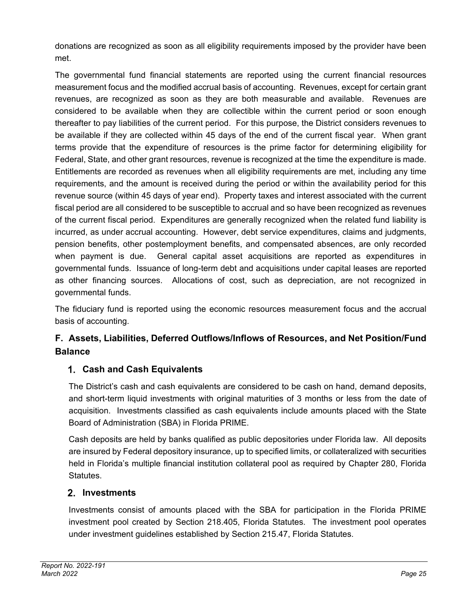donations are recognized as soon as all eligibility requirements imposed by the provider have been met.

The governmental fund financial statements are reported using the current financial resources measurement focus and the modified accrual basis of accounting. Revenues, except for certain grant revenues, are recognized as soon as they are both measurable and available. Revenues are considered to be available when they are collectible within the current period or soon enough thereafter to pay liabilities of the current period. For this purpose, the District considers revenues to be available if they are collected within 45 days of the end of the current fiscal year. When grant terms provide that the expenditure of resources is the prime factor for determining eligibility for Federal, State, and other grant resources, revenue is recognized at the time the expenditure is made. Entitlements are recorded as revenues when all eligibility requirements are met, including any time requirements, and the amount is received during the period or within the availability period for this revenue source (within 45 days of year end). Property taxes and interest associated with the current fiscal period are all considered to be susceptible to accrual and so have been recognized as revenues of the current fiscal period. Expenditures are generally recognized when the related fund liability is incurred, as under accrual accounting. However, debt service expenditures, claims and judgments, pension benefits, other postemployment benefits, and compensated absences, are only recorded when payment is due. General capital asset acquisitions are reported as expenditures in governmental funds. Issuance of long-term debt and acquisitions under capital leases are reported as other financing sources. Allocations of cost, such as depreciation, are not recognized in governmental funds.

The fiduciary fund is reported using the economic resources measurement focus and the accrual basis of accounting.

# **F. Assets, Liabilities, Deferred Outflows/Inflows of Resources, and Net Position/Fund Balance**

# **Cash and Cash Equivalents**

The District's cash and cash equivalents are considered to be cash on hand, demand deposits, and short-term liquid investments with original maturities of 3 months or less from the date of acquisition. Investments classified as cash equivalents include amounts placed with the State Board of Administration (SBA) in Florida PRIME.

Cash deposits are held by banks qualified as public depositories under Florida law. All deposits are insured by Federal depository insurance, up to specified limits, or collateralized with securities held in Florida's multiple financial institution collateral pool as required by Chapter 280, Florida Statutes.

### **Investments**

Investments consist of amounts placed with the SBA for participation in the Florida PRIME investment pool created by Section 218.405, Florida Statutes. The investment pool operates under investment guidelines established by Section 215.47, Florida Statutes.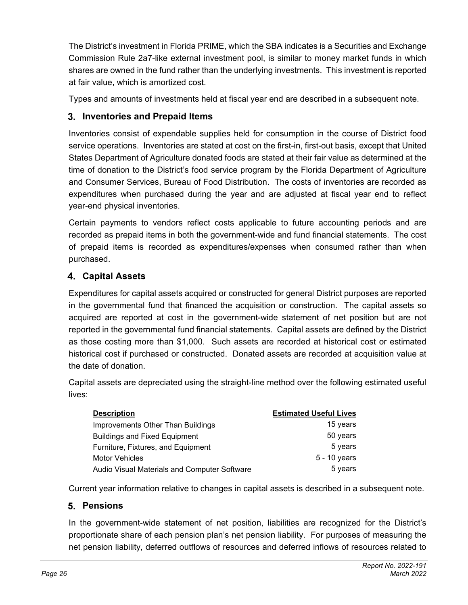The District's investment in Florida PRIME, which the SBA indicates is a Securities and Exchange Commission Rule 2a7-like external investment pool, is similar to money market funds in which shares are owned in the fund rather than the underlying investments. This investment is reported at fair value, which is amortized cost.

Types and amounts of investments held at fiscal year end are described in a subsequent note.

# **Inventories and Prepaid Items**

Inventories consist of expendable supplies held for consumption in the course of District food service operations. Inventories are stated at cost on the first-in, first-out basis, except that United States Department of Agriculture donated foods are stated at their fair value as determined at the time of donation to the District's food service program by the Florida Department of Agriculture and Consumer Services, Bureau of Food Distribution. The costs of inventories are recorded as expenditures when purchased during the year and are adjusted at fiscal year end to reflect year-end physical inventories.

Certain payments to vendors reflect costs applicable to future accounting periods and are recorded as prepaid items in both the government-wide and fund financial statements. The cost of prepaid items is recorded as expenditures/expenses when consumed rather than when purchased.

# **Capital Assets**

Expenditures for capital assets acquired or constructed for general District purposes are reported in the governmental fund that financed the acquisition or construction. The capital assets so acquired are reported at cost in the government-wide statement of net position but are not reported in the governmental fund financial statements. Capital assets are defined by the District as those costing more than \$1,000. Such assets are recorded at historical cost or estimated historical cost if purchased or constructed. Donated assets are recorded at acquisition value at the date of donation.

Capital assets are depreciated using the straight-line method over the following estimated useful lives:

| <b>Description</b>                           | <b>Estimated Useful Lives</b> |
|----------------------------------------------|-------------------------------|
| Improvements Other Than Buildings            | 15 years                      |
| <b>Buildings and Fixed Equipment</b>         | 50 years                      |
| Furniture, Fixtures, and Equipment           | 5 years                       |
| <b>Motor Vehicles</b>                        | $5 - 10$ years                |
| Audio Visual Materials and Computer Software | 5 years                       |

Current year information relative to changes in capital assets is described in a subsequent note.

### **Pensions**

In the government-wide statement of net position, liabilities are recognized for the District's proportionate share of each pension plan's net pension liability. For purposes of measuring the net pension liability, deferred outflows of resources and deferred inflows of resources related to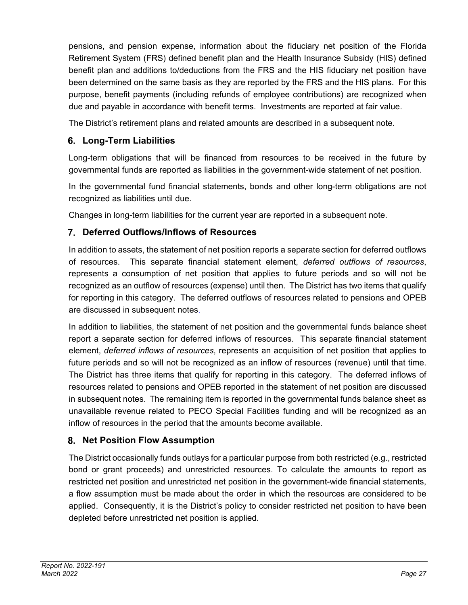pensions, and pension expense, information about the fiduciary net position of the Florida Retirement System (FRS) defined benefit plan and the Health Insurance Subsidy (HIS) defined benefit plan and additions to/deductions from the FRS and the HIS fiduciary net position have been determined on the same basis as they are reported by the FRS and the HIS plans. For this purpose, benefit payments (including refunds of employee contributions) are recognized when due and payable in accordance with benefit terms. Investments are reported at fair value.

The District's retirement plans and related amounts are described in a subsequent note.

# **Long-Term Liabilities**

Long-term obligations that will be financed from resources to be received in the future by governmental funds are reported as liabilities in the government-wide statement of net position.

In the governmental fund financial statements, bonds and other long-term obligations are not recognized as liabilities until due.

Changes in long-term liabilities for the current year are reported in a subsequent note.

# **Deferred Outflows/Inflows of Resources**

In addition to assets, the statement of net position reports a separate section for deferred outflows of resources. This separate financial statement element, *deferred outflows of resources*, represents a consumption of net position that applies to future periods and so will not be recognized as an outflow of resources (expense) until then. The District has two items that qualify for reporting in this category. The deferred outflows of resources related to pensions and OPEB are discussed in subsequent notes.

In addition to liabilities, the statement of net position and the governmental funds balance sheet report a separate section for deferred inflows of resources. This separate financial statement element, *deferred inflows of resources*, represents an acquisition of net position that applies to future periods and so will not be recognized as an inflow of resources (revenue) until that time. The District has three items that qualify for reporting in this category. The deferred inflows of resources related to pensions and OPEB reported in the statement of net position are discussed in subsequent notes. The remaining item is reported in the governmental funds balance sheet as unavailable revenue related to PECO Special Facilities funding and will be recognized as an inflow of resources in the period that the amounts become available.

# **Net Position Flow Assumption**

The District occasionally funds outlays for a particular purpose from both restricted (e.g., restricted bond or grant proceeds) and unrestricted resources. To calculate the amounts to report as restricted net position and unrestricted net position in the government-wide financial statements, a flow assumption must be made about the order in which the resources are considered to be applied. Consequently, it is the District's policy to consider restricted net position to have been depleted before unrestricted net position is applied.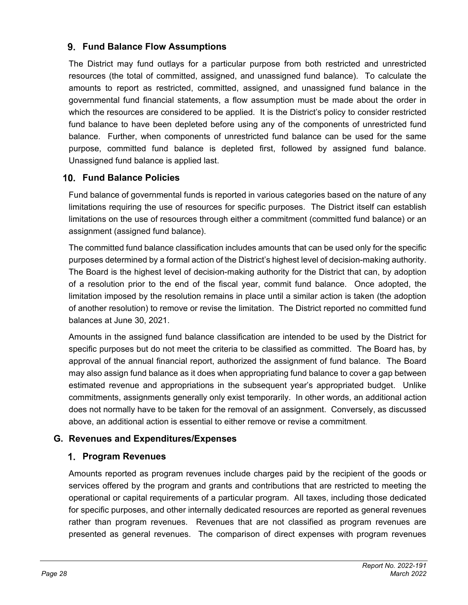### **Fund Balance Flow Assumptions**

The District may fund outlays for a particular purpose from both restricted and unrestricted resources (the total of committed, assigned, and unassigned fund balance). To calculate the amounts to report as restricted, committed, assigned, and unassigned fund balance in the governmental fund financial statements, a flow assumption must be made about the order in which the resources are considered to be applied. It is the District's policy to consider restricted fund balance to have been depleted before using any of the components of unrestricted fund balance. Further, when components of unrestricted fund balance can be used for the same purpose, committed fund balance is depleted first, followed by assigned fund balance. Unassigned fund balance is applied last.

### **Fund Balance Policies**

Fund balance of governmental funds is reported in various categories based on the nature of any limitations requiring the use of resources for specific purposes. The District itself can establish limitations on the use of resources through either a commitment (committed fund balance) or an assignment (assigned fund balance).

The committed fund balance classification includes amounts that can be used only for the specific purposes determined by a formal action of the District's highest level of decision-making authority. The Board is the highest level of decision-making authority for the District that can, by adoption of a resolution prior to the end of the fiscal year, commit fund balance. Once adopted, the limitation imposed by the resolution remains in place until a similar action is taken (the adoption of another resolution) to remove or revise the limitation. The District reported no committed fund balances at June 30, 2021.

Amounts in the assigned fund balance classification are intended to be used by the District for specific purposes but do not meet the criteria to be classified as committed. The Board has, by approval of the annual financial report, authorized the assignment of fund balance. The Board may also assign fund balance as it does when appropriating fund balance to cover a gap between estimated revenue and appropriations in the subsequent year's appropriated budget. Unlike commitments, assignments generally only exist temporarily. In other words, an additional action does not normally have to be taken for the removal of an assignment. Conversely, as discussed above, an additional action is essential to either remove or revise a commitment.

### **G. Revenues and Expenditures/Expenses**

### **Program Revenues**

Amounts reported as program revenues include charges paid by the recipient of the goods or services offered by the program and grants and contributions that are restricted to meeting the operational or capital requirements of a particular program. All taxes, including those dedicated for specific purposes, and other internally dedicated resources are reported as general revenues rather than program revenues. Revenues that are not classified as program revenues are presented as general revenues. The comparison of direct expenses with program revenues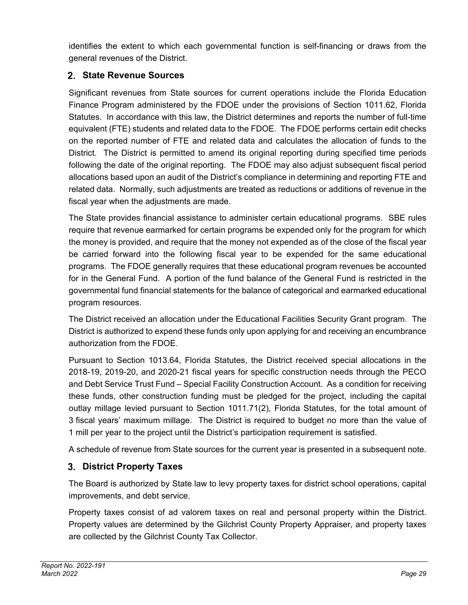identifies the extent to which each governmental function is self-financing or draws from the general revenues of the District.

# **State Revenue Sources**

Significant revenues from State sources for current operations include the Florida Education Finance Program administered by the FDOE under the provisions of Section 1011.62, Florida Statutes. In accordance with this law, the District determines and reports the number of full-time equivalent (FTE) students and related data to the FDOE. The FDOE performs certain edit checks on the reported number of FTE and related data and calculates the allocation of funds to the District. The District is permitted to amend its original reporting during specified time periods following the date of the original reporting. The FDOE may also adjust subsequent fiscal period allocations based upon an audit of the District's compliance in determining and reporting FTE and related data. Normally, such adjustments are treated as reductions or additions of revenue in the fiscal year when the adjustments are made.

The State provides financial assistance to administer certain educational programs. SBE rules require that revenue earmarked for certain programs be expended only for the program for which the money is provided, and require that the money not expended as of the close of the fiscal year be carried forward into the following fiscal year to be expended for the same educational programs. The FDOE generally requires that these educational program revenues be accounted for in the General Fund. A portion of the fund balance of the General Fund is restricted in the governmental fund financial statements for the balance of categorical and earmarked educational program resources.

The District received an allocation under the Educational Facilities Security Grant program. The District is authorized to expend these funds only upon applying for and receiving an encumbrance authorization from the FDOE.

Pursuant to Section 1013.64, Florida Statutes, the District received special allocations in the 2018-19, 2019-20, and 2020-21 fiscal years for specific construction needs through the PECO and Debt Service Trust Fund – Special Facility Construction Account. As a condition for receiving these funds, other construction funding must be pledged for the project, including the capital outlay millage levied pursuant to Section 1011.71(2), Florida Statutes, for the total amount of 3 fiscal years' maximum millage. The District is required to budget no more than the value of 1 mill per year to the project until the District's participation requirement is satisfied.

A schedule of revenue from State sources for the current year is presented in a subsequent note.

# **District Property Taxes**

The Board is authorized by State law to levy property taxes for district school operations, capital improvements, and debt service.

Property taxes consist of ad valorem taxes on real and personal property within the District. Property values are determined by the Gilchrist County Property Appraiser, and property taxes are collected by the Gilchrist County Tax Collector.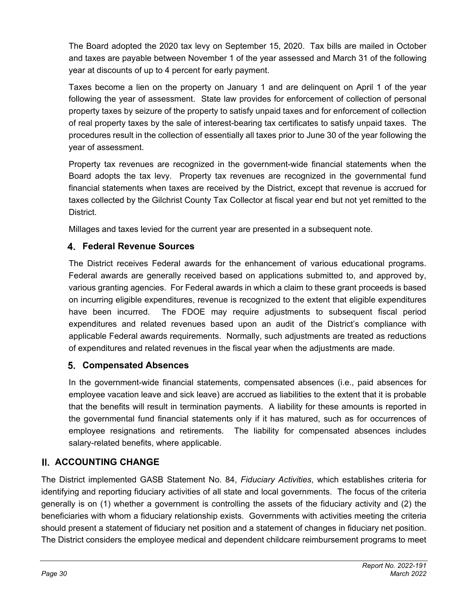The Board adopted the 2020 tax levy on September 15, 2020. Tax bills are mailed in October and taxes are payable between November 1 of the year assessed and March 31 of the following year at discounts of up to 4 percent for early payment.

Taxes become a lien on the property on January 1 and are delinquent on April 1 of the year following the year of assessment. State law provides for enforcement of collection of personal property taxes by seizure of the property to satisfy unpaid taxes and for enforcement of collection of real property taxes by the sale of interest-bearing tax certificates to satisfy unpaid taxes. The procedures result in the collection of essentially all taxes prior to June 30 of the year following the year of assessment.

Property tax revenues are recognized in the government-wide financial statements when the Board adopts the tax levy. Property tax revenues are recognized in the governmental fund financial statements when taxes are received by the District, except that revenue is accrued for taxes collected by the Gilchrist County Tax Collector at fiscal year end but not yet remitted to the District.

Millages and taxes levied for the current year are presented in a subsequent note.

# **Federal Revenue Sources**

The District receives Federal awards for the enhancement of various educational programs. Federal awards are generally received based on applications submitted to, and approved by, various granting agencies. For Federal awards in which a claim to these grant proceeds is based on incurring eligible expenditures, revenue is recognized to the extent that eligible expenditures have been incurred. The FDOE may require adjustments to subsequent fiscal period expenditures and related revenues based upon an audit of the District's compliance with applicable Federal awards requirements. Normally, such adjustments are treated as reductions of expenditures and related revenues in the fiscal year when the adjustments are made.

### **Compensated Absences**

In the government-wide financial statements, compensated absences (i.e., paid absences for employee vacation leave and sick leave) are accrued as liabilities to the extent that it is probable that the benefits will result in termination payments. A liability for these amounts is reported in the governmental fund financial statements only if it has matured, such as for occurrences of employee resignations and retirements. The liability for compensated absences includes salary-related benefits, where applicable.

# **II. ACCOUNTING CHANGE**

The District implemented GASB Statement No. 84, *Fiduciary Activities*, which establishes criteria for identifying and reporting fiduciary activities of all state and local governments. The focus of the criteria generally is on (1) whether a government is controlling the assets of the fiduciary activity and (2) the beneficiaries with whom a fiduciary relationship exists. Governments with activities meeting the criteria should present a statement of fiduciary net position and a statement of changes in fiduciary net position. The District considers the employee medical and dependent childcare reimbursement programs to meet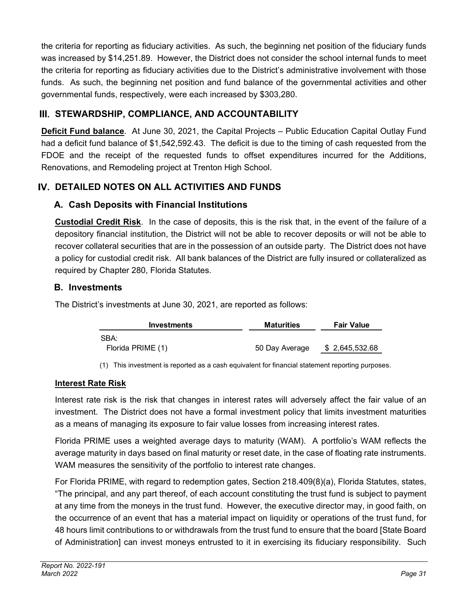the criteria for reporting as fiduciary activities. As such, the beginning net position of the fiduciary funds was increased by \$14,251.89. However, the District does not consider the school internal funds to meet the criteria for reporting as fiduciary activities due to the District's administrative involvement with those funds. As such, the beginning net position and fund balance of the governmental activities and other governmental funds, respectively, were each increased by \$303,280.

# **STEWARDSHIP, COMPLIANCE, AND ACCOUNTABILITY**

**Deficit Fund balance**. At June 30, 2021, the Capital Projects – Public Education Capital Outlay Fund had a deficit fund balance of \$1,542,592.43. The deficit is due to the timing of cash requested from the FDOE and the receipt of the requested funds to offset expenditures incurred for the Additions, Renovations, and Remodeling project at Trenton High School.

# **DETAILED NOTES ON ALL ACTIVITIES AND FUNDS**

# **A. Cash Deposits with Financial Institutions**

**Custodial Credit Risk**. In the case of deposits, this is the risk that, in the event of the failure of a depository financial institution, the District will not be able to recover deposits or will not be able to recover collateral securities that are in the possession of an outside party. The District does not have a policy for custodial credit risk. All bank balances of the District are fully insured or collateralized as required by Chapter 280, Florida Statutes.

# **B. Investments**

The District's investments at June 30, 2021, are reported as follows:

| <b>Investments</b> | <b>Maturities</b> | <b>Fair Value</b> |
|--------------------|-------------------|-------------------|
| SBA:               |                   |                   |
| Florida PRIME (1)  | 50 Day Average    | \$2,645,532.68    |

(1) This investment is reported as a cash equivalent for financial statement reporting purposes.

### **Interest Rate Risk**

Interest rate risk is the risk that changes in interest rates will adversely affect the fair value of an investment. The District does not have a formal investment policy that limits investment maturities as a means of managing its exposure to fair value losses from increasing interest rates.

Florida PRIME uses a weighted average days to maturity (WAM). A portfolio's WAM reflects the average maturity in days based on final maturity or reset date, in the case of floating rate instruments. WAM measures the sensitivity of the portfolio to interest rate changes.

For Florida PRIME, with regard to redemption gates, Section 218.409(8)(a), Florida Statutes, states, "The principal, and any part thereof, of each account constituting the trust fund is subject to payment at any time from the moneys in the trust fund. However, the executive director may, in good faith, on the occurrence of an event that has a material impact on liquidity or operations of the trust fund, for 48 hours limit contributions to or withdrawals from the trust fund to ensure that the board [State Board of Administration] can invest moneys entrusted to it in exercising its fiduciary responsibility. Such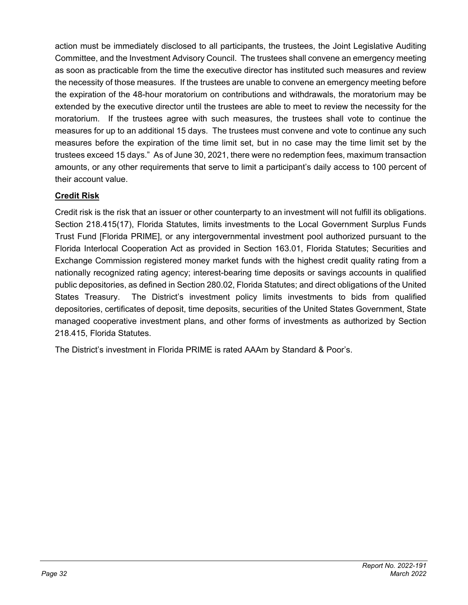action must be immediately disclosed to all participants, the trustees, the Joint Legislative Auditing Committee, and the Investment Advisory Council. The trustees shall convene an emergency meeting as soon as practicable from the time the executive director has instituted such measures and review the necessity of those measures. If the trustees are unable to convene an emergency meeting before the expiration of the 48-hour moratorium on contributions and withdrawals, the moratorium may be extended by the executive director until the trustees are able to meet to review the necessity for the moratorium. If the trustees agree with such measures, the trustees shall vote to continue the measures for up to an additional 15 days. The trustees must convene and vote to continue any such measures before the expiration of the time limit set, but in no case may the time limit set by the trustees exceed 15 days." As of June 30, 2021, there were no redemption fees, maximum transaction amounts, or any other requirements that serve to limit a participant's daily access to 100 percent of their account value.

### **Credit Risk**

Credit risk is the risk that an issuer or other counterparty to an investment will not fulfill its obligations. Section 218.415(17), Florida Statutes, limits investments to the Local Government Surplus Funds Trust Fund [Florida PRIME], or any intergovernmental investment pool authorized pursuant to the Florida Interlocal Cooperation Act as provided in Section 163.01, Florida Statutes; Securities and Exchange Commission registered money market funds with the highest credit quality rating from a nationally recognized rating agency; interest-bearing time deposits or savings accounts in qualified public depositories, as defined in Section 280.02, Florida Statutes; and direct obligations of the United States Treasury. The District's investment policy limits investments to bids from qualified depositories, certificates of deposit, time deposits, securities of the United States Government, State managed cooperative investment plans, and other forms of investments as authorized by Section 218.415, Florida Statutes.

The District's investment in Florida PRIME is rated AAAm by Standard & Poor's.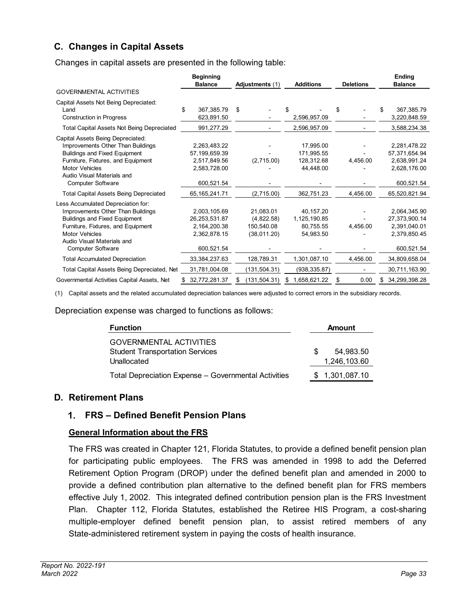# **C. Changes in Capital Assets**

Changes in capital assets are presented in the following table:

|                                                                                                                                                                                                                                          | <b>Beginning</b><br><b>Balance</b>                                             | Adjustments (1)                                      | <b>Additions</b>                                    | <b>Deletions</b> | <b>Ending</b><br><b>Balance</b>                                             |
|------------------------------------------------------------------------------------------------------------------------------------------------------------------------------------------------------------------------------------------|--------------------------------------------------------------------------------|------------------------------------------------------|-----------------------------------------------------|------------------|-----------------------------------------------------------------------------|
| <b>GOVERNMENTAL ACTIVITIES</b>                                                                                                                                                                                                           |                                                                                |                                                      |                                                     |                  |                                                                             |
| Capital Assets Not Being Depreciated:<br>Land<br><b>Construction in Progress</b>                                                                                                                                                         | 367,385.79<br>\$<br>623,891.50                                                 | \$                                                   | 2,596,957.09                                        | \$               | 367,385.79<br>\$<br>3,220,848.59                                            |
| <b>Total Capital Assets Not Being Depreciated</b>                                                                                                                                                                                        | 991,277.29                                                                     |                                                      | 2,596,957.09                                        |                  | 3,588,234.38                                                                |
| Capital Assets Being Depreciated:<br>Improvements Other Than Buildings<br><b>Buildings and Fixed Equipment</b><br>Furniture, Fixtures, and Equipment<br><b>Motor Vehicles</b><br>Audio Visual Materials and<br><b>Computer Software</b>  | 2,263,483.22<br>57, 199, 659. 39<br>2,517,849.56<br>2,583,728.00<br>600,521.54 | (2,715.00)                                           | 17,995.00<br>171.995.55<br>128,312.68<br>44,448.00  | 4,456.00         | 2,281,478.22<br>57,371,654.94<br>2,638,991.24<br>2,628,176.00<br>600,521.54 |
| <b>Total Capital Assets Being Depreciated</b>                                                                                                                                                                                            | 65, 165, 241. 71                                                               | (2,715.00)                                           | 362,751.23                                          | 4,456.00         | 65,520,821.94                                                               |
| Less Accumulated Depreciation for:<br>Improvements Other Than Buildings<br><b>Buildings and Fixed Equipment</b><br>Furniture, Fixtures, and Equipment<br><b>Motor Vehicles</b><br>Audio Visual Materials and<br><b>Computer Software</b> | 2,003,105.69<br>26,253,531.87<br>2,164,200.38<br>2,362,878.15<br>600,521.54    | 21,083.01<br>(4,822.58)<br>150.540.08<br>(38,011.20) | 40,157.20<br>1,125,190.85<br>80.755.55<br>54,983.50 | 4,456.00         | 2,064,345.90<br>27,373,900.14<br>2,391,040.01<br>2,379,850.45<br>600,521.54 |
| <b>Total Accumulated Depreciation</b>                                                                                                                                                                                                    | 33,384,237.63                                                                  | 128,789.31                                           | 1,301,087.10                                        | 4,456.00         | 34,809,658.04                                                               |
| Total Capital Assets Being Depreciated, Net                                                                                                                                                                                              | 31,781,004.08                                                                  | (131,504.31)                                         | (938, 335.87)                                       |                  | 30,711,163.90                                                               |
| Governmental Activities Capital Assets, Net                                                                                                                                                                                              | 32,772,281.37<br>S                                                             | (131, 504.31)<br>\$                                  | 1,658,621.22<br>S                                   | 0.00<br>\$       | 34,299,398.28<br>\$                                                         |

(1) Capital assets and the related accumulated depreciation balances were adjusted to correct errors in the subsidiary records.

Depreciation expense was charged to functions as follows:

| <b>Function</b>                                      |     | Amount         |
|------------------------------------------------------|-----|----------------|
| <b>GOVERNMENTAL ACTIVITIES</b>                       |     |                |
| <b>Student Transportation Services</b>               | \$. | 54.983.50      |
| Unallocated                                          |     | 1,246,103.60   |
| Total Depreciation Expense – Governmental Activities |     | \$1,301,087.10 |

### **D. Retirement Plans**

### **FRS – Defined Benefit Pension Plans**

### **General Information about the FRS**

The FRS was created in Chapter 121, Florida Statutes, to provide a defined benefit pension plan for participating public employees. The FRS was amended in 1998 to add the Deferred Retirement Option Program (DROP) under the defined benefit plan and amended in 2000 to provide a defined contribution plan alternative to the defined benefit plan for FRS members effective July 1, 2002. This integrated defined contribution pension plan is the FRS Investment Plan. Chapter 112, Florida Statutes, established the Retiree HIS Program, a cost-sharing multiple-employer defined benefit pension plan, to assist retired members of any State-administered retirement system in paying the costs of health insurance.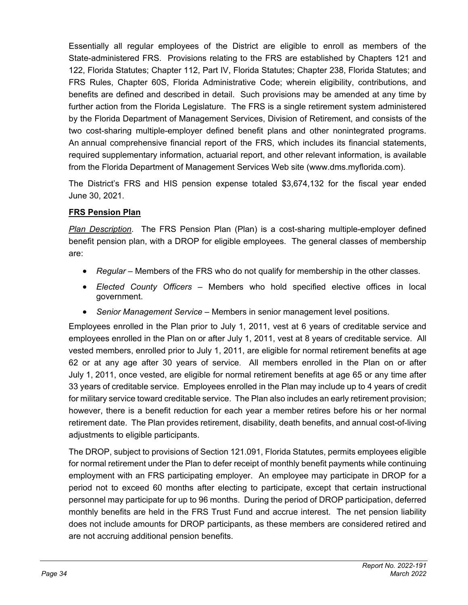Essentially all regular employees of the District are eligible to enroll as members of the State-administered FRS. Provisions relating to the FRS are established by Chapters 121 and 122, Florida Statutes; Chapter 112, Part IV, Florida Statutes; Chapter 238, Florida Statutes; and FRS Rules, Chapter 60S, Florida Administrative Code; wherein eligibility, contributions, and benefits are defined and described in detail. Such provisions may be amended at any time by further action from the Florida Legislature. The FRS is a single retirement system administered by the Florida Department of Management Services, Division of Retirement, and consists of the two cost-sharing multiple-employer defined benefit plans and other nonintegrated programs. An annual comprehensive financial report of the FRS, which includes its financial statements, required supplementary information, actuarial report, and other relevant information, is available from the Florida Department of Management Services Web site (www.dms.myflorida.com).

The District's FRS and HIS pension expense totaled \$3,674,132 for the fiscal year ended June 30, 2021.

### **FRS Pension Plan**

*Plan Description*. The FRS Pension Plan (Plan) is a cost-sharing multiple-employer defined benefit pension plan, with a DROP for eligible employees. The general classes of membership are:

- *Regular* Members of the FRS who do not qualify for membership in the other classes.
- *Elected County Officers* Members who hold specified elective offices in local government.
- *Senior Management Service*  Members in senior management level positions.

Employees enrolled in the Plan prior to July 1, 2011, vest at 6 years of creditable service and employees enrolled in the Plan on or after July 1, 2011, vest at 8 years of creditable service. All vested members, enrolled prior to July 1, 2011, are eligible for normal retirement benefits at age 62 or at any age after 30 years of service. All members enrolled in the Plan on or after July 1, 2011, once vested, are eligible for normal retirement benefits at age 65 or any time after 33 years of creditable service. Employees enrolled in the Plan may include up to 4 years of credit for military service toward creditable service. The Plan also includes an early retirement provision; however, there is a benefit reduction for each year a member retires before his or her normal retirement date. The Plan provides retirement, disability, death benefits, and annual cost-of-living adjustments to eligible participants.

The DROP, subject to provisions of Section 121.091, Florida Statutes, permits employees eligible for normal retirement under the Plan to defer receipt of monthly benefit payments while continuing employment with an FRS participating employer. An employee may participate in DROP for a period not to exceed 60 months after electing to participate, except that certain instructional personnel may participate for up to 96 months. During the period of DROP participation, deferred monthly benefits are held in the FRS Trust Fund and accrue interest. The net pension liability does not include amounts for DROP participants, as these members are considered retired and are not accruing additional pension benefits.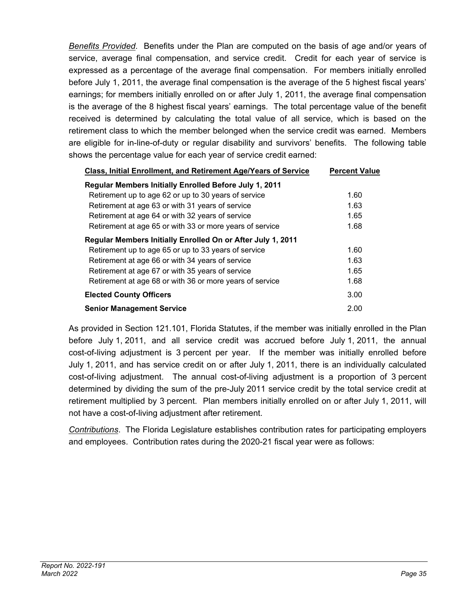*Benefits Provided*. Benefits under the Plan are computed on the basis of age and/or years of service, average final compensation, and service credit. Credit for each year of service is expressed as a percentage of the average final compensation. For members initially enrolled before July 1, 2011, the average final compensation is the average of the 5 highest fiscal years' earnings; for members initially enrolled on or after July 1, 2011, the average final compensation is the average of the 8 highest fiscal years' earnings. The total percentage value of the benefit received is determined by calculating the total value of all service, which is based on the retirement class to which the member belonged when the service credit was earned. Members are eligible for in-line-of-duty or regular disability and survivors' benefits. The following table shows the percentage value for each year of service credit earned:

| Class, Initial Enrollment, and Retirement Age/Years of Service | <b>Percent Value</b> |
|----------------------------------------------------------------|----------------------|
| <b>Regular Members Initially Enrolled Before July 1, 2011</b>  |                      |
| Retirement up to age 62 or up to 30 years of service           | 1.60                 |
| Retirement at age 63 or with 31 years of service               | 1.63                 |
| Retirement at age 64 or with 32 years of service               | 1.65                 |
| Retirement at age 65 or with 33 or more years of service       | 1.68                 |
| Regular Members Initially Enrolled On or After July 1, 2011    |                      |
| Retirement up to age 65 or up to 33 years of service           | 1.60                 |
| Retirement at age 66 or with 34 years of service               | 1.63                 |
| Retirement at age 67 or with 35 years of service               | 1.65                 |
| Retirement at age 68 or with 36 or more years of service       | 1.68                 |
| <b>Elected County Officers</b>                                 | 3.00                 |
| <b>Senior Management Service</b>                               | 2.00                 |

As provided in Section 121.101, Florida Statutes, if the member was initially enrolled in the Plan before July 1, 2011, and all service credit was accrued before July 1, 2011, the annual cost-of-living adjustment is 3 percent per year. If the member was initially enrolled before July 1, 2011, and has service credit on or after July 1, 2011, there is an individually calculated cost-of-living adjustment. The annual cost-of-living adjustment is a proportion of 3 percent determined by dividing the sum of the pre-July 2011 service credit by the total service credit at retirement multiplied by 3 percent. Plan members initially enrolled on or after July 1, 2011, will not have a cost-of-living adjustment after retirement.

*Contributions*. The Florida Legislature establishes contribution rates for participating employers and employees. Contribution rates during the 2020-21 fiscal year were as follows: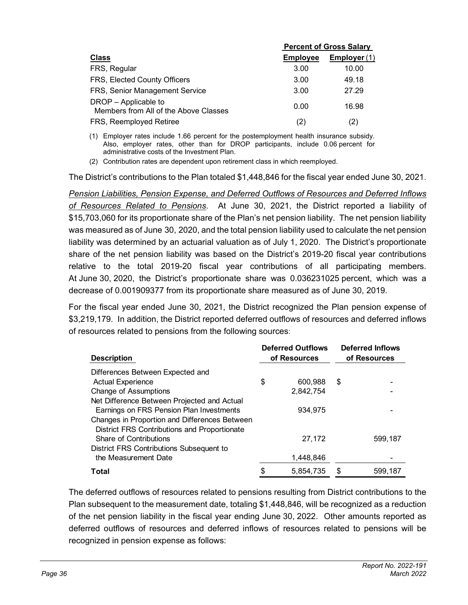|                                                               |                 | <b>Percent of Gross Salary</b> |
|---------------------------------------------------------------|-----------------|--------------------------------|
| <b>Class</b>                                                  | <b>Employee</b> | Emplover(1)                    |
| FRS, Regular                                                  | 3.00            | 10.00                          |
| FRS, Elected County Officers                                  | 3.00            | 49.18                          |
| FRS, Senior Management Service                                | 3.00            | 27.29                          |
| DROP - Applicable to<br>Members from All of the Above Classes | 0.00            | 16.98                          |
| FRS, Reemployed Retiree                                       | (2)             | (2)                            |

(1) Employer rates include 1.66 percent for the postemployment health insurance subsidy. Also, employer rates, other than for DROP participants, include 0.06 percent for administrative costs of the Investment Plan.

(2) Contribution rates are dependent upon retirement class in which reemployed.

The District's contributions to the Plan totaled \$1,448,846 for the fiscal year ended June 30, 2021.

*Pension Liabilities, Pension Expense, and Deferred Outflows of Resources and Deferred Inflows of Resources Related to Pensions*. At June 30, 2021, the District reported a liability of \$15,703,060 for its proportionate share of the Plan's net pension liability. The net pension liability was measured as of June 30, 2020, and the total pension liability used to calculate the net pension liability was determined by an actuarial valuation as of July 1, 2020. The District's proportionate share of the net pension liability was based on the District's 2019-20 fiscal year contributions relative to the total 2019-20 fiscal year contributions of all participating members. At June 30, 2020, the District's proportionate share was 0.036231025 percent, which was a decrease of 0.001909377 from its proportionate share measured as of June 30, 2019.

For the fiscal year ended June 30, 2021, the District recognized the Plan pension expense of \$3,219,179. In addition, the District reported deferred outflows of resources and deferred inflows of resources related to pensions from the following sources:

| <b>Description</b>                            | <b>Deferred Outflows</b><br>of Resources |           | <b>Deferred Inflows</b><br>of Resources |         |
|-----------------------------------------------|------------------------------------------|-----------|-----------------------------------------|---------|
| Differences Between Expected and              |                                          |           |                                         |         |
| <b>Actual Experience</b>                      | \$                                       | 600,988   | \$                                      |         |
| Change of Assumptions                         |                                          | 2,842,754 |                                         |         |
| Net Difference Between Projected and Actual   |                                          |           |                                         |         |
| Earnings on FRS Pension Plan Investments      |                                          | 934,975   |                                         |         |
| Changes in Proportion and Differences Between |                                          |           |                                         |         |
| District FRS Contributions and Proportionate  |                                          |           |                                         |         |
| <b>Share of Contributions</b>                 |                                          | 27,172    |                                         | 599,187 |
| District FRS Contributions Subsequent to      |                                          |           |                                         |         |
| the Measurement Date                          |                                          | 1,448,846 |                                         |         |
| Total                                         | \$                                       | 5.854.735 | \$                                      | 599.187 |

The deferred outflows of resources related to pensions resulting from District contributions to the Plan subsequent to the measurement date, totaling \$1,448,846, will be recognized as a reduction of the net pension liability in the fiscal year ending June 30, 2022. Other amounts reported as deferred outflows of resources and deferred inflows of resources related to pensions will be recognized in pension expense as follows: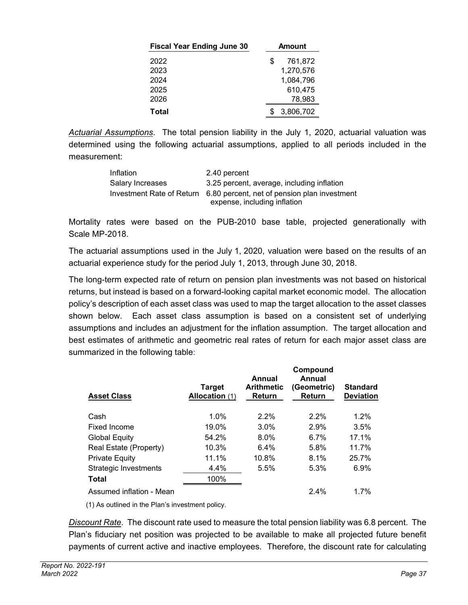| <b>Fiscal Year Ending June 30</b> | Amount |           |
|-----------------------------------|--------|-----------|
| 2022                              | S      | 761,872   |
| 2023                              |        | 1,270,576 |
| 2024                              |        | 1,084,796 |
| 2025                              |        | 610,475   |
| 2026                              |        | 78,983    |
| Total                             |        | 3,806,702 |

*Actuarial Assumptions*. The total pension liability in the July 1, 2020, actuarial valuation was determined using the following actuarial assumptions, applied to all periods included in the measurement:

| Inflation        | 2.40 percent                                                           |
|------------------|------------------------------------------------------------------------|
| Salary Increases | 3.25 percent, average, including inflation                             |
|                  | Investment Rate of Return 6.80 percent, net of pension plan investment |
|                  | expense, including inflation                                           |

Mortality rates were based on the PUB-2010 base table, projected generationally with Scale MP-2018.

The actuarial assumptions used in the July 1, 2020, valuation were based on the results of an actuarial experience study for the period July 1, 2013, through June 30, 2018.

The long-term expected rate of return on pension plan investments was not based on historical returns, but instead is based on a forward-looking capital market economic model. The allocation policy's description of each asset class was used to map the target allocation to the asset classes shown below. Each asset class assumption is based on a consistent set of underlying assumptions and includes an adjustment for the inflation assumption. The target allocation and best estimates of arithmetic and geometric real rates of return for each major asset class are summarized in the following table:

| <b>Asset Class</b>           | <b>Target</b><br><b>Allocation</b> (1) | Annual<br><b>Arithmetic</b><br>Return | Compound<br>Annual<br>(Geometric)<br>Return | <b>Standard</b><br><b>Deviation</b> |
|------------------------------|----------------------------------------|---------------------------------------|---------------------------------------------|-------------------------------------|
| Cash                         | 1.0%                                   | 2.2%                                  | 2.2%                                        | 1.2%                                |
| Fixed Income                 | 19.0%                                  | 3.0%                                  | 2.9%                                        | 3.5%                                |
| <b>Global Equity</b>         | 54.2%                                  | 8.0%                                  | 6.7%                                        | 17.1%                               |
| Real Estate (Property)       | 10.3%                                  | 6.4%                                  | 5.8%                                        | 11.7%                               |
| <b>Private Equity</b>        | 11.1%                                  | 10.8%                                 | $8.1\%$                                     | 25.7%                               |
| <b>Strategic Investments</b> | 4.4%                                   | 5.5%                                  | 5.3%                                        | 6.9%                                |
| Total                        | 100%                                   |                                       |                                             |                                     |
| Assumed inflation - Mean     |                                        |                                       | 2.4%                                        | 17%                                 |

(1) As outlined in the Plan's investment policy.

*Discount Rate*. The discount rate used to measure the total pension liability was 6.8 percent. The Plan's fiduciary net position was projected to be available to make all projected future benefit payments of current active and inactive employees. Therefore, the discount rate for calculating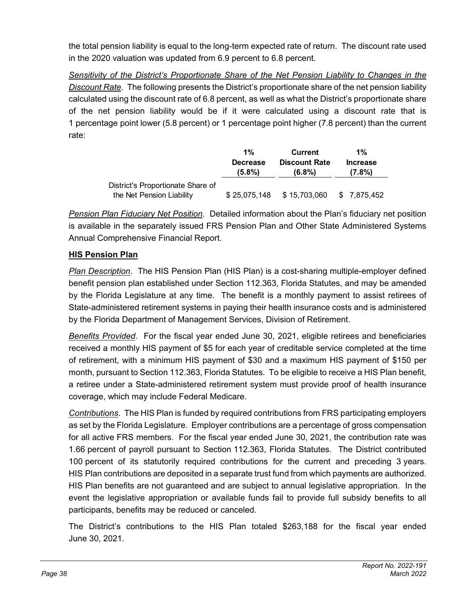the total pension liability is equal to the long-term expected rate of return. The discount rate used in the 2020 valuation was updated from 6.9 percent to 6.8 percent.

*Sensitivity of the District's Proportionate Share of the Net Pension Liability to Changes in the Discount Rate*. The following presents the District's proportionate share of the net pension liability calculated using the discount rate of 6.8 percent, as well as what the District's proportionate share of the net pension liability would be if it were calculated using a discount rate that is 1 percentage point lower (5.8 percent) or 1 percentage point higher (7.8 percent) than the current rate:

|                                   | $1\%$                        | <b>Current</b>                    | $1\%$                        |
|-----------------------------------|------------------------------|-----------------------------------|------------------------------|
|                                   | <b>Decrease</b><br>$(5.8\%)$ | <b>Discount Rate</b><br>$(6.8\%)$ | <b>Increase</b><br>$(7.8\%)$ |
| District's Proportionate Share of |                              |                                   |                              |
| the Net Pension Liability         | \$25,075,148                 | \$15,703,060                      | \$7,875,452                  |

*Pension Plan Fiduciary Net Position*. Detailed information about the Plan's fiduciary net position is available in the separately issued FRS Pension Plan and Other State Administered Systems Annual Comprehensive Financial Report.

# **HIS Pension Plan**

*Plan Description*. The HIS Pension Plan (HIS Plan) is a cost-sharing multiple-employer defined benefit pension plan established under Section 112.363, Florida Statutes, and may be amended by the Florida Legislature at any time. The benefit is a monthly payment to assist retirees of State-administered retirement systems in paying their health insurance costs and is administered by the Florida Department of Management Services, Division of Retirement.

*Benefits Provided*. For the fiscal year ended June 30, 2021, eligible retirees and beneficiaries received a monthly HIS payment of \$5 for each year of creditable service completed at the time of retirement, with a minimum HIS payment of \$30 and a maximum HIS payment of \$150 per month, pursuant to Section 112.363, Florida Statutes. To be eligible to receive a HIS Plan benefit, a retiree under a State-administered retirement system must provide proof of health insurance coverage, which may include Federal Medicare.

*Contributions*. The HIS Plan is funded by required contributions from FRS participating employers as set by the Florida Legislature. Employer contributions are a percentage of gross compensation for all active FRS members. For the fiscal year ended June 30, 2021, the contribution rate was 1.66 percent of payroll pursuant to Section 112.363, Florida Statutes. The District contributed 100 percent of its statutorily required contributions for the current and preceding 3 years. HIS Plan contributions are deposited in a separate trust fund from which payments are authorized. HIS Plan benefits are not guaranteed and are subject to annual legislative appropriation. In the event the legislative appropriation or available funds fail to provide full subsidy benefits to all participants, benefits may be reduced or canceled.

The District's contributions to the HIS Plan totaled \$263,188 for the fiscal year ended June 30, 2021.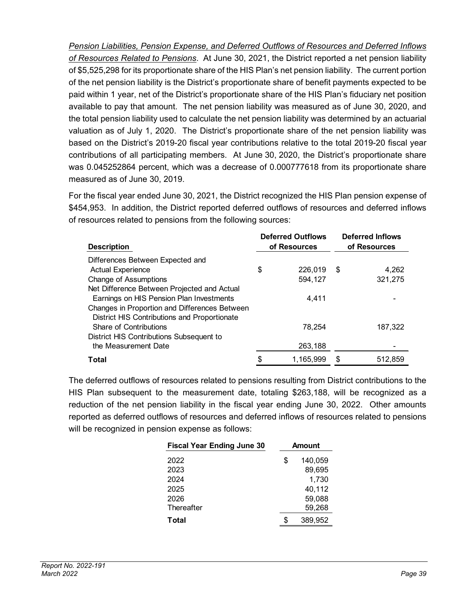*Pension Liabilities, Pension Expense, and Deferred Outflows of Resources and Deferred Inflows of Resources Related to Pensions*. At June 30, 2021, the District reported a net pension liability of \$5,525,298 for its proportionate share of the HIS Plan's net pension liability. The current portion of the net pension liability is the District's proportionate share of benefit payments expected to be paid within 1 year, net of the District's proportionate share of the HIS Plan's fiduciary net position available to pay that amount. The net pension liability was measured as of June 30, 2020, and the total pension liability used to calculate the net pension liability was determined by an actuarial valuation as of July 1, 2020. The District's proportionate share of the net pension liability was based on the District's 2019-20 fiscal year contributions relative to the total 2019-20 fiscal year contributions of all participating members. At June 30, 2020, the District's proportionate share was 0.045252864 percent, which was a decrease of 0.000777618 from its proportionate share measured as of June 30, 2019.

For the fiscal year ended June 30, 2021, the District recognized the HIS Plan pension expense of \$454,953. In addition, the District reported deferred outflows of resources and deferred inflows of resources related to pensions from the following sources:

|                                               |              | <b>Deferred Outflows</b> |              | <b>Deferred Inflows</b> |
|-----------------------------------------------|--------------|--------------------------|--------------|-------------------------|
| <b>Description</b>                            | of Resources |                          | of Resources |                         |
| Differences Between Expected and              |              |                          |              |                         |
| <b>Actual Experience</b>                      | \$           | 226,019                  | S            | 4,262                   |
| <b>Change of Assumptions</b>                  |              | 594,127                  |              | 321,275                 |
| Net Difference Between Projected and Actual   |              |                          |              |                         |
| Earnings on HIS Pension Plan Investments      |              | 4,411                    |              |                         |
| Changes in Proportion and Differences Between |              |                          |              |                         |
| District HIS Contributions and Proportionate  |              |                          |              |                         |
| <b>Share of Contributions</b>                 |              | 78,254                   |              | 187,322                 |
| District HIS Contributions Subsequent to      |              |                          |              |                         |
| the Measurement Date                          |              | 263,188                  |              |                         |
| Total                                         | \$           | 1.165.999                | \$           | 512.859                 |

The deferred outflows of resources related to pensions resulting from District contributions to the HIS Plan subsequent to the measurement date, totaling \$263,188, will be recognized as a reduction of the net pension liability in the fiscal year ending June 30, 2022. Other amounts reported as deferred outflows of resources and deferred inflows of resources related to pensions will be recognized in pension expense as follows:

| <b>Fiscal Year Ending June 30</b> | <b>Amount</b> |         |
|-----------------------------------|---------------|---------|
| 2022                              | \$            | 140,059 |
| 2023                              |               | 89,695  |
| 2024                              |               | 1,730   |
| 2025                              |               | 40,112  |
| 2026                              |               | 59,088  |
| <b>Thereafter</b>                 |               | 59,268  |
| Total                             | \$            | 389,952 |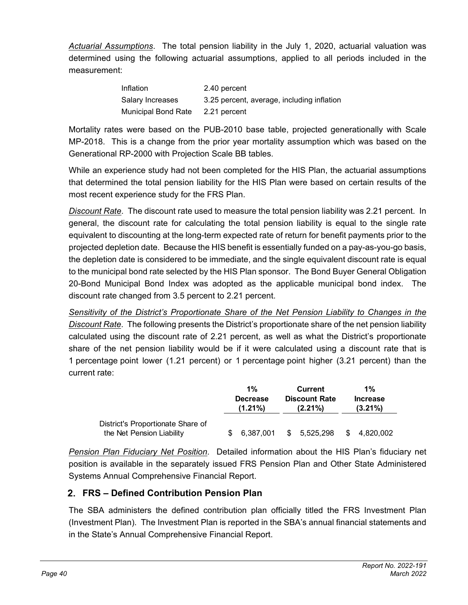*Actuarial Assumptions*. The total pension liability in the July 1, 2020, actuarial valuation was determined using the following actuarial assumptions, applied to all periods included in the measurement:

| Inflation                  | 2.40 percent                               |
|----------------------------|--------------------------------------------|
| Salary Increases           | 3.25 percent, average, including inflation |
| <b>Municipal Bond Rate</b> | 2.21 percent                               |

Mortality rates were based on the PUB-2010 base table, projected generationally with Scale MP-2018. This is a change from the prior year mortality assumption which was based on the Generational RP-2000 with Projection Scale BB tables.

While an experience study had not been completed for the HIS Plan, the actuarial assumptions that determined the total pension liability for the HIS Plan were based on certain results of the most recent experience study for the FRS Plan.

*Discount Rate*. The discount rate used to measure the total pension liability was 2.21 percent. In general, the discount rate for calculating the total pension liability is equal to the single rate equivalent to discounting at the long-term expected rate of return for benefit payments prior to the projected depletion date. Because the HIS benefit is essentially funded on a pay-as-you-go basis, the depletion date is considered to be immediate, and the single equivalent discount rate is equal to the municipal bond rate selected by the HIS Plan sponsor. The Bond Buyer General Obligation 20-Bond Municipal Bond Index was adopted as the applicable municipal bond index. The discount rate changed from 3.5 percent to 2.21 percent.

*Sensitivity of the District's Proportionate Share of the Net Pension Liability to Changes in the Discount Rate*. The following presents the District's proportionate share of the net pension liability calculated using the discount rate of 2.21 percent, as well as what the District's proportionate share of the net pension liability would be if it were calculated using a discount rate that is 1 percentage point lower (1.21 percent) or 1 percentage point higher (3.21 percent) than the current rate:

|                                   | 1%                            |    | <b>Current</b>                     |     | $1\%$                         |
|-----------------------------------|-------------------------------|----|------------------------------------|-----|-------------------------------|
|                                   | <b>Decrease</b><br>$(1.21\%)$ |    | <b>Discount Rate</b><br>$(2.21\%)$ |     | <b>Increase</b><br>$(3.21\%)$ |
| District's Proportionate Share of |                               |    |                                    |     | 4.820.002                     |
| the Net Pension Liability         | 6.387.001                     | S. | 5,525,298                          | \$. |                               |

*Pension Plan Fiduciary Net Position*. Detailed information about the HIS Plan's fiduciary net position is available in the separately issued FRS Pension Plan and Other State Administered Systems Annual Comprehensive Financial Report.

# **FRS – Defined Contribution Pension Plan**

The SBA administers the defined contribution plan officially titled the FRS Investment Plan (Investment Plan). The Investment Plan is reported in the SBA's annual financial statements and in the State's Annual Comprehensive Financial Report.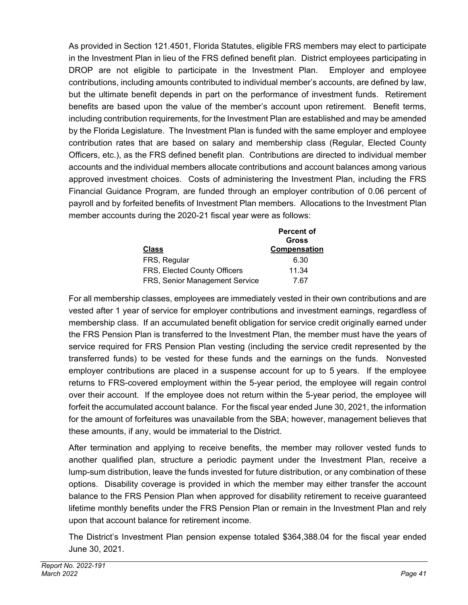As provided in Section 121.4501, Florida Statutes, eligible FRS members may elect to participate in the Investment Plan in lieu of the FRS defined benefit plan. District employees participating in DROP are not eligible to participate in the Investment Plan. Employer and employee contributions, including amounts contributed to individual member's accounts, are defined by law, but the ultimate benefit depends in part on the performance of investment funds. Retirement benefits are based upon the value of the member's account upon retirement. Benefit terms, including contribution requirements, for the Investment Plan are established and may be amended by the Florida Legislature. The Investment Plan is funded with the same employer and employee contribution rates that are based on salary and membership class (Regular, Elected County Officers, etc.), as the FRS defined benefit plan. Contributions are directed to individual member accounts and the individual members allocate contributions and account balances among various approved investment choices. Costs of administering the Investment Plan, including the FRS Financial Guidance Program, are funded through an employer contribution of 0.06 percent of payroll and by forfeited benefits of Investment Plan members. Allocations to the Investment Plan member accounts during the 2020-21 fiscal year were as follows:

|                                | <b>Percent of</b> |
|--------------------------------|-------------------|
|                                | Gross             |
| <b>Class</b>                   | Compensation      |
| FRS, Regular                   | 6.30              |
| FRS, Elected County Officers   | 11.34             |
| FRS, Senior Management Service | 7 67              |

For all membership classes, employees are immediately vested in their own contributions and are vested after 1 year of service for employer contributions and investment earnings, regardless of membership class. If an accumulated benefit obligation for service credit originally earned under the FRS Pension Plan is transferred to the Investment Plan, the member must have the years of service required for FRS Pension Plan vesting (including the service credit represented by the transferred funds) to be vested for these funds and the earnings on the funds. Nonvested employer contributions are placed in a suspense account for up to 5 years. If the employee returns to FRS-covered employment within the 5-year period, the employee will regain control over their account. If the employee does not return within the 5-year period, the employee will forfeit the accumulated account balance. For the fiscal year ended June 30, 2021, the information for the amount of forfeitures was unavailable from the SBA; however, management believes that these amounts, if any, would be immaterial to the District.

After termination and applying to receive benefits, the member may rollover vested funds to another qualified plan, structure a periodic payment under the Investment Plan, receive a lump-sum distribution, leave the funds invested for future distribution, or any combination of these options. Disability coverage is provided in which the member may either transfer the account balance to the FRS Pension Plan when approved for disability retirement to receive guaranteed lifetime monthly benefits under the FRS Pension Plan or remain in the Investment Plan and rely upon that account balance for retirement income.

The District's Investment Plan pension expense totaled \$364,388.04 for the fiscal year ended June 30, 2021.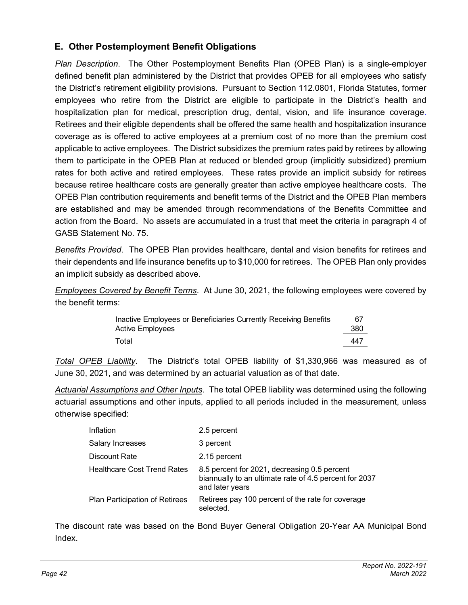### **E. Other Postemployment Benefit Obligations**

*Plan Description*. The Other Postemployment Benefits Plan (OPEB Plan) is a single-employer defined benefit plan administered by the District that provides OPEB for all employees who satisfy the District's retirement eligibility provisions. Pursuant to Section 112.0801, Florida Statutes, former employees who retire from the District are eligible to participate in the District's health and hospitalization plan for medical, prescription drug, dental, vision, and life insurance coverage. Retirees and their eligible dependents shall be offered the same health and hospitalization insurance coverage as is offered to active employees at a premium cost of no more than the premium cost applicable to active employees. The District subsidizes the premium rates paid by retirees by allowing them to participate in the OPEB Plan at reduced or blended group (implicitly subsidized) premium rates for both active and retired employees. These rates provide an implicit subsidy for retirees because retiree healthcare costs are generally greater than active employee healthcare costs. The OPEB Plan contribution requirements and benefit terms of the District and the OPEB Plan members are established and may be amended through recommendations of the Benefits Committee and action from the Board. No assets are accumulated in a trust that meet the criteria in paragraph 4 of GASB Statement No. 75.

*Benefits Provided*.The OPEB Plan provides healthcare, dental and vision benefits for retirees and their dependents and life insurance benefits up to \$10,000 for retirees. The OPEB Plan only provides an implicit subsidy as described above.

*Employees Covered by Benefit Terms*. At June 30, 2021, the following employees were covered by the benefit terms:

| Inactive Employees or Beneficiaries Currently Receiving Benefits | 67  |
|------------------------------------------------------------------|-----|
| Active Employees                                                 | 380 |
| Total                                                            | 447 |

*Total OPEB Liability*. The District's total OPEB liability of \$1,330,966 was measured as of June 30, 2021, and was determined by an actuarial valuation as of that date.

*Actuarial Assumptions and Other Inputs*. The total OPEB liability was determined using the following actuarial assumptions and other inputs, applied to all periods included in the measurement, unless otherwise specified:

| Inflation                          | 2.5 percent                                                                                                               |
|------------------------------------|---------------------------------------------------------------------------------------------------------------------------|
| Salary Increases                   | 3 percent                                                                                                                 |
| Discount Rate                      | 2.15 percent                                                                                                              |
| <b>Healthcare Cost Trend Rates</b> | 8.5 percent for 2021, decreasing 0.5 percent<br>biannually to an ultimate rate of 4.5 percent for 2037<br>and later years |
| Plan Participation of Retirees     | Retirees pay 100 percent of the rate for coverage<br>selected.                                                            |

The discount rate was based on the Bond Buyer General Obligation 20-Year AA Municipal Bond Index.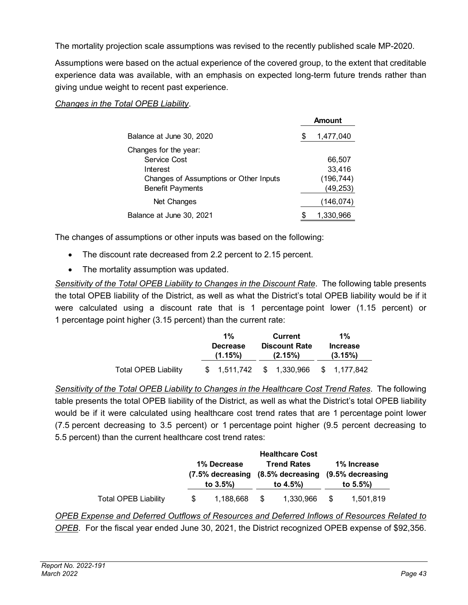The mortality projection scale assumptions was revised to the recently published scale MP-2020.

Assumptions were based on the actual experience of the covered group, to the extent that creditable experience data was available, with an emphasis on expected long-term future trends rather than giving undue weight to recent past experience.

### *Changes in the Total OPEB Liability*.

|                                        | Amount     |
|----------------------------------------|------------|
| Balance at June 30, 2020               | 1,477,040  |
| Changes for the year:                  |            |
| Service Cost                           | 66,507     |
| Interest                               | 33,416     |
| Changes of Assumptions or Other Inputs | (196, 744) |
| <b>Benefit Payments</b>                | (49, 253)  |
| Net Changes                            | (146, 074) |
| Balance at June 30, 2021               | 1,330,966  |

The changes of assumptions or other inputs was based on the following:

- The discount rate decreased from 2.2 percent to 2.15 percent.
- The mortality assumption was updated.

*Sensitivity of the Total OPEB Liability to Changes in the Discount Rate*. The following table presents the total OPEB liability of the District, as well as what the District's total OPEB liability would be if it were calculated using a discount rate that is 1 percentage point lower (1.15 percent) or 1 percentage point higher (3.15 percent) than the current rate:

|                             | 1%                         | Current                         | $1\%$                      |
|-----------------------------|----------------------------|---------------------------------|----------------------------|
|                             | <b>Decrease</b><br>(1.15%) | <b>Discount Rate</b><br>(2.15%) | <b>Increase</b><br>(3.15%) |
| <b>Total OPEB Liability</b> | \$ 1.511.742               | \$1,330,966                     | \$ 1.177.842               |

*Sensitivity of the Total OPEB Liability to Changes in the Healthcare Cost Trend Rates*. The following table presents the total OPEB liability of the District, as well as what the District's total OPEB liability would be if it were calculated using healthcare cost trend rates that are 1 percentage point lower (7.5 percent decreasing to 3.5 percent) or 1 percentage point higher (9.5 percent decreasing to 5.5 percent) than the current healthcare cost trend rates:

|                             |                                               |           |    | <b>Healthcare Cost</b>                               |                                               |           |
|-----------------------------|-----------------------------------------------|-----------|----|------------------------------------------------------|-----------------------------------------------|-----------|
|                             | 1% Decrease<br>(7.5% decreasing<br>to $3.5\%$ |           |    | <b>Trend Rates</b><br>(8.5% decreasing<br>to $4.5\%$ | 1% Increase<br>(9.5% decreasing<br>to $5.5\%$ |           |
| <b>Total OPEB Liability</b> | S                                             | 1,188,668 | \$ | 1,330,966                                            |                                               | 1,501,819 |

*OPEB Expense and Deferred Outflows of Resources and Deferred Inflows of Resources Related to OPEB*. For the fiscal year ended June 30, 2021, the District recognized OPEB expense of \$92,356.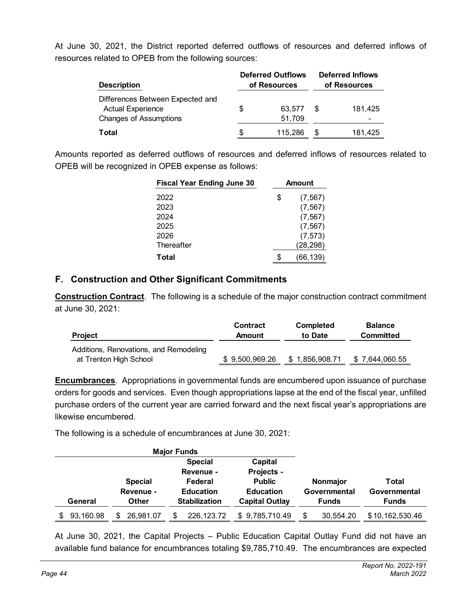At June 30, 2021, the District reported deferred outflows of resources and deferred inflows of resources related to OPEB from the following sources:

| <b>Description</b>                                           | <b>Deferred Outflows</b><br>of Resources | <b>Deferred Inflows</b><br>of Resources |    |         |  |
|--------------------------------------------------------------|------------------------------------------|-----------------------------------------|----|---------|--|
| Differences Between Expected and<br><b>Actual Experience</b> | S                                        | 63.577                                  | -S | 181.425 |  |
| <b>Changes of Assumptions</b>                                |                                          | 51,709                                  |    | -       |  |
| <b>Total</b>                                                 | \$                                       | 115,286                                 |    | 181,425 |  |

Amounts reported as deferred outflows of resources and deferred inflows of resources related to OPEB will be recognized in OPEB expense as follows:

| <b>Fiscal Year Ending June 30</b> |   | <b>Amount</b> |  |  |  |
|-----------------------------------|---|---------------|--|--|--|
| 2022                              | S | (7, 567)      |  |  |  |
| 2023                              |   | (7, 567)      |  |  |  |
| 2024                              |   | (7, 567)      |  |  |  |
| 2025                              |   | (7, 567)      |  |  |  |
| 2026                              |   | (7, 573)      |  |  |  |
| Thereafter                        |   | (28, 298)     |  |  |  |
| <b>Total</b>                      |   | (66,139)      |  |  |  |

### **F. Construction and Other Significant Commitments**

**Construction Contract**. The following is a schedule of the major construction contract commitment at June 30, 2021:

|                                        | <b>Contract</b> | <b>Completed</b> | <b>Balance</b> |
|----------------------------------------|-----------------|------------------|----------------|
| <b>Project</b>                         | Amount          | to Date          | Committed      |
| Additions, Renovations, and Remodeling |                 |                  |                |
| at Trenton High School                 | \$9,500,969.26  | \$1,856,908.71   | \$7,644,060.55 |

**Encumbrances**. Appropriations in governmental funds are encumbered upon issuance of purchase orders for goods and services. Even though appropriations lapse at the end of the fiscal year, unfilled purchase orders of the current year are carried forward and the next fiscal year's appropriations are likewise encumbered.

The following is a schedule of encumbrances at June 30, 2021:

|                 |                | <b>Major Funds</b> |                      |                       |   |              |                 |
|-----------------|----------------|--------------------|----------------------|-----------------------|---|--------------|-----------------|
|                 |                |                    | <b>Special</b>       | Capital               |   |              |                 |
|                 |                |                    | Revenue -            | Projects -            |   |              |                 |
|                 | <b>Special</b> |                    | Federal              | <b>Public</b>         |   | Nonmajor     | Total           |
|                 | Revenue -      | <b>Education</b>   |                      | <b>Education</b>      |   | Governmental | Governmental    |
| General         | <b>Other</b>   |                    | <b>Stabilization</b> | <b>Capital Outlay</b> |   | <b>Funds</b> | <b>Funds</b>    |
| 93,160.98<br>\$ | 26,981.07      |                    | 226, 123. 72         | \$9,785,710.49        | S | 30,554.20    | \$10,162,530.46 |

At June 30, 2021, the Capital Projects – Public Education Capital Outlay Fund did not have an available fund balance for encumbrances totaling \$9,785,710.49. The encumbrances are expected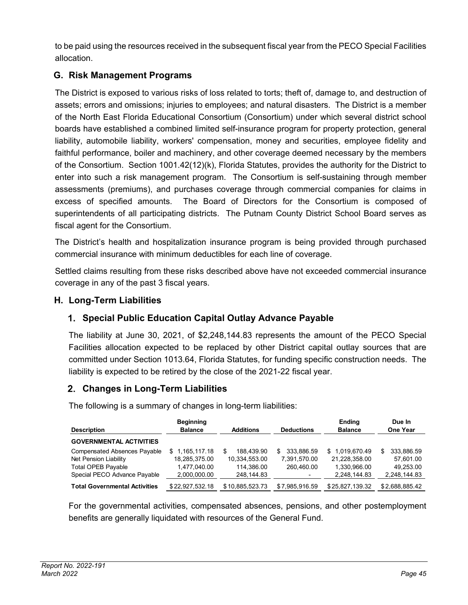to be paid using the resources received in the subsequent fiscal year from the PECO Special Facilities allocation.

# **G. Risk Management Programs**

The District is exposed to various risks of loss related to torts; theft of, damage to, and destruction of assets; errors and omissions; injuries to employees; and natural disasters. The District is a member of the North East Florida Educational Consortium (Consortium) under which several district school boards have established a combined limited self-insurance program for property protection, general liability, automobile liability, workers' compensation, money and securities, employee fidelity and faithful performance, boiler and machinery, and other coverage deemed necessary by the members of the Consortium. Section 1001.42(12)(k), Florida Statutes, provides the authority for the District to enter into such a risk management program. The Consortium is self-sustaining through member assessments (premiums), and purchases coverage through commercial companies for claims in excess of specified amounts. The Board of Directors for the Consortium is composed of superintendents of all participating districts. The Putnam County District School Board serves as fiscal agent for the Consortium.

The District's health and hospitalization insurance program is being provided through purchased commercial insurance with minimum deductibles for each line of coverage.

Settled claims resulting from these risks described above have not exceeded commercial insurance coverage in any of the past 3 fiscal years.

### **H. Long-Term Liabilities**

# **Special Public Education Capital Outlay Advance Payable**

The liability at June 30, 2021, of \$2,248,144.83 represents the amount of the PECO Special Facilities allocation expected to be replaced by other District capital outlay sources that are committed under Section 1013.64, Florida Statutes, for funding specific construction needs. The liability is expected to be retired by the close of the 2021-22 fiscal year.

# **Changes in Long-Term Liabilities**

The following is a summary of changes in long-term liabilities:

| <b>Description</b>                   | <b>Beginning</b><br><b>Balance</b> | <b>Additions</b> | <b>Deductions</b> | <b>Ending</b><br><b>Balance</b> | Due In<br><b>One Year</b> |
|--------------------------------------|------------------------------------|------------------|-------------------|---------------------------------|---------------------------|
| <b>GOVERNMENTAL ACTIVITIES</b>       |                                    |                  |                   |                                 |                           |
| <b>Compensated Absences Payable</b>  | \$1.165.117.18                     | 188.439.90<br>S  | 333.886.59<br>SS. | 1.019.670.49<br>S.              | 333.886.59<br>S           |
| Net Pension Liability                | 18,285,375.00                      | 10,334,553.00    | 7,391,570.00      | 21.228.358.00                   | 57,601.00                 |
| <b>Total OPEB Payable</b>            | 1.477.040.00                       | 114.386.00       | 260.460.00        | 1.330.966.00                    | 49.253.00                 |
| Special PECO Advance Payable         | 2,000,000.00                       | 248,144.83       |                   | 2,248,144.83                    | 2,248,144.83              |
| <b>Total Governmental Activities</b> | \$22,927,532.18                    | \$10,885,523.73  | \$7,985,916.59    | \$25,827,139.32                 | \$2,688,885.42            |

For the governmental activities, compensated absences, pensions, and other postemployment benefits are generally liquidated with resources of the General Fund.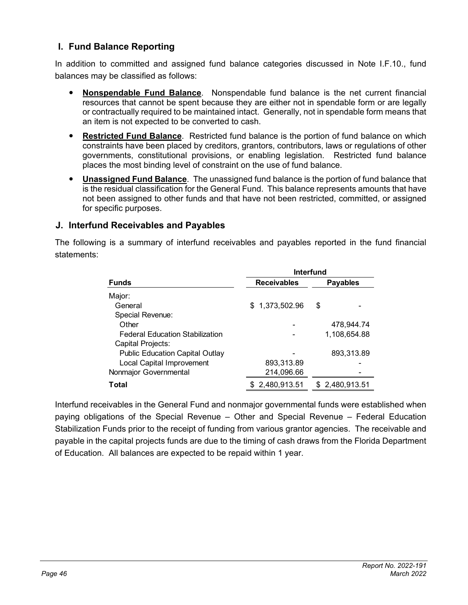### **I. Fund Balance Reporting**

In addition to committed and assigned fund balance categories discussed in Note I.F.10., fund balances may be classified as follows:

- **Nonspendable Fund Balance**. Nonspendable fund balance is the net current financial resources that cannot be spent because they are either not in spendable form or are legally or contractually required to be maintained intact. Generally, not in spendable form means that an item is not expected to be converted to cash.
- **Restricted Fund Balance**. Restricted fund balance is the portion of fund balance on which constraints have been placed by creditors, grantors, contributors, laws or regulations of other governments, constitutional provisions, or enabling legislation. Restricted fund balance places the most binding level of constraint on the use of fund balance.
- **Unassigned Fund Balance**. The unassigned fund balance is the portion of fund balance that is the residual classification for the General Fund. This balance represents amounts that have not been assigned to other funds and that have not been restricted, committed, or assigned for specific purposes.

### **J. Interfund Receivables and Payables**

The following is a summary of interfund receivables and payables reported in the fund financial statements:

|                                        | <b>Interfund</b>   |                 |  |  |  |  |  |  |
|----------------------------------------|--------------------|-----------------|--|--|--|--|--|--|
| <b>Funds</b>                           | <b>Receivables</b> | <b>Payables</b> |  |  |  |  |  |  |
| Major:                                 |                    |                 |  |  |  |  |  |  |
| General                                | \$1,373,502.96     | \$              |  |  |  |  |  |  |
| Special Revenue:                       |                    |                 |  |  |  |  |  |  |
| Other                                  |                    | 478,944.74      |  |  |  |  |  |  |
| <b>Federal Education Stabilization</b> |                    | 1,108,654.88    |  |  |  |  |  |  |
| Capital Projects:                      |                    |                 |  |  |  |  |  |  |
| <b>Public Education Capital Outlay</b> |                    | 893.313.89      |  |  |  |  |  |  |
| Local Capital Improvement              | 893,313.89         |                 |  |  |  |  |  |  |
| Nonmajor Governmental                  | 214,096.66         |                 |  |  |  |  |  |  |
| Total                                  | \$2,480,913.51     | \$2,480,913.51  |  |  |  |  |  |  |

Interfund receivables in the General Fund and nonmajor governmental funds were established when paying obligations of the Special Revenue – Other and Special Revenue – Federal Education Stabilization Funds prior to the receipt of funding from various grantor agencies. The receivable and payable in the capital projects funds are due to the timing of cash draws from the Florida Department of Education. All balances are expected to be repaid within 1 year.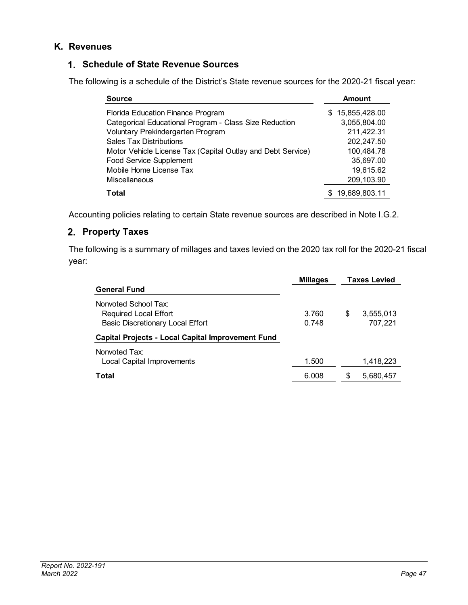### **K. Revenues**

### **Schedule of State Revenue Sources**

The following is a schedule of the District's State revenue sources for the 2020-21 fiscal year:

| <b>Source</b>                                               | <b>Amount</b>       |
|-------------------------------------------------------------|---------------------|
| Florida Education Finance Program                           | 15,855,428.00<br>S. |
| Categorical Educational Program - Class Size Reduction      | 3,055,804.00        |
| Voluntary Prekindergarten Program                           | 211,422.31          |
| <b>Sales Tax Distributions</b>                              | 202,247.50          |
| Motor Vehicle License Tax (Capital Outlay and Debt Service) | 100,484.78          |
| Food Service Supplement                                     | 35,697.00           |
| Mobile Home License Tax                                     | 19,615.62           |
| Miscellaneous                                               | 209,103.90          |
| Total                                                       | 19,689,803.11       |

Accounting policies relating to certain State revenue sources are described in Note I.G.2.

### **Property Taxes**

The following is a summary of millages and taxes levied on the 2020 tax roll for the 2020-21 fiscal year:

| <b>General Fund</b><br>Nonvoted School Tax:<br><b>Required Local Effort</b><br><b>Basic Discretionary Local Effort</b><br>Nonvoted Tax:<br><b>Local Capital Improvements</b><br>Total | <b>Millages</b> |   | <b>Taxes Levied</b> |
|---------------------------------------------------------------------------------------------------------------------------------------------------------------------------------------|-----------------|---|---------------------|
|                                                                                                                                                                                       |                 |   |                     |
|                                                                                                                                                                                       |                 |   |                     |
|                                                                                                                                                                                       | 3.760           | S | 3,555,013           |
|                                                                                                                                                                                       | 0.748           |   | 707,221             |
| <b>Capital Projects - Local Capital Improvement Fund</b>                                                                                                                              |                 |   |                     |
|                                                                                                                                                                                       |                 |   |                     |
|                                                                                                                                                                                       | 1.500           |   | 1,418,223           |
|                                                                                                                                                                                       | 6.008           | S | 5,680,457           |
|                                                                                                                                                                                       |                 |   |                     |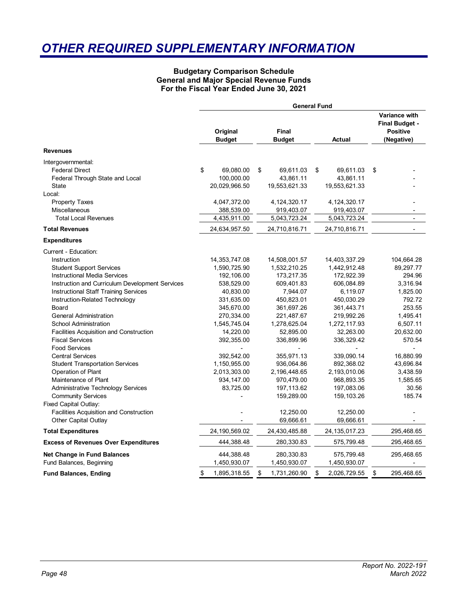# <span id="page-53-0"></span>*OTHER REQUIRED SUPPLEMENTARY INFORMATION*

### **Budgetary Comparison Schedule General and Major Special Revenue Funds For the Fiscal Year Ended June 30, 2021**

|                                                                                                   |                                                | <b>General Fund</b>                           |                                               |                                                                                |
|---------------------------------------------------------------------------------------------------|------------------------------------------------|-----------------------------------------------|-----------------------------------------------|--------------------------------------------------------------------------------|
|                                                                                                   | Original<br><b>Budget</b>                      | <b>Final</b><br><b>Budget</b>                 | Actual                                        | <b>Variance with</b><br><b>Final Budget -</b><br><b>Positive</b><br>(Negative) |
| <b>Revenues</b>                                                                                   |                                                |                                               |                                               |                                                                                |
| Intergovernmental:<br><b>Federal Direct</b><br>Federal Through State and Local<br>State<br>Local: | \$<br>69,080.00<br>100,000.00<br>20,029,966.50 | \$<br>69,611.03<br>43,861.11<br>19,553,621.33 | \$<br>69,611.03<br>43,861.11<br>19,553,621.33 | \$                                                                             |
| <b>Property Taxes</b>                                                                             | 4,047,372.00                                   | 4,124,320.17                                  | 4, 124, 320. 17                               |                                                                                |
| Miscellaneous                                                                                     | 388,539.00                                     | 919,403.07                                    | 919,403.07                                    |                                                                                |
| <b>Total Local Revenues</b>                                                                       | 4,435,911.00                                   | 5,043,723.24                                  | 5,043,723.24                                  | $\blacksquare$                                                                 |
| <b>Total Revenues</b>                                                                             | 24,634,957.50                                  | 24,710,816.71                                 | 24,710,816.71                                 | $\overline{a}$                                                                 |
| <b>Expenditures</b>                                                                               |                                                |                                               |                                               |                                                                                |
| Current - Education:                                                                              |                                                |                                               |                                               |                                                                                |
| Instruction                                                                                       | 14,353,747.08                                  | 14,508,001.57                                 | 14,403,337.29                                 | 104,664.28                                                                     |
| <b>Student Support Services</b>                                                                   | 1,590,725.90                                   | 1,532,210.25                                  | 1,442,912.48                                  | 89,297.77                                                                      |
| <b>Instructional Media Services</b>                                                               | 192,106.00                                     | 173,217.35                                    | 172,922.39                                    | 294.96                                                                         |
| Instruction and Curriculum Development Services                                                   | 538,529.00                                     | 609,401.83                                    | 606,084.89                                    | 3,316.94                                                                       |
| <b>Instructional Staff Training Services</b>                                                      | 40,830.00                                      | 7,944.07                                      | 6,119.07                                      | 1,825.00                                                                       |
| Instruction-Related Technology                                                                    | 331,635.00                                     | 450,823.01                                    | 450,030.29                                    | 792.72                                                                         |
| Board                                                                                             | 345,670.00                                     | 361,697.26                                    | 361,443.71                                    | 253.55                                                                         |
| <b>General Administration</b>                                                                     | 270,334.00                                     | 221,487.67                                    | 219,992.26                                    | 1,495.41                                                                       |
| <b>School Administration</b>                                                                      | 1,545,745.04                                   | 1,278,625.04                                  | 1,272,117.93                                  | 6,507.11                                                                       |
| <b>Facilities Acquisition and Construction</b>                                                    | 14,220.00                                      | 52,895.00                                     | 32,263.00                                     | 20,632.00                                                                      |
| <b>Fiscal Services</b><br><b>Food Services</b>                                                    | 392,355.00                                     | 336,899.96                                    | 336,329.42                                    | 570.54                                                                         |
| <b>Central Services</b>                                                                           | 392,542.00                                     | 355,971.13                                    | 339,090.14                                    | 16,880.99                                                                      |
| <b>Student Transportation Services</b>                                                            | 1,150,955.00                                   | 936,064.86                                    | 892,368.02                                    | 43,696.84                                                                      |
| Operation of Plant                                                                                | 2,013,303.00                                   | 2,196,448.65                                  | 2,193,010.06                                  | 3,438.59                                                                       |
| Maintenance of Plant                                                                              | 934,147.00                                     | 970,479.00                                    | 968,893.35                                    | 1,585.65                                                                       |
| <b>Administrative Technology Services</b>                                                         | 83,725.00                                      | 197,113.62                                    | 197,083.06                                    | 30.56                                                                          |
| <b>Community Services</b>                                                                         |                                                | 159,289.00                                    | 159,103.26                                    | 185.74                                                                         |
| Fixed Capital Outlay:                                                                             |                                                |                                               |                                               |                                                                                |
| Facilities Acquisition and Construction                                                           |                                                | 12,250.00                                     | 12,250.00                                     |                                                                                |
| <b>Other Capital Outlay</b>                                                                       |                                                | 69,666.61                                     | 69,666.61                                     |                                                                                |
| <b>Total Expenditures</b>                                                                         | 24, 190, 569.02                                | 24,430,485.88                                 | 24,135,017.23                                 | 295,468.65                                                                     |
| <b>Excess of Revenues Over Expenditures</b>                                                       | 444,388.48                                     | 280,330.83                                    | 575,799.48                                    | 295,468.65                                                                     |
| <b>Net Change in Fund Balances</b>                                                                | 444,388.48                                     | 280,330.83                                    | 575,799.48                                    | 295,468.65                                                                     |
| Fund Balances, Beginning                                                                          | 1,450,930.07                                   | 1,450,930.07                                  | 1,450,930.07                                  |                                                                                |
| <b>Fund Balances, Ending</b>                                                                      | \$<br>1,895,318.55                             | \$<br>1,731,260.90                            | \$<br>2,026,729.55                            | \$<br>295,468.65                                                               |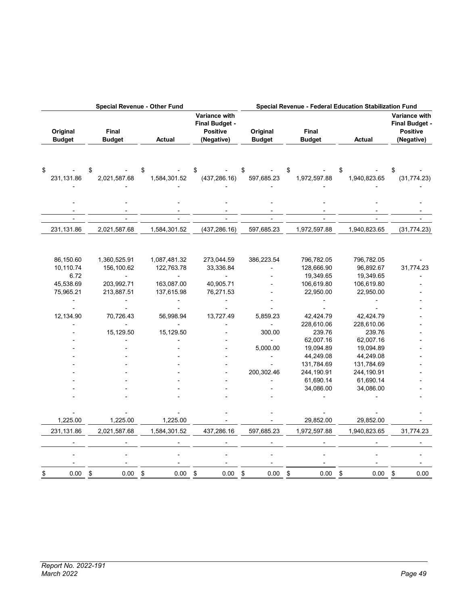| Special Revenue - Other Fund |                           |                               |                |    |                          |    |                                                                  |    | Special Revenue - Federal Education Stabilization Fund |    |                        |                         |               |                   |                                                                  |
|------------------------------|---------------------------|-------------------------------|----------------|----|--------------------------|----|------------------------------------------------------------------|----|--------------------------------------------------------|----|------------------------|-------------------------|---------------|-------------------|------------------------------------------------------------------|
|                              | Original<br><b>Budget</b> | <b>Final</b><br><b>Budget</b> |                |    | Actual                   |    | Variance with<br>Final Budget -<br><b>Positive</b><br>(Negative) |    | Original<br><b>Budget</b>                              |    | Final<br><b>Budget</b> |                         | <b>Actual</b> |                   | Variance with<br>Final Budget -<br><b>Positive</b><br>(Negative) |
| \$                           |                           | \$                            |                | \$ |                          | \$ |                                                                  | \$ |                                                        | \$ |                        | \$                      |               | \$                |                                                                  |
|                              | 231,131.86                |                               | 2,021,587.68   |    | 1,584,301.52             |    | (437, 286.16)                                                    |    | 597,685.23                                             |    | 1,972,597.88           |                         | 1,940,823.65  |                   | (31, 774.23)                                                     |
|                              |                           |                               |                |    |                          |    |                                                                  |    |                                                        |    |                        |                         |               |                   |                                                                  |
|                              |                           |                               |                |    |                          |    |                                                                  |    |                                                        |    |                        |                         |               |                   |                                                                  |
|                              |                           |                               |                |    |                          |    |                                                                  |    |                                                        |    |                        |                         |               |                   |                                                                  |
|                              | 231,131.86                |                               | 2,021,587.68   |    | 1,584,301.52             |    | (437, 286.16)                                                    |    | 597,685.23                                             |    | 1,972,597.88           |                         | 1,940,823.65  |                   | (31, 774.23)                                                     |
|                              |                           |                               |                |    |                          |    |                                                                  |    |                                                        |    |                        |                         |               |                   |                                                                  |
|                              | 86,150.60                 | 1,360,525.91                  |                |    | 1,087,481.32             |    | 273,044.59                                                       |    | 386,223.54                                             |    | 796,782.05             |                         | 796,782.05    |                   |                                                                  |
|                              | 10,110.74                 |                               | 156,100.62     |    | 122,763.78               |    | 33,336.84                                                        |    |                                                        |    | 128,666.90             |                         | 96,892.67     |                   | 31,774.23                                                        |
|                              | 6.72                      |                               | $\overline{a}$ |    | $\overline{\phantom{0}}$ |    | $\blacksquare$                                                   |    |                                                        |    | 19,349.65              |                         | 19,349.65     |                   |                                                                  |
|                              | 45,538.69                 |                               | 203,992.71     |    | 163,087.00               |    | 40,905.71                                                        |    |                                                        |    | 106,619.80             |                         | 106,619.80    |                   |                                                                  |
|                              | 75,965.21                 |                               | 213,887.51     |    | 137,615.98               |    | 76,271.53                                                        |    |                                                        |    | 22,950.00              |                         | 22,950.00     |                   |                                                                  |
|                              |                           |                               |                |    |                          |    |                                                                  |    |                                                        |    |                        |                         |               |                   |                                                                  |
|                              |                           |                               |                |    |                          |    |                                                                  |    |                                                        |    |                        |                         |               |                   |                                                                  |
|                              | 12,134.90                 |                               | 70,726.43      |    | 56,998.94                |    | 13,727.49                                                        |    | 5,859.23                                               |    | 42,424.79              |                         | 42,424.79     |                   |                                                                  |
|                              |                           |                               |                |    |                          |    |                                                                  |    |                                                        |    | 228,610.06             |                         | 228,610.06    |                   |                                                                  |
|                              |                           |                               | 15,129.50      |    | 15,129.50                |    |                                                                  |    | 300.00                                                 |    | 239.76                 |                         | 239.76        |                   |                                                                  |
|                              |                           |                               |                |    |                          |    |                                                                  |    |                                                        |    | 62,007.16              |                         | 62,007.16     |                   |                                                                  |
|                              |                           |                               |                |    |                          |    |                                                                  |    | 5,000.00                                               |    | 19,094.89              |                         | 19,094.89     |                   |                                                                  |
|                              |                           |                               |                |    |                          |    |                                                                  |    |                                                        |    | 44,249.08              |                         | 44,249.08     |                   |                                                                  |
|                              |                           |                               |                |    |                          |    |                                                                  |    |                                                        |    | 131,784.69             |                         | 131,784.69    |                   |                                                                  |
|                              |                           |                               |                |    |                          |    |                                                                  |    | 200,302.46                                             |    | 244,190.91             |                         | 244,190.91    |                   |                                                                  |
|                              |                           |                               |                |    |                          |    |                                                                  |    |                                                        |    | 61,690.14              |                         | 61,690.14     |                   |                                                                  |
|                              |                           |                               |                |    |                          |    |                                                                  |    |                                                        |    | 34,086.00              |                         | 34,086.00     |                   |                                                                  |
|                              |                           |                               |                |    |                          |    |                                                                  |    |                                                        |    |                        |                         |               |                   |                                                                  |
|                              |                           |                               |                |    |                          |    |                                                                  |    |                                                        |    |                        |                         |               |                   |                                                                  |
|                              | 1,225.00                  |                               | 1,225.00       |    | 1,225.00                 |    |                                                                  |    |                                                        |    | 29,852.00              |                         | 29,852.00     |                   |                                                                  |
|                              | 231,131.86                |                               | 2,021,587.68   |    | 1,584,301.52             |    | 437,286.16                                                       |    | 597,685.23                                             |    | 1,972,597.88           |                         | 1,940,823.65  |                   | 31,774.23                                                        |
|                              |                           |                               |                |    |                          |    |                                                                  |    |                                                        |    |                        |                         |               |                   |                                                                  |
|                              |                           |                               |                |    |                          |    |                                                                  |    |                                                        |    |                        |                         |               |                   |                                                                  |
|                              |                           |                               |                |    |                          |    |                                                                  |    |                                                        |    |                        |                         |               |                   |                                                                  |
| \$                           | 0.00                      | \$                            | 0.00           | \$ | 0.00                     | \$ | 0.00                                                             | \$ | 0.00                                                   | \$ | 0.00                   | $\sqrt[6]{\frac{1}{2}}$ | 0.00          | $\boldsymbol{\$}$ | 0.00                                                             |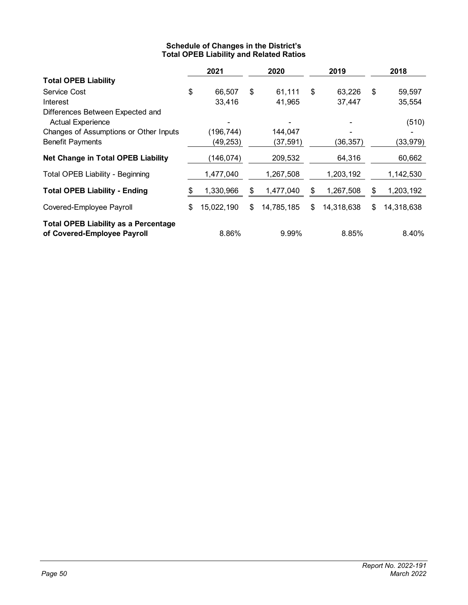### **Schedule of Changes in the District's Total OPEB Liability and Related Ratios**

<span id="page-55-0"></span>

|                                                                            | 2021 |            | 2020 |            | 2019             |    | 2018       |  |
|----------------------------------------------------------------------------|------|------------|------|------------|------------------|----|------------|--|
| <b>Total OPEB Liability</b>                                                |      |            |      |            |                  |    |            |  |
| Service Cost                                                               | \$   | 66,507     | \$   | 61.111     | \$<br>63,226     | \$ | 59,597     |  |
| Interest                                                                   |      | 33,416     |      | 41,965     | 37,447           |    | 35,554     |  |
| Differences Between Expected and                                           |      |            |      |            |                  |    | (510)      |  |
| <b>Actual Experience</b>                                                   |      |            |      |            |                  |    |            |  |
| Changes of Assumptions or Other Inputs                                     |      | (196,744)  |      | 144,047    |                  |    |            |  |
| <b>Benefit Payments</b>                                                    |      | (49, 253)  |      | (37, 591)  | (36, 357)        |    | (33, 979)  |  |
| <b>Net Change in Total OPEB Liability</b>                                  |      | (146, 074) |      | 209,532    | 64,316           |    | 60,662     |  |
| <b>Total OPEB Liability - Beginning</b>                                    |      | 1,477,040  |      | 1,267,508  | 1,203,192        |    | 1,142,530  |  |
| <b>Total OPEB Liability - Ending</b>                                       | S    | 1,330,966  | \$   | 1,477,040  | \$<br>1,267,508  | \$ | 1,203,192  |  |
| Covered-Employee Payroll                                                   | \$   | 15,022,190 | \$   | 14,785,185 | \$<br>14,318,638 | \$ | 14,318,638 |  |
| <b>Total OPEB Liability as a Percentage</b><br>of Covered-Employee Payroll |      | 8.86%      |      | 9.99%      | 8.85%            |    | 8.40%      |  |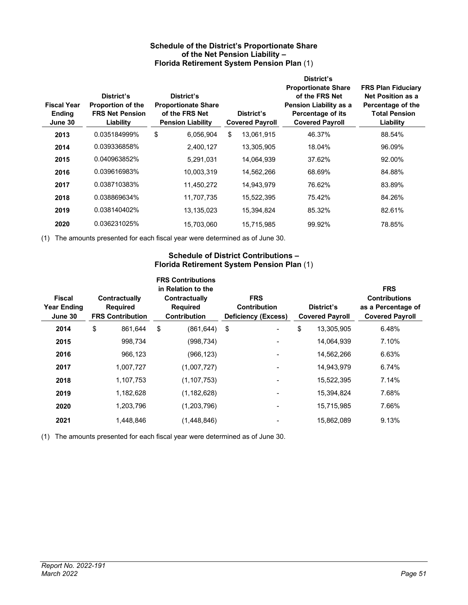### **Schedule of the District's Proportionate Share of the Net Pension Liability – Florida Retirement System Pension Plan** (1)

<span id="page-56-0"></span>

| <b>Fiscal Year</b><br>Ending | District's<br>Proportion of the<br><b>FRS Net Pension</b> | District's<br><b>Proportionate Share</b><br>of the FRS Net | District's             | District's<br><b>Proportionate Share</b><br>of the FRS Net<br>Pension Liability as a<br><b>Percentage of its</b> | <b>FRS Plan Fiduciary</b><br>Net Position as a<br>Percentage of the<br><b>Total Pension</b> |
|------------------------------|-----------------------------------------------------------|------------------------------------------------------------|------------------------|------------------------------------------------------------------------------------------------------------------|---------------------------------------------------------------------------------------------|
| June 30                      | Liability                                                 | <b>Pension Liability</b>                                   | <b>Covered Payroll</b> | <b>Covered Payroll</b>                                                                                           | Liability                                                                                   |
| 2013                         | 0.035184999%                                              | \$<br>6,056,904                                            | \$<br>13,061,915       | 46.37%                                                                                                           | 88.54%                                                                                      |
| 2014                         | 0.039336858%                                              | 2,400,127                                                  | 13,305,905             | 18.04%                                                                                                           | 96.09%                                                                                      |
| 2015                         | 0.040963852%                                              | 5.291.031                                                  | 14,064,939             | 37.62%                                                                                                           | 92.00%                                                                                      |
| 2016                         | 0.039616983%                                              | 10,003,319                                                 | 14,562,266             | 68.69%                                                                                                           | 84.88%                                                                                      |
| 2017                         | 0.038710383%                                              | 11,450,272                                                 | 14,943,979             | 76.62%                                                                                                           | 83.89%                                                                                      |
| 2018                         | 0.038869634%                                              | 11,707,735                                                 | 15,522,395             | 75.42%                                                                                                           | 84.26%                                                                                      |
| 2019                         | 0.038140402%                                              | 13,135,023                                                 | 15,394,824             | 85.32%                                                                                                           | 82.61%                                                                                      |
| 2020                         | 0.036231025%                                              | 15.703.060                                                 | 15.715.985             | 99.92%                                                                                                           | 78.85%                                                                                      |

(1) The amounts presented for each fiscal year were determined as of June 30.

### **Schedule of District Contributions – Florida Retirement System Pension Plan** (1)

| <b>Fiscal</b><br><b>Year Ending</b><br>June 30 | Contractually<br><b>Required</b><br><b>FRS Contribution</b> | <b>FRS Contributions</b><br>in Relation to the<br>Contractually<br><b>Required</b><br><b>Contribution</b> | <b>FRS</b><br><b>Contribution</b><br><b>Deficiency (Excess)</b> | District's<br><b>Covered Payroll</b> | <b>FRS</b><br><b>Contributions</b><br>as a Percentage of<br><b>Covered Payroll</b> |
|------------------------------------------------|-------------------------------------------------------------|-----------------------------------------------------------------------------------------------------------|-----------------------------------------------------------------|--------------------------------------|------------------------------------------------------------------------------------|
| 2014                                           | \$<br>861.644                                               | \$<br>(861, 644)                                                                                          | \$                                                              | \$<br>13.305.905                     | 6.48%                                                                              |
| 2015                                           | 998,734                                                     | (998, 734)                                                                                                |                                                                 | 14,064,939                           | 7.10%                                                                              |
| 2016                                           | 966,123                                                     | (966, 123)                                                                                                |                                                                 | 14,562,266                           | 6.63%                                                                              |
| 2017                                           | 1,007,727                                                   | (1,007,727)                                                                                               |                                                                 | 14,943,979                           | 6.74%                                                                              |
| 2018                                           | 1,107,753                                                   | (1, 107, 753)                                                                                             |                                                                 | 15,522,395                           | 7.14%                                                                              |
| 2019                                           | 1,182,628                                                   | (1, 182, 628)                                                                                             |                                                                 | 15,394,824                           | 7.68%                                                                              |
| 2020                                           | 1,203,796                                                   | (1,203,796)                                                                                               |                                                                 | 15,715,985                           | 7.66%                                                                              |
| 2021                                           | 1.448.846                                                   | (1,448,846)                                                                                               |                                                                 | 15,862,089                           | 9.13%                                                                              |

(1) The amounts presented for each fiscal year were determined as of June 30.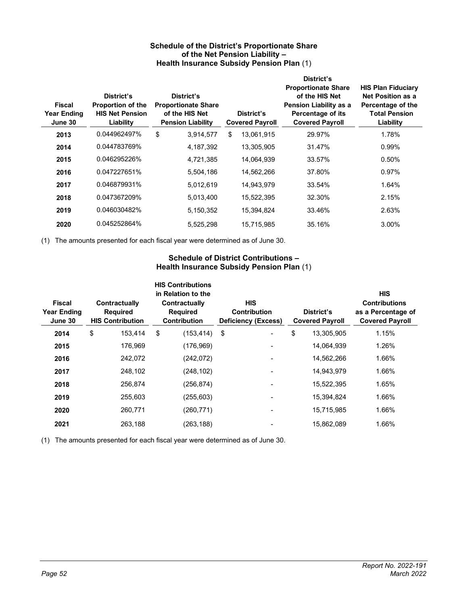### **Schedule of the District's Proportionate Share of the Net Pension Liability – Health Insurance Subsidy Pension Plan** (1)

<span id="page-57-0"></span>

| <b>Fiscal</b><br><b>Year Ending</b><br>June 30 | District's<br><b>Proportion of the</b><br><b>HIS Net Pension</b><br>Liability | District's<br><b>Proportionate Share</b><br>of the HIS Net<br><b>Pension Liability</b> | District's<br><b>Covered Payroll</b> | District's<br><b>Proportionate Share</b><br>of the HIS Net<br>Pension Liability as a<br><b>Percentage of its</b><br><b>Covered Payroll</b> | <b>HIS Plan Fiduciary</b><br><b>Net Position as a</b><br>Percentage of the<br><b>Total Pension</b><br>Liability |
|------------------------------------------------|-------------------------------------------------------------------------------|----------------------------------------------------------------------------------------|--------------------------------------|--------------------------------------------------------------------------------------------------------------------------------------------|-----------------------------------------------------------------------------------------------------------------|
| 2013                                           | 0.044962497%                                                                  | \$<br>3,914,577                                                                        | \$<br>13,061,915                     | 29.97%                                                                                                                                     | 1.78%                                                                                                           |
| 2014                                           | 0.044783769%                                                                  | 4,187,392                                                                              | 13,305,905                           | 31.47%                                                                                                                                     | 0.99%                                                                                                           |
| 2015                                           | 0.046295226%                                                                  | 4,721,385                                                                              | 14,064,939                           | 33.57%                                                                                                                                     | 0.50%                                                                                                           |
| 2016                                           | 0.047227651%                                                                  | 5,504,186                                                                              | 14,562,266                           | 37.80%                                                                                                                                     | 0.97%                                                                                                           |
| 2017                                           | 0.046879931%                                                                  | 5,012,619                                                                              | 14,943,979                           | 33.54%                                                                                                                                     | 1.64%                                                                                                           |
| 2018                                           | 0.047367209%                                                                  | 5,013,400                                                                              | 15,522,395                           | 32.30%                                                                                                                                     | 2.15%                                                                                                           |
| 2019                                           | 0.046030482%                                                                  | 5,150,352                                                                              | 15,394,824                           | 33.46%                                                                                                                                     | 2.63%                                                                                                           |
| 2020                                           | 0.045252864%                                                                  | 5,525,298                                                                              | 15.715.985                           | 35.16%                                                                                                                                     | 3.00%                                                                                                           |

(1) The amounts presented for each fiscal year were determined as of June 30.

### **Schedule of District Contributions – Health Insurance Subsidy Pension Plan** (1)

| <b>Fiscal</b><br><b>Year Ending</b><br>June 30 | Contractually<br><b>Required</b><br><b>HIS Contribution</b> | <b>HIS Contributions</b><br>in Relation to the<br>Contractually<br><b>Required</b><br><b>Contribution</b> | <b>HIS</b><br><b>Contribution</b><br><b>Deficiency (Excess)</b> | District's<br><b>Covered Payroll</b> | <b>HIS</b><br><b>Contributions</b><br>as a Percentage of<br><b>Covered Payroll</b> |
|------------------------------------------------|-------------------------------------------------------------|-----------------------------------------------------------------------------------------------------------|-----------------------------------------------------------------|--------------------------------------|------------------------------------------------------------------------------------|
| 2014                                           | \$<br>153,414                                               | \$<br>(153, 414)                                                                                          | \$                                                              | \$<br>13,305,905                     | 1.15%                                                                              |
| 2015                                           | 176,969                                                     | (176, 969)                                                                                                |                                                                 | 14,064,939                           | 1.26%                                                                              |
| 2016                                           | 242,072                                                     | (242, 072)                                                                                                |                                                                 | 14,562,266                           | 1.66%                                                                              |
| 2017                                           | 248,102                                                     | (248, 102)                                                                                                |                                                                 | 14,943,979                           | 1.66%                                                                              |
| 2018                                           | 256,874                                                     | (256, 874)                                                                                                |                                                                 | 15,522,395                           | 1.65%                                                                              |
| 2019                                           | 255,603                                                     | (255, 603)                                                                                                |                                                                 | 15,394,824                           | 1.66%                                                                              |
| 2020                                           | 260,771                                                     | (260, 771)                                                                                                |                                                                 | 15,715,985                           | 1.66%                                                                              |
| 2021                                           | 263,188                                                     | (263, 188)                                                                                                |                                                                 | 15,862,089                           | 1.66%                                                                              |
|                                                |                                                             |                                                                                                           |                                                                 |                                      |                                                                                    |

(1) The amounts presented for each fiscal year were determined as of June 30.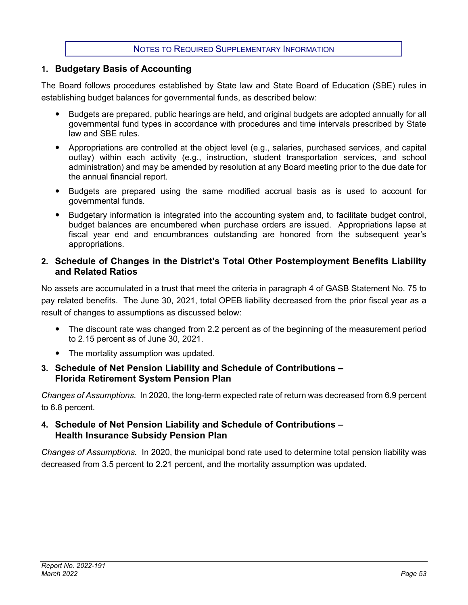### NOTES TO REQUIRED SUPPLEMENTARY INFORMATION

### <span id="page-58-0"></span>**1. Budgetary Basis of Accounting**

The Board follows procedures established by State law and State Board of Education (SBE) rules in establishing budget balances for governmental funds, as described below:

- Budgets are prepared, public hearings are held, and original budgets are adopted annually for all governmental fund types in accordance with procedures and time intervals prescribed by State law and SBE rules.
- Appropriations are controlled at the object level (e.g., salaries, purchased services, and capital outlay) within each activity (e.g., instruction, student transportation services, and school administration) and may be amended by resolution at any Board meeting prior to the due date for the annual financial report.
- Budgets are prepared using the same modified accrual basis as is used to account for governmental funds.
- Budgetary information is integrated into the accounting system and, to facilitate budget control, budget balances are encumbered when purchase orders are issued. Appropriations lapse at fiscal year end and encumbrances outstanding are honored from the subsequent year's appropriations.

### **2. Schedule of Changes in the District's Total Other Postemployment Benefits Liability and Related Ratios**

No assets are accumulated in a trust that meet the criteria in paragraph 4 of GASB Statement No. 75 to pay related benefits. The June 30, 2021, total OPEB liability decreased from the prior fiscal year as a result of changes to assumptions as discussed below:

- The discount rate was changed from 2.2 percent as of the beginning of the measurement period to 2.15 percent as of June 30, 2021.
- The mortality assumption was updated.

### **3. Schedule of Net Pension Liability and Schedule of Contributions – Florida Retirement System Pension Plan**

*Changes of Assumptions.* In 2020, the long-term expected rate of return was decreased from 6.9 percent to 6.8 percent.

### **4. Schedule of Net Pension Liability and Schedule of Contributions – Health Insurance Subsidy Pension Plan**

*Changes of Assumptions.* In 2020, the municipal bond rate used to determine total pension liability was decreased from 3.5 percent to 2.21 percent, and the mortality assumption was updated.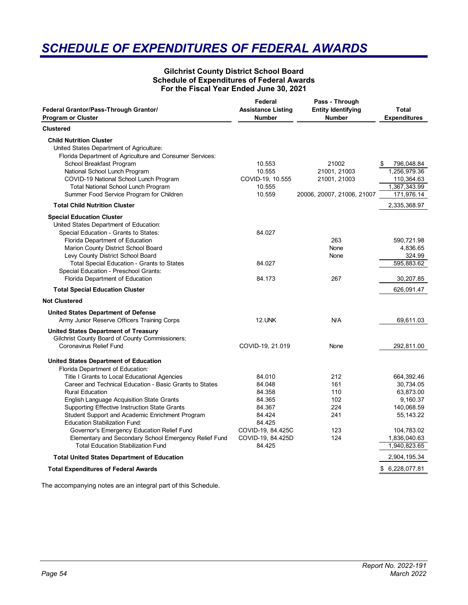# <span id="page-59-0"></span>*SCHEDULE OF EXPENDITURES OF FEDERAL AWARDS*

### **Gilchrist County District School Board Schedule of Expenditures of Federal Awards For the Fiscal Year Ended June 30, 2021**

|                                                          | Federal                   | Pass - Through             |                     |
|----------------------------------------------------------|---------------------------|----------------------------|---------------------|
| Federal Grantor/Pass-Through Grantor/                    | <b>Assistance Listing</b> | <b>Entity Identifying</b>  | <b>Total</b>        |
| <b>Program or Cluster</b>                                | Number                    | <b>Number</b>              | <b>Expenditures</b> |
| <b>Clustered</b>                                         |                           |                            |                     |
| <b>Child Nutrition Cluster</b>                           |                           |                            |                     |
| United States Department of Agriculture:                 |                           |                            |                     |
| Florida Department of Agriculture and Consumer Services: |                           |                            |                     |
| School Breakfast Program                                 | 10.553                    | 21002                      | 796,048.84<br>\$    |
| National School Lunch Program                            | 10.555                    | 21001, 21003               | 1,256,979.36        |
| COVID-19 National School Lunch Program                   | COVID-19, 10.555          | 21001, 21003               | 110,364.63          |
| <b>Total National School Lunch Program</b>               | 10.555                    |                            | 1,367,343.99        |
| Summer Food Service Program for Children                 | 10.559                    | 20006, 20007, 21006, 21007 | 171,976.14          |
| <b>Total Child Nutrition Cluster</b>                     |                           |                            | 2,335,368.97        |
| <b>Special Education Cluster</b>                         |                           |                            |                     |
| United States Department of Education:                   |                           |                            |                     |
| Special Education - Grants to States:                    | 84.027                    |                            |                     |
| Florida Department of Education                          |                           | 263                        | 590,721.98          |
| Marion County District School Board                      |                           | None                       | 4,836.65            |
| Levy County District School Board                        |                           | None                       | 324.99              |
| Total Special Education - Grants to States               | 84.027                    |                            | 595,883.62          |
| Special Education - Preschool Grants:                    |                           |                            |                     |
| Florida Department of Education                          | 84.173                    | 267                        | 30,207.85           |
| <b>Total Special Education Cluster</b>                   |                           |                            | 626,091.47          |
| <b>Not Clustered</b>                                     |                           |                            |                     |
| <b>United States Department of Defense</b>               |                           |                            |                     |
| Army Junior Reserve Officers Training Corps              | <b>12.UNK</b>             | N/A                        | 69,611.03           |
| <b>United States Department of Treasury</b>              |                           |                            |                     |
| <b>Gilchrist County Board of County Commissioners:</b>   |                           |                            |                     |
| <b>Coronavirus Relief Fund</b>                           | COVID-19, 21.019          | None                       | 292,811.00          |
| <b>United States Department of Education</b>             |                           |                            |                     |
| Florida Department of Education:                         |                           |                            |                     |
| Title I Grants to Local Educational Agencies             | 84.010                    | 212                        | 664,392.46          |
| Career and Technical Education - Basic Grants to States  | 84.048                    | 161                        | 30,734.05           |
| <b>Rural Education</b>                                   | 84.358                    | 110                        | 63,873.00           |
| <b>English Language Acquisition State Grants</b>         | 84.365                    | 102                        | 9,160.37            |
| <b>Supporting Effective Instruction State Grants</b>     | 84.367                    | 224                        | 140,068.59          |
| Student Support and Academic Enrichment Program          | 84.424                    | 241                        | 55, 143.22          |
| <b>Education Stabilization Fund:</b>                     | 84.425                    |                            |                     |
| Governor's Emergency Education Relief Fund               | COVID-19, 84.425C         | 123                        | 104,783.02          |
| Elementary and Secondary School Emergency Relief Fund    | COVID-19, 84.425D         | 124                        | 1,836,040.63        |
| <b>Total Education Stabilization Fund</b>                | 84.425                    |                            | 1,940,823.65        |
| <b>Total United States Department of Education</b>       |                           |                            | 2,904,195.34        |
| <b>Total Expenditures of Federal Awards</b>              |                           |                            | \$6,228,077.81      |

The accompanying notes are an integral part of this Schedule.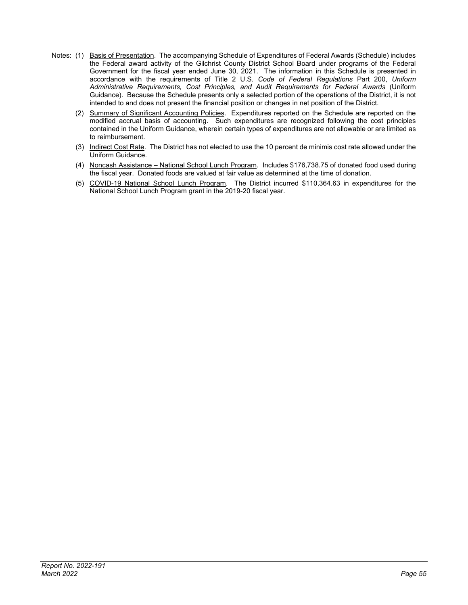- Notes: (1) Basis of Presentation. The accompanying Schedule of Expenditures of Federal Awards (Schedule) includes the Federal award activity of the Gilchrist County District School Board under programs of the Federal Government for the fiscal year ended June 30, 2021. The information in this Schedule is presented in accordance with the requirements of Title 2 U.S. *Code of Federal Regulations* Part 200, *Uniform Administrative Requirements, Cost Principles, and Audit Requirements for Federal Awards* (Uniform Guidance). Because the Schedule presents only a selected portion of the operations of the District, it is not intended to and does not present the financial position or changes in net position of the District.
	- (2) Summary of Significant Accounting Policies. Expenditures reported on the Schedule are reported on the modified accrual basis of accounting. Such expenditures are recognized following the cost principles contained in the Uniform Guidance, wherein certain types of expenditures are not allowable or are limited as to reimbursement.
	- (3) Indirect Cost Rate. The District has not elected to use the 10 percent de minimis cost rate allowed under the Uniform Guidance.
	- (4) Noncash Assistance National School Lunch Program. Includes \$176,738.75 of donated food used during the fiscal year. Donated foods are valued at fair value as determined at the time of donation.
	- (5) COVID-19 National School Lunch Program. The District incurred \$110,364.63 in expenditures for the National School Lunch Program grant in the 2019-20 fiscal year.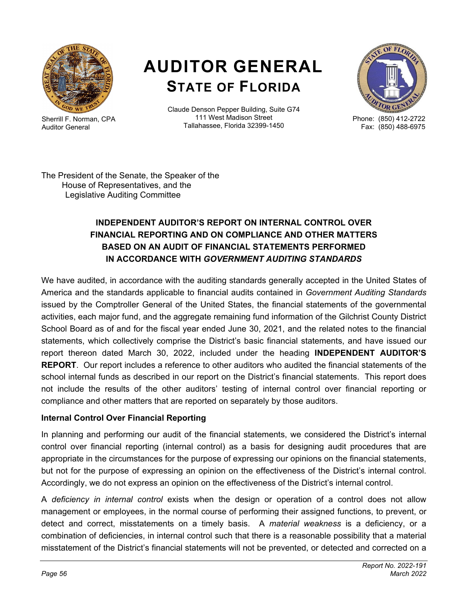<span id="page-61-0"></span>

Sherrill F. Norman, CPA Auditor General

# **AUDITOR GENERAL STATE OF FLORIDA**

Claude Denson Pepper Building, Suite G74 111 West Madison Street Tallahassee, Florida 32399-1450



Phone: (850) 412-2722 Fax: (850) 488-6975

The President of the Senate, the Speaker of the House of Representatives, and the Legislative Auditing Committee

# **INDEPENDENT AUDITOR'S REPORT ON INTERNAL CONTROL OVER FINANCIAL REPORTING AND ON COMPLIANCE AND OTHER MATTERS BASED ON AN AUDIT OF FINANCIAL STATEMENTS PERFORMED IN ACCORDANCE WITH** *GOVERNMENT AUDITING STANDARDS*

We have audited, in accordance with the auditing standards generally accepted in the United States of America and the standards applicable to financial audits contained in *Government Auditing Standards* issued by the Comptroller General of the United States, the financial statements of the governmental activities, each major fund, and the aggregate remaining fund information of the Gilchrist County District School Board as of and for the fiscal year ended June 30, 2021, and the related notes to the financial statements, which collectively comprise the District's basic financial statements, and have issued our report thereon dated March 30, 2022, included under the heading **INDEPENDENT AUDITOR'S REPORT**. Our report includes a reference to other auditors who audited the financial statements of the school internal funds as described in our report on the District's financial statements. This report does not include the results of the other auditors' testing of internal control over financial reporting or compliance and other matters that are reported on separately by those auditors.

### **Internal Control Over Financial Reporting**

In planning and performing our audit of the financial statements, we considered the District's internal control over financial reporting (internal control) as a basis for designing audit procedures that are appropriate in the circumstances for the purpose of expressing our opinions on the financial statements, but not for the purpose of expressing an opinion on the effectiveness of the District's internal control. Accordingly, we do not express an opinion on the effectiveness of the District's internal control.

A *deficiency in internal control* exists when the design or operation of a control does not allow management or employees, in the normal course of performing their assigned functions, to prevent, or detect and correct, misstatements on a timely basis. A *material weakness* is a deficiency, or a combination of deficiencies, in internal control such that there is a reasonable possibility that a material misstatement of the District's financial statements will not be prevented, or detected and corrected on a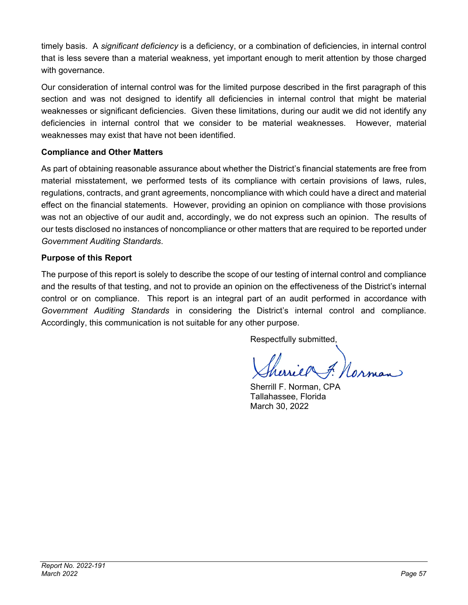timely basis. A *significant deficiency* is a deficiency, or a combination of deficiencies, in internal control that is less severe than a material weakness, yet important enough to merit attention by those charged with governance.

Our consideration of internal control was for the limited purpose described in the first paragraph of this section and was not designed to identify all deficiencies in internal control that might be material weaknesses or significant deficiencies. Given these limitations, during our audit we did not identify any deficiencies in internal control that we consider to be material weaknesses. However, material weaknesses may exist that have not been identified.

### **Compliance and Other Matters**

As part of obtaining reasonable assurance about whether the District's financial statements are free from material misstatement, we performed tests of its compliance with certain provisions of laws, rules, regulations, contracts, and grant agreements, noncompliance with which could have a direct and material effect on the financial statements. However, providing an opinion on compliance with those provisions was not an objective of our audit and, accordingly, we do not express such an opinion. The results of our tests disclosed no instances of noncompliance or other matters that are required to be reported under *Government Auditing Standards*.

### **Purpose of this Report**

The purpose of this report is solely to describe the scope of our testing of internal control and compliance and the results of that testing, and not to provide an opinion on the effectiveness of the District's internal control or on compliance. This report is an integral part of an audit performed in accordance with *Government Auditing Standards* in considering the District's internal control and compliance. Accordingly, this communication is not suitable for any other purpose.

Respectfully submitted,

Sherrill F. Norman, CPA Tallahassee, Florida March 30, 2022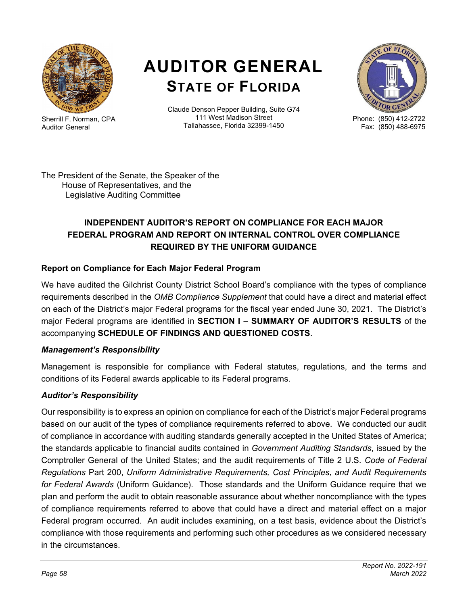<span id="page-63-0"></span>

Sherrill F. Norman, CPA Auditor General

# **AUDITOR GENERAL STATE OF FLORIDA**

Claude Denson Pepper Building, Suite G74 111 West Madison Street Tallahassee, Florida 32399-1450



Phone: (850) 412-2722 Fax: (850) 488-6975

The President of the Senate, the Speaker of the House of Representatives, and the Legislative Auditing Committee

# **INDEPENDENT AUDITOR'S REPORT ON COMPLIANCE FOR EACH MAJOR FEDERAL PROGRAM AND REPORT ON INTERNAL CONTROL OVER COMPLIANCE REQUIRED BY THE UNIFORM GUIDANCE**

### **Report on Compliance for Each Major Federal Program**

We have audited the Gilchrist County District School Board's compliance with the types of compliance requirements described in the *OMB Compliance Supplement* that could have a direct and material effect on each of the District's major Federal programs for the fiscal year ended June 30, 2021. The District's major Federal programs are identified in **SECTION I – SUMMARY OF AUDITOR'S RESULTS** of the accompanying **SCHEDULE OF FINDINGS AND QUESTIONED COSTS**.

### *Management's Responsibility*

Management is responsible for compliance with Federal statutes, regulations, and the terms and conditions of its Federal awards applicable to its Federal programs.

### *Auditor's Responsibility*

Our responsibility is to express an opinion on compliance for each of the District's major Federal programs based on our audit of the types of compliance requirements referred to above. We conducted our audit of compliance in accordance with auditing standards generally accepted in the United States of America; the standards applicable to financial audits contained in *Government Auditing Standards*, issued by the Comptroller General of the United States; and the audit requirements of Title 2 U.S. *Code of Federal Regulations* Part 200, *Uniform Administrative Requirements, Cost Principles, and Audit Requirements for Federal Awards* (Uniform Guidance). Those standards and the Uniform Guidance require that we plan and perform the audit to obtain reasonable assurance about whether noncompliance with the types of compliance requirements referred to above that could have a direct and material effect on a major Federal program occurred. An audit includes examining, on a test basis, evidence about the District's compliance with those requirements and performing such other procedures as we considered necessary in the circumstances.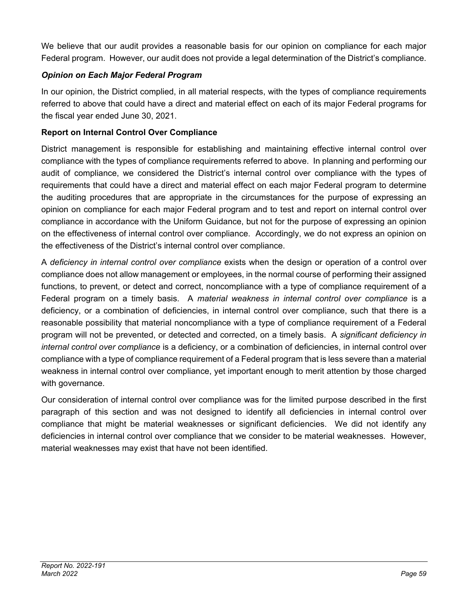We believe that our audit provides a reasonable basis for our opinion on compliance for each major Federal program. However, our audit does not provide a legal determination of the District's compliance.

### *Opinion on Each Major Federal Program*

In our opinion, the District complied, in all material respects, with the types of compliance requirements referred to above that could have a direct and material effect on each of its major Federal programs for the fiscal year ended June 30, 2021.

### **Report on Internal Control Over Compliance**

District management is responsible for establishing and maintaining effective internal control over compliance with the types of compliance requirements referred to above. In planning and performing our audit of compliance, we considered the District's internal control over compliance with the types of requirements that could have a direct and material effect on each major Federal program to determine the auditing procedures that are appropriate in the circumstances for the purpose of expressing an opinion on compliance for each major Federal program and to test and report on internal control over compliance in accordance with the Uniform Guidance, but not for the purpose of expressing an opinion on the effectiveness of internal control over compliance. Accordingly, we do not express an opinion on the effectiveness of the District's internal control over compliance.

A *deficiency in internal control over compliance* exists when the design or operation of a control over compliance does not allow management or employees, in the normal course of performing their assigned functions, to prevent, or detect and correct, noncompliance with a type of compliance requirement of a Federal program on a timely basis. A *material weakness in internal control over compliance* is a deficiency, or a combination of deficiencies, in internal control over compliance, such that there is a reasonable possibility that material noncompliance with a type of compliance requirement of a Federal program will not be prevented, or detected and corrected, on a timely basis. A *significant deficiency in internal control over compliance* is a deficiency, or a combination of deficiencies, in internal control over compliance with a type of compliance requirement of a Federal program that is less severe than a material weakness in internal control over compliance, yet important enough to merit attention by those charged with governance.

Our consideration of internal control over compliance was for the limited purpose described in the first paragraph of this section and was not designed to identify all deficiencies in internal control over compliance that might be material weaknesses or significant deficiencies. We did not identify any deficiencies in internal control over compliance that we consider to be material weaknesses. However, material weaknesses may exist that have not been identified.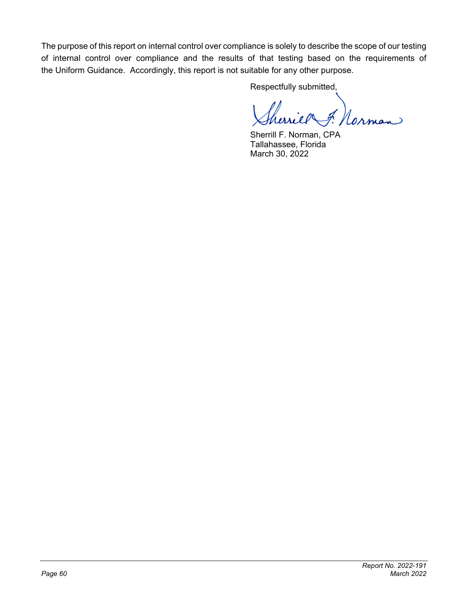The purpose of this report on internal control over compliance is solely to describe the scope of our testing of internal control over compliance and the results of that testing based on the requirements of the Uniform Guidance. Accordingly, this report is not suitable for any other purpose.

Respectfully submitted,

F. Norman

Sherrill F. Norman, CPA Tallahassee, Florida March 30, 2022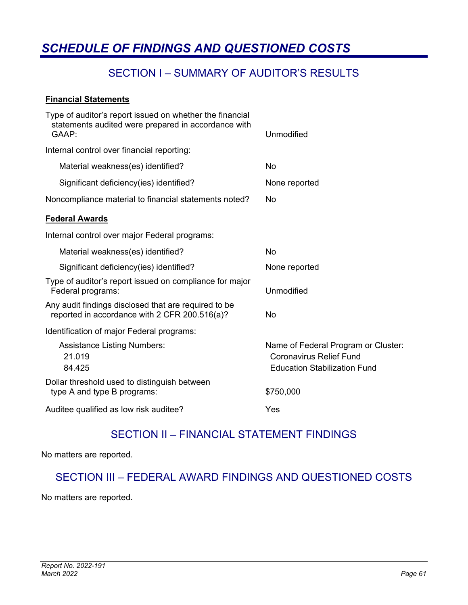# <span id="page-66-0"></span>*SCHEDULE OF FINDINGS AND QUESTIONED COSTS*

# SECTION I – SUMMARY OF AUDITOR'S RESULTS

### **Financial Statements**

| Type of auditor's report issued on whether the financial<br>statements audited were prepared in accordance with<br>GAAP: | Unmodified                                                                                                   |
|--------------------------------------------------------------------------------------------------------------------------|--------------------------------------------------------------------------------------------------------------|
| Internal control over financial reporting:                                                                               |                                                                                                              |
| Material weakness(es) identified?                                                                                        | No                                                                                                           |
| Significant deficiency(ies) identified?                                                                                  | None reported                                                                                                |
| Noncompliance material to financial statements noted?                                                                    | No                                                                                                           |
| <b>Federal Awards</b>                                                                                                    |                                                                                                              |
| Internal control over major Federal programs:                                                                            |                                                                                                              |
| Material weakness(es) identified?                                                                                        | No                                                                                                           |
| Significant deficiency(ies) identified?                                                                                  | None reported                                                                                                |
| Type of auditor's report issued on compliance for major<br>Federal programs:                                             | Unmodified                                                                                                   |
| Any audit findings disclosed that are required to be<br>reported in accordance with 2 CFR 200.516(a)?                    | No                                                                                                           |
| Identification of major Federal programs:                                                                                |                                                                                                              |
| <b>Assistance Listing Numbers:</b><br>21.019<br>84.425                                                                   | Name of Federal Program or Cluster:<br><b>Coronavirus Relief Fund</b><br><b>Education Stabilization Fund</b> |
| Dollar threshold used to distinguish between<br>type A and type B programs:                                              | \$750,000                                                                                                    |
| Auditee qualified as low risk auditee?                                                                                   | Yes                                                                                                          |
|                                                                                                                          |                                                                                                              |

# SECTION II – FINANCIAL STATEMENT FINDINGS

No matters are reported.

# SECTION III – FEDERAL AWARD FINDINGS AND QUESTIONED COSTS

No matters are reported.